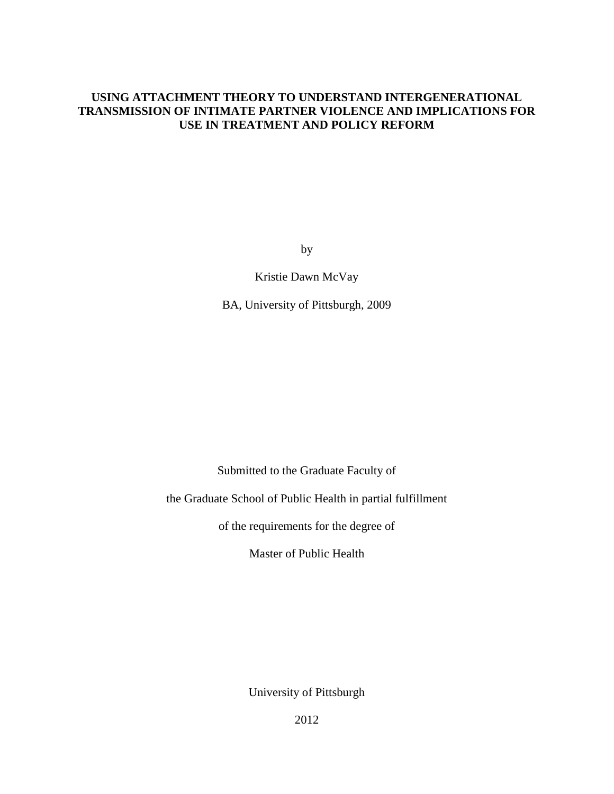# **USING ATTACHMENT THEORY TO UNDERSTAND INTERGENERATIONAL TRANSMISSION OF INTIMATE PARTNER VIOLENCE AND IMPLICATIONS FOR USE IN TREATMENT AND POLICY REFORM**

by

Kristie Dawn McVay

BA, University of Pittsburgh, 2009

Submitted to the Graduate Faculty of

the Graduate School of Public Health in partial fulfillment

of the requirements for the degree of

Master of Public Health

University of Pittsburgh

2012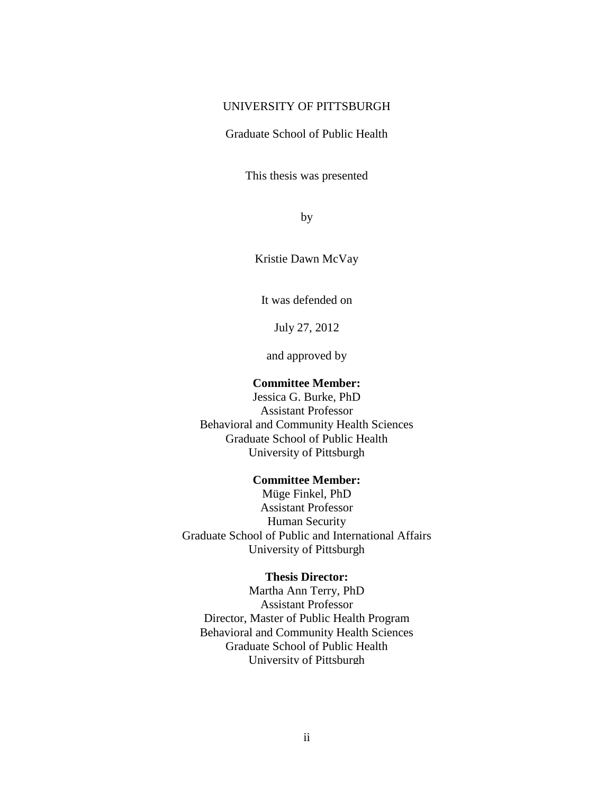# UNIVERSITY OF PITTSBURGH

Graduate School of Public Health

This thesis was presented

by

Kristie Dawn McVay

It was defended on

July 27, 2012

and approved by

## **Committee Member:**

Jessica G. Burke, PhD Assistant Professor Behavioral and Community Health Sciences Graduate School of Public Health University of Pittsburgh

# **Committee Member:**

Müge Finkel, PhD Assistant Professor Human Security Graduate School of Public and International Affairs University of Pittsburgh

#### **Thesis Director:**

Martha Ann Terry, PhD Assistant Professor Director, Master of Public Health Program Behavioral and Community Health Sciences Graduate School of Public Health University of Pittsburgh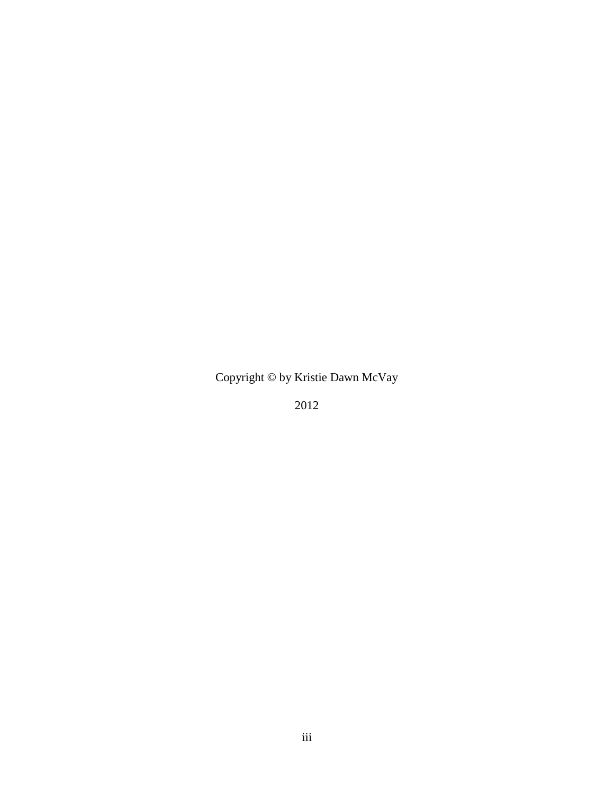Copyright © by Kristie Dawn McVay

2012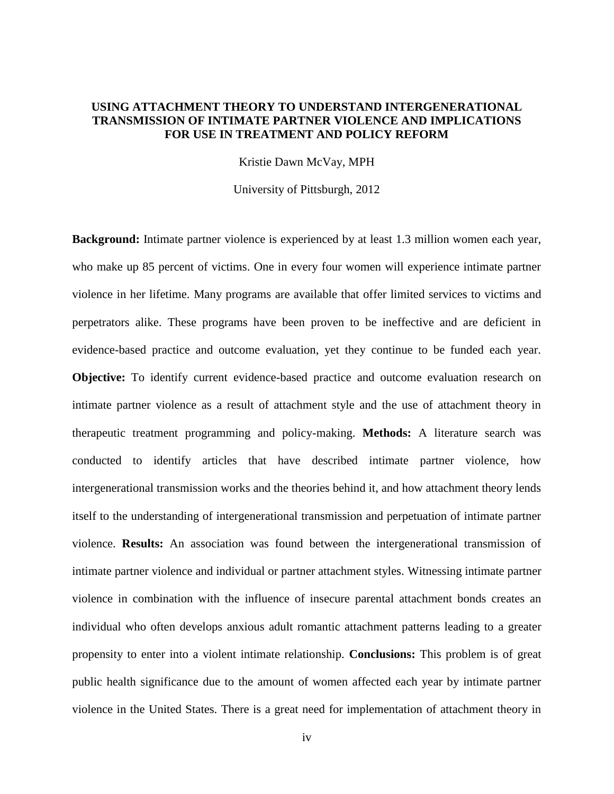# **USING ATTACHMENT THEORY TO UNDERSTAND INTERGENERATIONAL TRANSMISSION OF INTIMATE PARTNER VIOLENCE AND IMPLICATIONS FOR USE IN TREATMENT AND POLICY REFORM**

Kristie Dawn McVay, MPH

University of Pittsburgh, 2012

**Background:** Intimate partner violence is experienced by at least 1.3 million women each year, who make up 85 percent of victims. One in every four women will experience intimate partner violence in her lifetime. Many programs are available that offer limited services to victims and perpetrators alike. These programs have been proven to be ineffective and are deficient in evidence-based practice and outcome evaluation, yet they continue to be funded each year. **Objective:** To identify current evidence-based practice and outcome evaluation research on intimate partner violence as a result of attachment style and the use of attachment theory in therapeutic treatment programming and policy-making. **Methods:** A literature search was conducted to identify articles that have described intimate partner violence, how intergenerational transmission works and the theories behind it, and how attachment theory lends itself to the understanding of intergenerational transmission and perpetuation of intimate partner violence. **Results:** An association was found between the intergenerational transmission of intimate partner violence and individual or partner attachment styles. Witnessing intimate partner violence in combination with the influence of insecure parental attachment bonds creates an individual who often develops anxious adult romantic attachment patterns leading to a greater propensity to enter into a violent intimate relationship. **Conclusions:** This problem is of great public health significance due to the amount of women affected each year by intimate partner violence in the United States. There is a great need for implementation of attachment theory in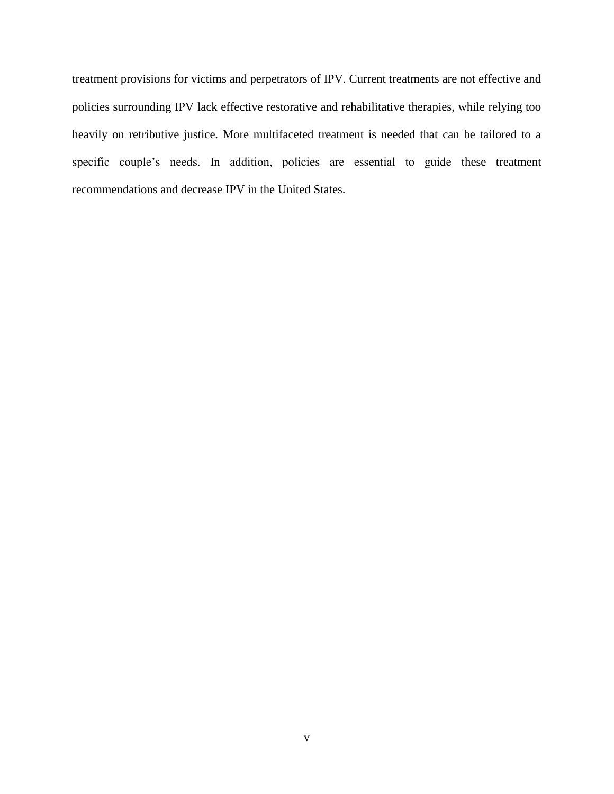treatment provisions for victims and perpetrators of IPV. Current treatments are not effective and policies surrounding IPV lack effective restorative and rehabilitative therapies, while relying too heavily on retributive justice. More multifaceted treatment is needed that can be tailored to a specific couple's needs. In addition, policies are essential to guide these treatment recommendations and decrease IPV in the United States.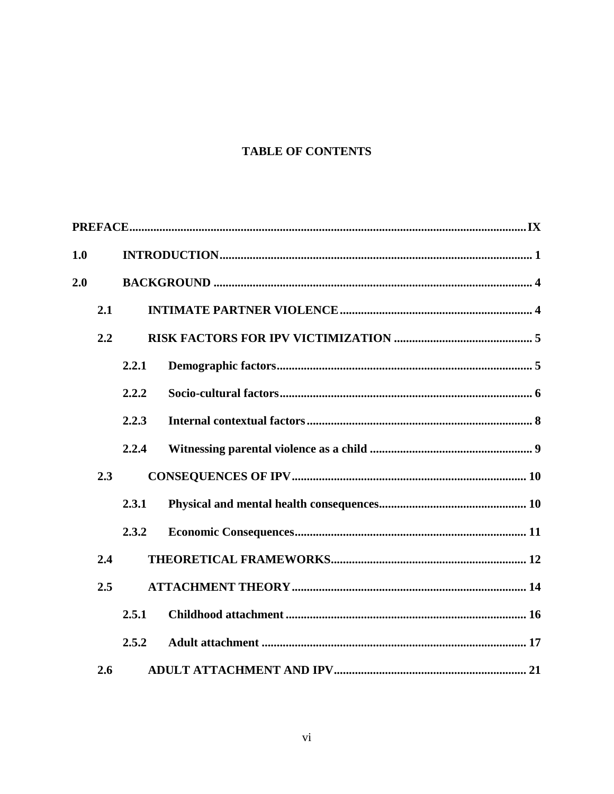# **TABLE OF CONTENTS**

| 1.0 |     |       |  |  |  |
|-----|-----|-------|--|--|--|
| 2.0 |     |       |  |  |  |
|     | 2.1 |       |  |  |  |
|     | 2.2 |       |  |  |  |
|     |     | 2.2.1 |  |  |  |
|     |     | 2.2.2 |  |  |  |
|     |     | 2.2.3 |  |  |  |
|     |     | 2.2.4 |  |  |  |
|     | 2.3 |       |  |  |  |
|     |     | 2.3.1 |  |  |  |
|     |     | 2.3.2 |  |  |  |
|     | 2.4 |       |  |  |  |
|     | 2.5 |       |  |  |  |
|     |     | 2.5.1 |  |  |  |
|     |     | 2.5.2 |  |  |  |
|     | 2.6 |       |  |  |  |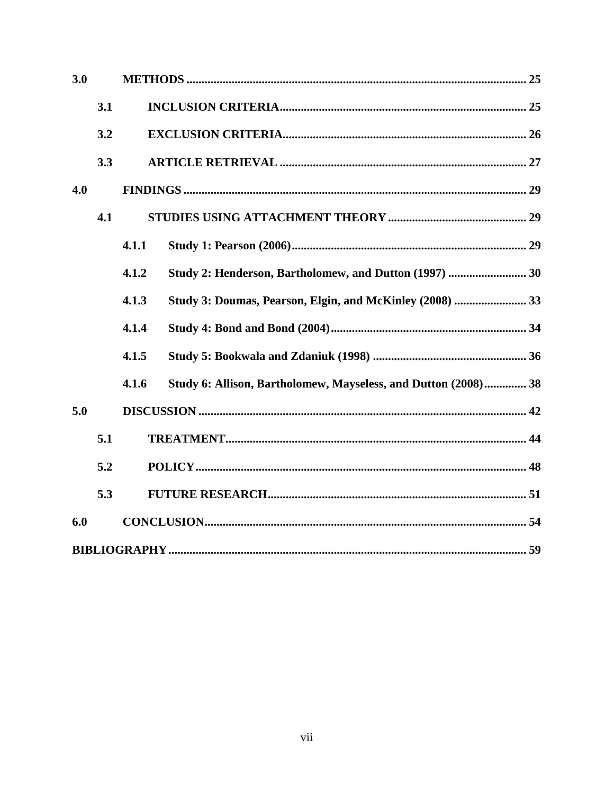| 3.0 |     |       |                                                                |  |  |  |
|-----|-----|-------|----------------------------------------------------------------|--|--|--|
|     | 3.1 |       |                                                                |  |  |  |
|     | 3.2 |       |                                                                |  |  |  |
|     | 3.3 |       |                                                                |  |  |  |
| 4.0 |     |       |                                                                |  |  |  |
|     | 4.1 |       |                                                                |  |  |  |
|     |     | 4.1.1 |                                                                |  |  |  |
|     |     | 4.1.2 | Study 2: Henderson, Bartholomew, and Dutton (1997)  30         |  |  |  |
|     |     | 4.1.3 | Study 3: Doumas, Pearson, Elgin, and McKinley (2008)  33       |  |  |  |
|     |     | 4.1.4 |                                                                |  |  |  |
|     |     | 4.1.5 |                                                                |  |  |  |
|     |     | 4.1.6 | Study 6: Allison, Bartholomew, Mayseless, and Dutton (2008) 38 |  |  |  |
| 5.0 |     |       |                                                                |  |  |  |
|     | 5.1 |       |                                                                |  |  |  |
|     | 5.2 |       |                                                                |  |  |  |
|     | 5.3 |       |                                                                |  |  |  |
| 6.0 |     |       |                                                                |  |  |  |
|     |     |       |                                                                |  |  |  |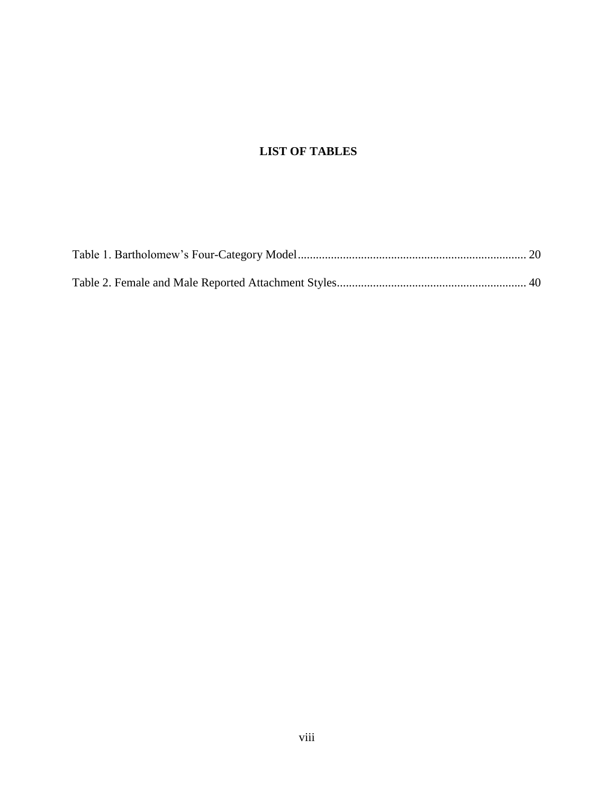# **LIST OF TABLES**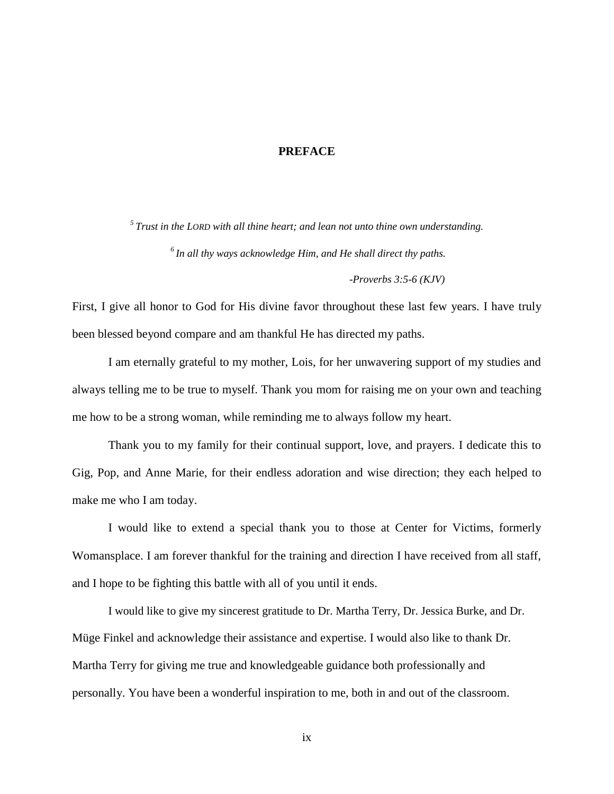## **PREFACE**

<span id="page-8-0"></span>*5 Trust in the LORD with all thine heart; and lean not unto thine own understanding. 6 In all thy ways acknowledge Him, and He shall direct thy paths. -Proverbs 3:5-6 (KJV)*

First, I give all honor to God for His divine favor throughout these last few years. I have truly been blessed beyond compare and am thankful He has directed my paths.

I am eternally grateful to my mother, Lois, for her unwavering support of my studies and always telling me to be true to myself. Thank you mom for raising me on your own and teaching me how to be a strong woman, while reminding me to always follow my heart.

Thank you to my family for their continual support, love, and prayers. I dedicate this to Gig, Pop, and Anne Marie, for their endless adoration and wise direction; they each helped to make me who I am today.

I would like to extend a special thank you to those at Center for Victims, formerly Womansplace. I am forever thankful for the training and direction I have received from all staff, and I hope to be fighting this battle with all of you until it ends.

I would like to give my sincerest gratitude to Dr. Martha Terry, Dr. Jessica Burke, and Dr. Müge Finkel and acknowledge their assistance and expertise. I would also like to thank Dr. Martha Terry for giving me true and knowledgeable guidance both professionally and personally. You have been a wonderful inspiration to me, both in and out of the classroom.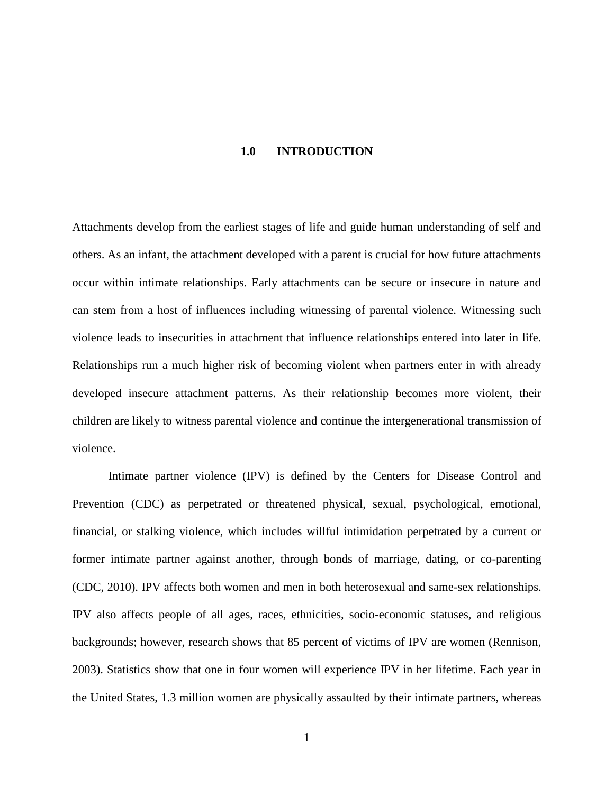#### **1.0 INTRODUCTION**

<span id="page-9-0"></span>Attachments develop from the earliest stages of life and guide human understanding of self and others. As an infant, the attachment developed with a parent is crucial for how future attachments occur within intimate relationships. Early attachments can be secure or insecure in nature and can stem from a host of influences including witnessing of parental violence. Witnessing such violence leads to insecurities in attachment that influence relationships entered into later in life. Relationships run a much higher risk of becoming violent when partners enter in with already developed insecure attachment patterns. As their relationship becomes more violent, their children are likely to witness parental violence and continue the intergenerational transmission of violence.

Intimate partner violence (IPV) is defined by the Centers for Disease Control and Prevention (CDC) as perpetrated or threatened physical, sexual, psychological, emotional, financial, or stalking violence, which includes willful intimidation perpetrated by a current or former intimate partner against another, through bonds of marriage, dating, or co-parenting (CDC, 2010). IPV affects both women and men in both heterosexual and same-sex relationships. IPV also affects people of all ages, races, ethnicities, socio-economic statuses, and religious backgrounds; however, research shows that 85 percent of victims of IPV are women (Rennison, 2003). Statistics show that one in four women will experience IPV in her lifetime. Each year in the United States, 1.3 million women are physically assaulted by their intimate partners, whereas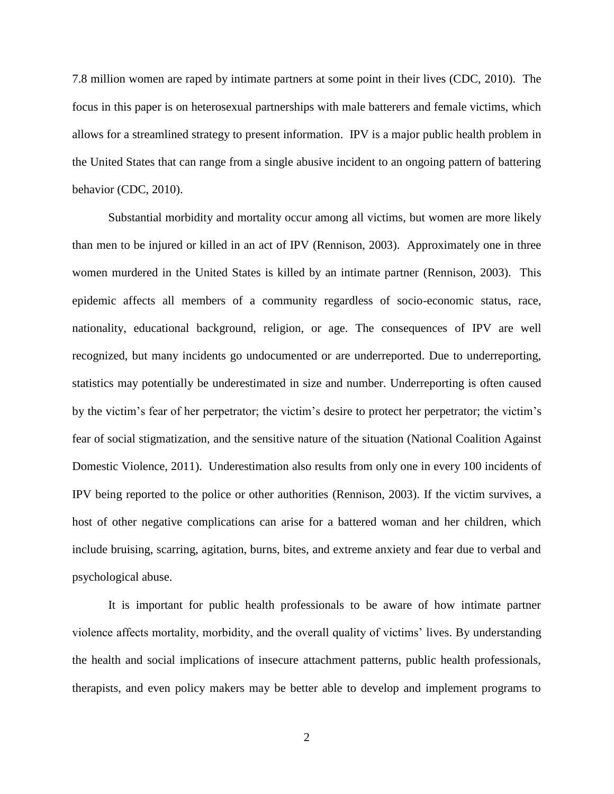7.8 million women are raped by intimate partners at some point in their lives (CDC, 2010). The focus in this paper is on heterosexual partnerships with male batterers and female victims, which allows for a streamlined strategy to present information. IPV is a major public health problem in the United States that can range from a single abusive incident to an ongoing pattern of battering behavior (CDC, 2010).

Substantial morbidity and mortality occur among all victims, but women are more likely than men to be injured or killed in an act of IPV (Rennison, 2003). Approximately one in three women murdered in the United States is killed by an intimate partner (Rennison, 2003). This epidemic affects all members of a community regardless of socio-economic status, race, nationality, educational background, religion, or age. The consequences of IPV are well recognized, but many incidents go undocumented or are underreported. Due to underreporting, statistics may potentially be underestimated in size and number. Underreporting is often caused by the victim's fear of her perpetrator; the victim's desire to protect her perpetrator; the victim's fear of social stigmatization, and the sensitive nature of the situation (National Coalition Against Domestic Violence, 2011). Underestimation also results from only one in every 100 incidents of IPV being reported to the police or other authorities (Rennison, 2003). If the victim survives, a host of other negative complications can arise for a battered woman and her children, which include bruising, scarring, agitation, burns, bites, and extreme anxiety and fear due to verbal and psychological abuse.

It is important for public health professionals to be aware of how intimate partner violence affects mortality, morbidity, and the overall quality of victims' lives. By understanding the health and social implications of insecure attachment patterns, public health professionals, therapists, and even policy makers may be better able to develop and implement programs to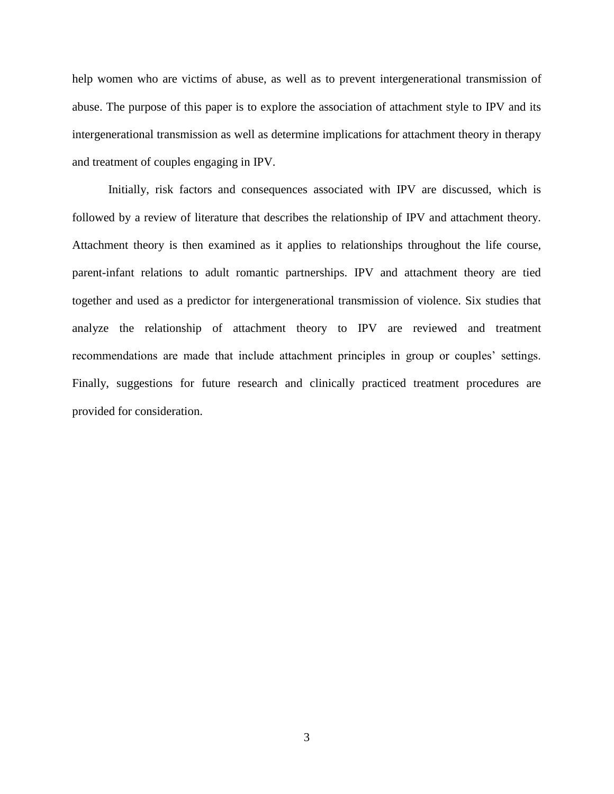help women who are victims of abuse, as well as to prevent intergenerational transmission of abuse. The purpose of this paper is to explore the association of attachment style to IPV and its intergenerational transmission as well as determine implications for attachment theory in therapy and treatment of couples engaging in IPV.

Initially, risk factors and consequences associated with IPV are discussed, which is followed by a review of literature that describes the relationship of IPV and attachment theory. Attachment theory is then examined as it applies to relationships throughout the life course, parent-infant relations to adult romantic partnerships. IPV and attachment theory are tied together and used as a predictor for intergenerational transmission of violence. Six studies that analyze the relationship of attachment theory to IPV are reviewed and treatment recommendations are made that include attachment principles in group or couples' settings. Finally, suggestions for future research and clinically practiced treatment procedures are provided for consideration.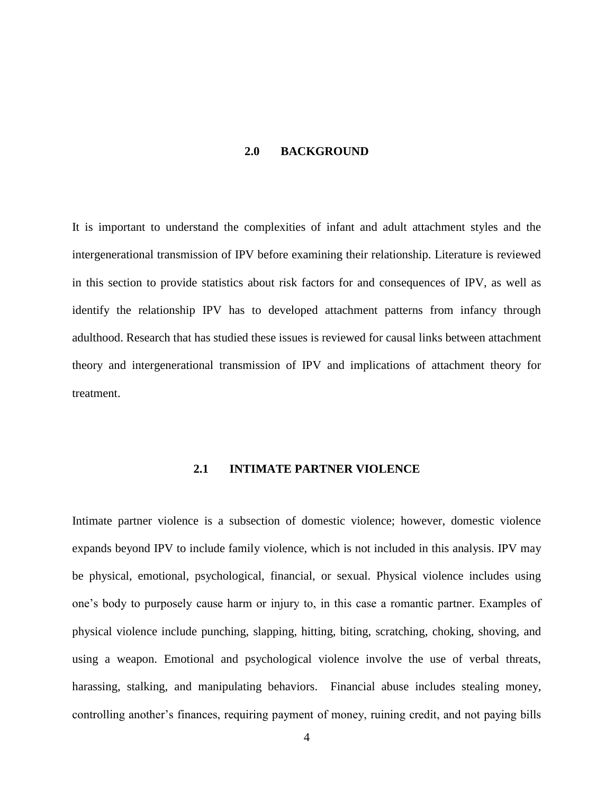#### **2.0 BACKGROUND**

<span id="page-12-0"></span>It is important to understand the complexities of infant and adult attachment styles and the intergenerational transmission of IPV before examining their relationship. Literature is reviewed in this section to provide statistics about risk factors for and consequences of IPV, as well as identify the relationship IPV has to developed attachment patterns from infancy through adulthood. Research that has studied these issues is reviewed for causal links between attachment theory and intergenerational transmission of IPV and implications of attachment theory for treatment.

# **2.1 INTIMATE PARTNER VIOLENCE**

Intimate partner violence is a subsection of domestic violence; however, domestic violence expands beyond IPV to include family violence, which is not included in this analysis. IPV may be physical, emotional, psychological, financial, or sexual. Physical violence includes using one's body to purposely cause harm or injury to, in this case a romantic partner. Examples of physical violence include punching, slapping, hitting, biting, scratching, choking, shoving, and using a weapon. Emotional and psychological violence involve the use of verbal threats, harassing, stalking, and manipulating behaviors. Financial abuse includes stealing money, controlling another's finances, requiring payment of money, ruining credit, and not paying bills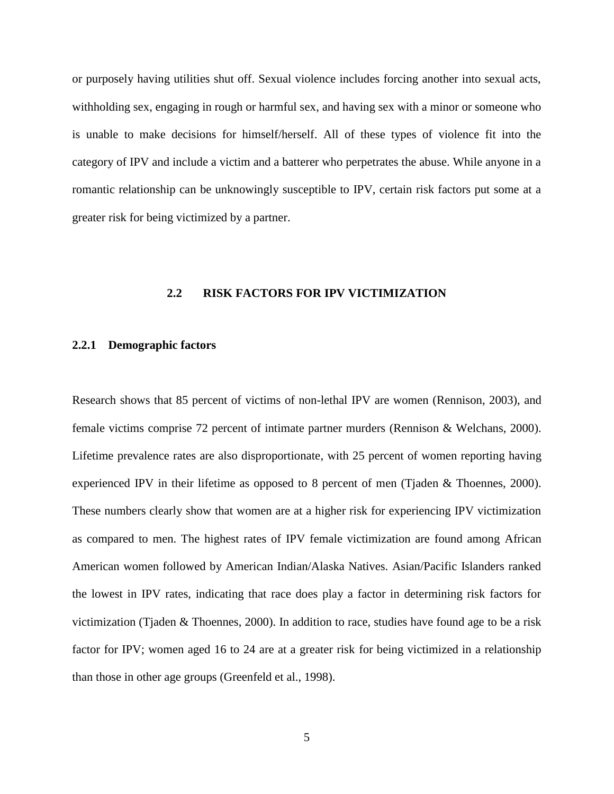<span id="page-13-0"></span>or purposely having utilities shut off. Sexual violence includes forcing another into sexual acts, withholding sex, engaging in rough or harmful sex, and having sex with a minor or someone who is unable to make decisions for himself/herself. All of these types of violence fit into the category of IPV and include a victim and a batterer who perpetrates the abuse. While anyone in a romantic relationship can be unknowingly susceptible to IPV, certain risk factors put some at a greater risk for being victimized by a partner.

## **2.2 RISK FACTORS FOR IPV VICTIMIZATION**

#### **2.2.1 Demographic factors**

Research shows that 85 percent of victims of non-lethal IPV are women (Rennison, 2003), and female victims comprise 72 percent of intimate partner murders (Rennison & Welchans, 2000). Lifetime prevalence rates are also disproportionate, with 25 percent of women reporting having experienced IPV in their lifetime as opposed to 8 percent of men (Tjaden & Thoennes, 2000). These numbers clearly show that women are at a higher risk for experiencing IPV victimization as compared to men. The highest rates of IPV female victimization are found among African American women followed by American Indian/Alaska Natives. Asian/Pacific Islanders ranked the lowest in IPV rates, indicating that race does play a factor in determining risk factors for victimization (Tjaden & Thoennes, 2000). In addition to race, studies have found age to be a risk factor for IPV; women aged 16 to 24 are at a greater risk for being victimized in a relationship than those in other age groups (Greenfeld et al., 1998).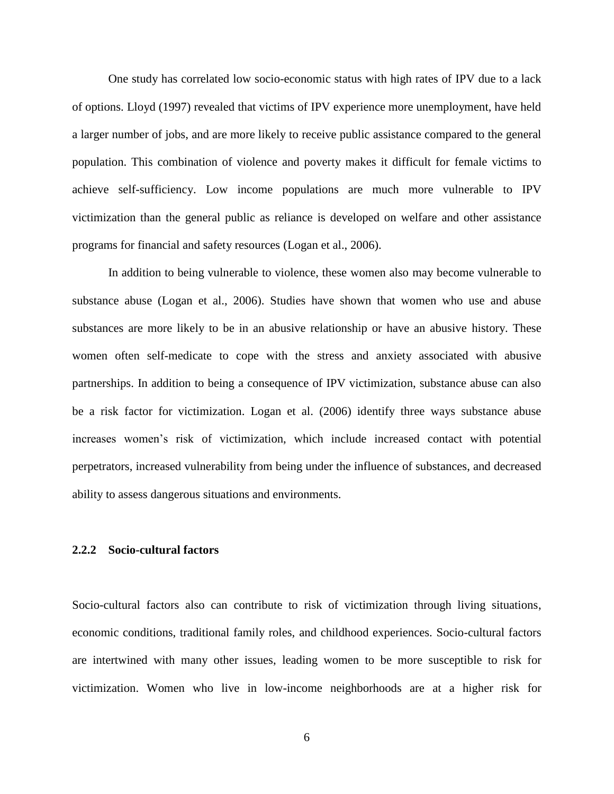<span id="page-14-0"></span>One study has correlated low socio-economic status with high rates of IPV due to a lack of options. Lloyd (1997) revealed that victims of IPV experience more unemployment, have held a larger number of jobs, and are more likely to receive public assistance compared to the general population. This combination of violence and poverty makes it difficult for female victims to achieve self-sufficiency. Low income populations are much more vulnerable to IPV victimization than the general public as reliance is developed on welfare and other assistance programs for financial and safety resources (Logan et al., 2006).

In addition to being vulnerable to violence, these women also may become vulnerable to substance abuse (Logan et al., 2006). Studies have shown that women who use and abuse substances are more likely to be in an abusive relationship or have an abusive history. These women often self-medicate to cope with the stress and anxiety associated with abusive partnerships. In addition to being a consequence of IPV victimization, substance abuse can also be a risk factor for victimization. Logan et al. (2006) identify three ways substance abuse increases women's risk of victimization, which include increased contact with potential perpetrators, increased vulnerability from being under the influence of substances, and decreased ability to assess dangerous situations and environments.

#### **2.2.2 Socio-cultural factors**

Socio-cultural factors also can contribute to risk of victimization through living situations, economic conditions, traditional family roles, and childhood experiences. Socio-cultural factors are intertwined with many other issues, leading women to be more susceptible to risk for victimization. Women who live in low-income neighborhoods are at a higher risk for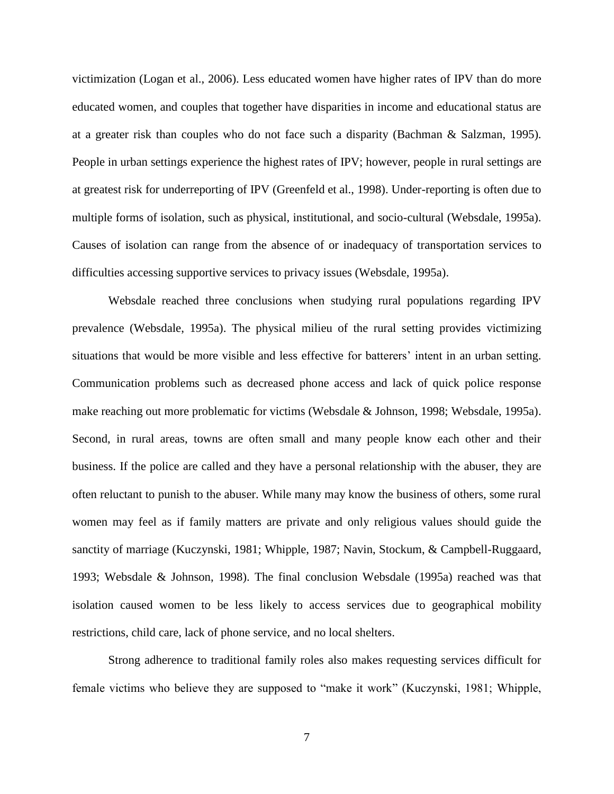victimization (Logan et al., 2006). Less educated women have higher rates of IPV than do more educated women, and couples that together have disparities in income and educational status are at a greater risk than couples who do not face such a disparity (Bachman & Salzman, 1995). People in urban settings experience the highest rates of IPV; however, people in rural settings are at greatest risk for underreporting of IPV (Greenfeld et al., 1998). Under-reporting is often due to multiple forms of isolation, such as physical, institutional, and socio-cultural (Websdale, 1995a). Causes of isolation can range from the absence of or inadequacy of transportation services to difficulties accessing supportive services to privacy issues (Websdale, 1995a).

Websdale reached three conclusions when studying rural populations regarding IPV prevalence (Websdale, 1995a). The physical milieu of the rural setting provides victimizing situations that would be more visible and less effective for batterers' intent in an urban setting. Communication problems such as decreased phone access and lack of quick police response make reaching out more problematic for victims (Websdale & Johnson, 1998; Websdale, 1995a). Second, in rural areas, towns are often small and many people know each other and their business. If the police are called and they have a personal relationship with the abuser, they are often reluctant to punish to the abuser. While many may know the business of others, some rural women may feel as if family matters are private and only religious values should guide the sanctity of marriage (Kuczynski, 1981; Whipple, 1987; Navin, Stockum, & Campbell-Ruggaard, 1993; Websdale & Johnson, 1998). The final conclusion Websdale (1995a) reached was that isolation caused women to be less likely to access services due to geographical mobility restrictions, child care, lack of phone service, and no local shelters.

Strong adherence to traditional family roles also makes requesting services difficult for female victims who believe they are supposed to "make it work" (Kuczynski, 1981; Whipple,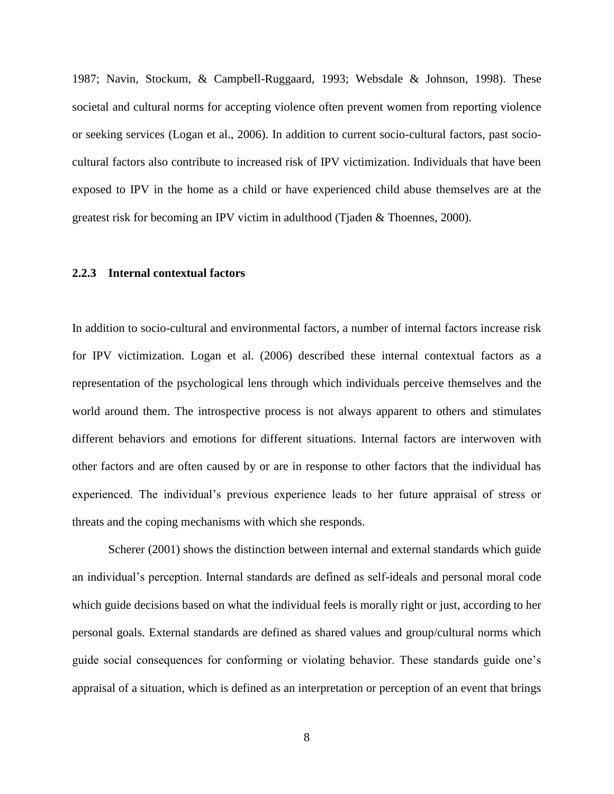<span id="page-16-0"></span>1987; Navin, Stockum, & Campbell-Ruggaard, 1993; Websdale & Johnson, 1998). These societal and cultural norms for accepting violence often prevent women from reporting violence or seeking services (Logan et al., 2006). In addition to current socio-cultural factors, past sociocultural factors also contribute to increased risk of IPV victimization. Individuals that have been exposed to IPV in the home as a child or have experienced child abuse themselves are at the greatest risk for becoming an IPV victim in adulthood (Tjaden & Thoennes, 2000).

#### **2.2.3 Internal contextual factors**

In addition to socio-cultural and environmental factors, a number of internal factors increase risk for IPV victimization. Logan et al. (2006) described these internal contextual factors as a representation of the psychological lens through which individuals perceive themselves and the world around them. The introspective process is not always apparent to others and stimulates different behaviors and emotions for different situations. Internal factors are interwoven with other factors and are often caused by or are in response to other factors that the individual has experienced. The individual's previous experience leads to her future appraisal of stress or threats and the coping mechanisms with which she responds.

Scherer (2001) shows the distinction between internal and external standards which guide an individual's perception. Internal standards are defined as self-ideals and personal moral code which guide decisions based on what the individual feels is morally right or just, according to her personal goals. External standards are defined as shared values and group/cultural norms which guide social consequences for conforming or violating behavior. These standards guide one's appraisal of a situation, which is defined as an interpretation or perception of an event that brings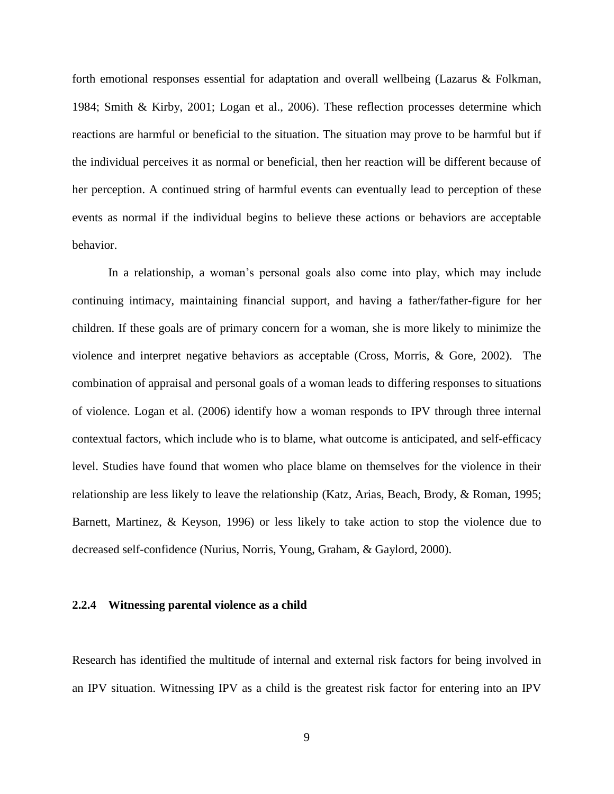<span id="page-17-0"></span>forth emotional responses essential for adaptation and overall wellbeing (Lazarus & Folkman, 1984; Smith & Kirby, 2001; Logan et al., 2006). These reflection processes determine which reactions are harmful or beneficial to the situation. The situation may prove to be harmful but if the individual perceives it as normal or beneficial, then her reaction will be different because of her perception. A continued string of harmful events can eventually lead to perception of these events as normal if the individual begins to believe these actions or behaviors are acceptable behavior.

In a relationship, a woman's personal goals also come into play, which may include continuing intimacy, maintaining financial support, and having a father/father-figure for her children. If these goals are of primary concern for a woman, she is more likely to minimize the violence and interpret negative behaviors as acceptable (Cross, Morris, & Gore, 2002). The combination of appraisal and personal goals of a woman leads to differing responses to situations of violence. Logan et al. (2006) identify how a woman responds to IPV through three internal contextual factors, which include who is to blame, what outcome is anticipated, and self-efficacy level. Studies have found that women who place blame on themselves for the violence in their relationship are less likely to leave the relationship (Katz, Arias, Beach, Brody, & Roman, 1995; Barnett, Martinez, & Keyson, 1996) or less likely to take action to stop the violence due to decreased self-confidence (Nurius, Norris, Young, Graham, & Gaylord, 2000).

#### **2.2.4 Witnessing parental violence as a child**

Research has identified the multitude of internal and external risk factors for being involved in an IPV situation. Witnessing IPV as a child is the greatest risk factor for entering into an IPV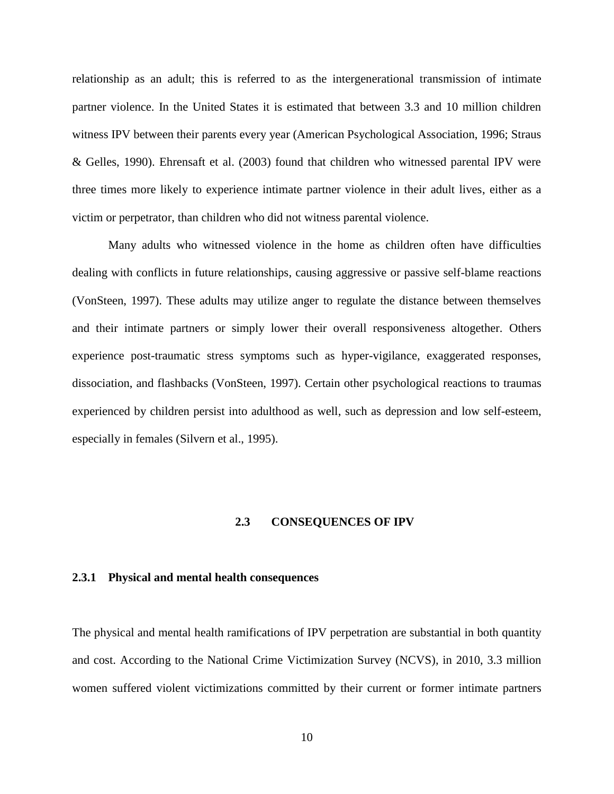<span id="page-18-0"></span>relationship as an adult; this is referred to as the intergenerational transmission of intimate partner violence. In the United States it is estimated that between 3.3 and 10 million children witness IPV between their parents every year (American Psychological Association, 1996; Straus & Gelles, 1990). Ehrensaft et al. (2003) found that children who witnessed parental IPV were three times more likely to experience intimate partner violence in their adult lives, either as a victim or perpetrator, than children who did not witness parental violence.

Many adults who witnessed violence in the home as children often have difficulties dealing with conflicts in future relationships, causing aggressive or passive self-blame reactions (VonSteen, 1997). These adults may utilize anger to regulate the distance between themselves and their intimate partners or simply lower their overall responsiveness altogether. Others experience post-traumatic stress symptoms such as hyper-vigilance, exaggerated responses, dissociation, and flashbacks (VonSteen, 1997). Certain other psychological reactions to traumas experienced by children persist into adulthood as well, such as depression and low self-esteem, especially in females (Silvern et al., 1995).

#### **2.3 CONSEQUENCES OF IPV**

#### **2.3.1 Physical and mental health consequences**

The physical and mental health ramifications of IPV perpetration are substantial in both quantity and cost. According to the National Crime Victimization Survey (NCVS), in 2010, 3.3 million women suffered violent victimizations committed by their current or former intimate partners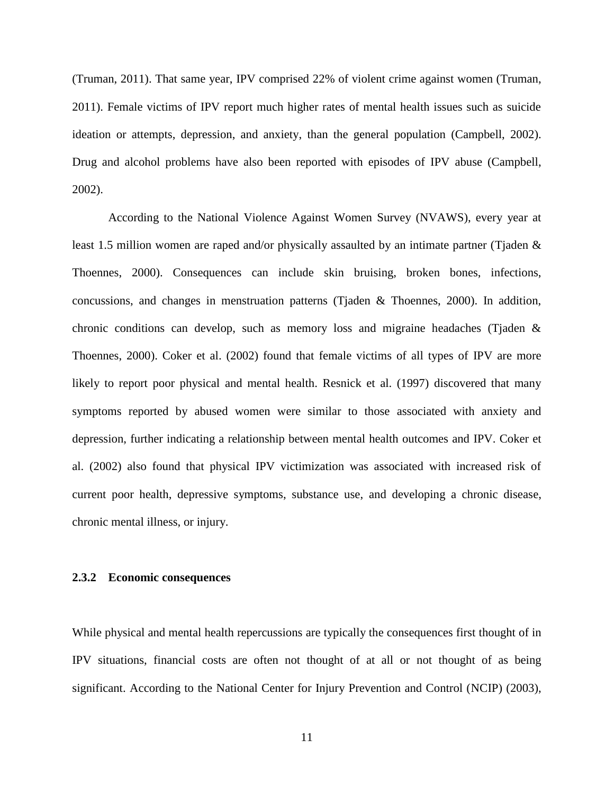<span id="page-19-0"></span>(Truman, 2011). That same year, IPV comprised 22% of violent crime against women (Truman, 2011). Female victims of IPV report much higher rates of mental health issues such as suicide ideation or attempts, depression, and anxiety, than the general population (Campbell, 2002). Drug and alcohol problems have also been reported with episodes of IPV abuse (Campbell, 2002).

According to the National Violence Against Women Survey (NVAWS), every year at least 1.5 million women are raped and/or physically assaulted by an intimate partner (Tjaden & Thoennes, 2000). Consequences can include skin bruising, broken bones, infections, concussions, and changes in menstruation patterns (Tjaden & Thoennes, 2000). In addition, chronic conditions can develop, such as memory loss and migraine headaches (Tjaden & Thoennes, 2000). Coker et al. (2002) found that female victims of all types of IPV are more likely to report poor physical and mental health. Resnick et al. (1997) discovered that many symptoms reported by abused women were similar to those associated with anxiety and depression, further indicating a relationship between mental health outcomes and IPV. Coker et al. (2002) also found that physical IPV victimization was associated with increased risk of current poor health, depressive symptoms, substance use, and developing a chronic disease, chronic mental illness, or injury.

#### **2.3.2 Economic consequences**

While physical and mental health repercussions are typically the consequences first thought of in IPV situations, financial costs are often not thought of at all or not thought of as being significant. According to the National Center for Injury Prevention and Control (NCIP) (2003),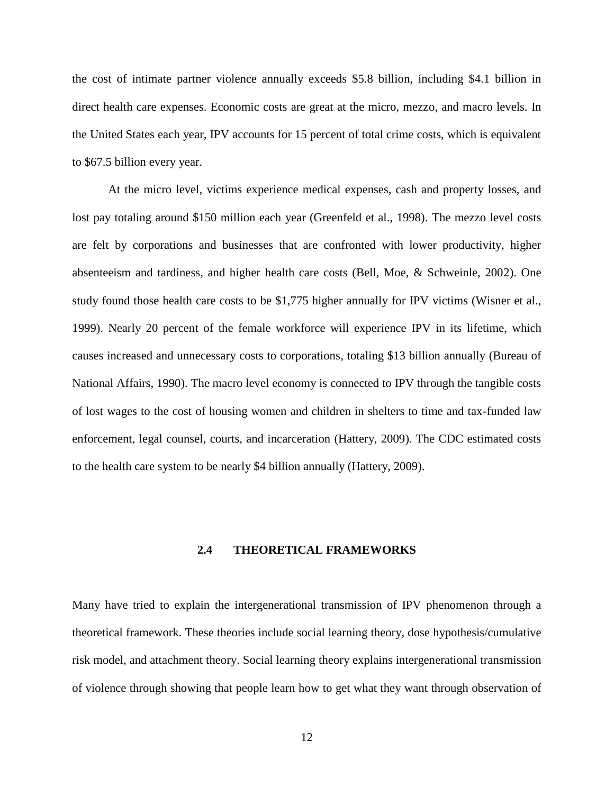<span id="page-20-0"></span>the cost of intimate partner violence annually exceeds \$5.8 billion, including \$4.1 billion in direct health care expenses. Economic costs are great at the micro, mezzo, and macro levels. In the United States each year, IPV accounts for 15 percent of total crime costs, which is equivalent to \$67.5 billion every year.

At the micro level, victims experience medical expenses, cash and property losses, and lost pay totaling around \$150 million each year (Greenfeld et al., 1998). The mezzo level costs are felt by corporations and businesses that are confronted with lower productivity, higher absenteeism and tardiness, and higher health care costs (Bell, Moe, & Schweinle, 2002). One study found those health care costs to be \$1,775 higher annually for IPV victims (Wisner et al., 1999). Nearly 20 percent of the female workforce will experience IPV in its lifetime, which causes increased and unnecessary costs to corporations, totaling \$13 billion annually (Bureau of National Affairs, 1990). The macro level economy is connected to IPV through the tangible costs of lost wages to the cost of housing women and children in shelters to time and tax-funded law enforcement, legal counsel, courts, and incarceration (Hattery, 2009). The CDC estimated costs to the health care system to be nearly \$4 billion annually (Hattery, 2009).

#### **2.4 THEORETICAL FRAMEWORKS**

Many have tried to explain the intergenerational transmission of IPV phenomenon through a theoretical framework. These theories include social learning theory, dose hypothesis/cumulative risk model, and attachment theory. Social learning theory explains intergenerational transmission of violence through showing that people learn how to get what they want through observation of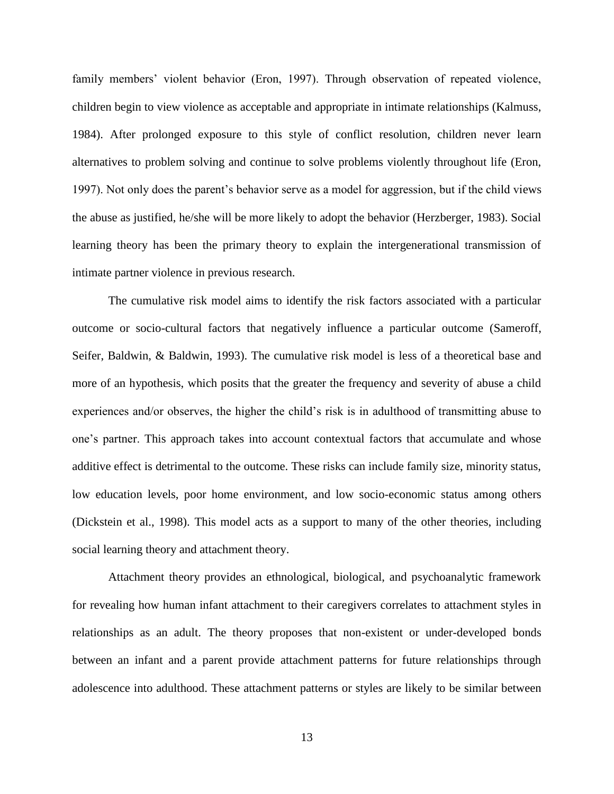family members' violent behavior (Eron, 1997). Through observation of repeated violence, children begin to view violence as acceptable and appropriate in intimate relationships (Kalmuss, 1984). After prolonged exposure to this style of conflict resolution, children never learn alternatives to problem solving and continue to solve problems violently throughout life (Eron, 1997). Not only does the parent's behavior serve as a model for aggression, but if the child views the abuse as justified, he/she will be more likely to adopt the behavior (Herzberger, 1983). Social learning theory has been the primary theory to explain the intergenerational transmission of intimate partner violence in previous research.

The cumulative risk model aims to identify the risk factors associated with a particular outcome or socio-cultural factors that negatively influence a particular outcome (Sameroff, Seifer, Baldwin, & Baldwin, 1993). The cumulative risk model is less of a theoretical base and more of an hypothesis, which posits that the greater the frequency and severity of abuse a child experiences and/or observes, the higher the child's risk is in adulthood of transmitting abuse to one's partner. This approach takes into account contextual factors that accumulate and whose additive effect is detrimental to the outcome. These risks can include family size, minority status, low education levels, poor home environment, and low socio-economic status among others (Dickstein et al., 1998). This model acts as a support to many of the other theories, including social learning theory and attachment theory.

Attachment theory provides an ethnological, biological, and psychoanalytic framework for revealing how human infant attachment to their caregivers correlates to attachment styles in relationships as an adult. The theory proposes that non-existent or under-developed bonds between an infant and a parent provide attachment patterns for future relationships through adolescence into adulthood. These attachment patterns or styles are likely to be similar between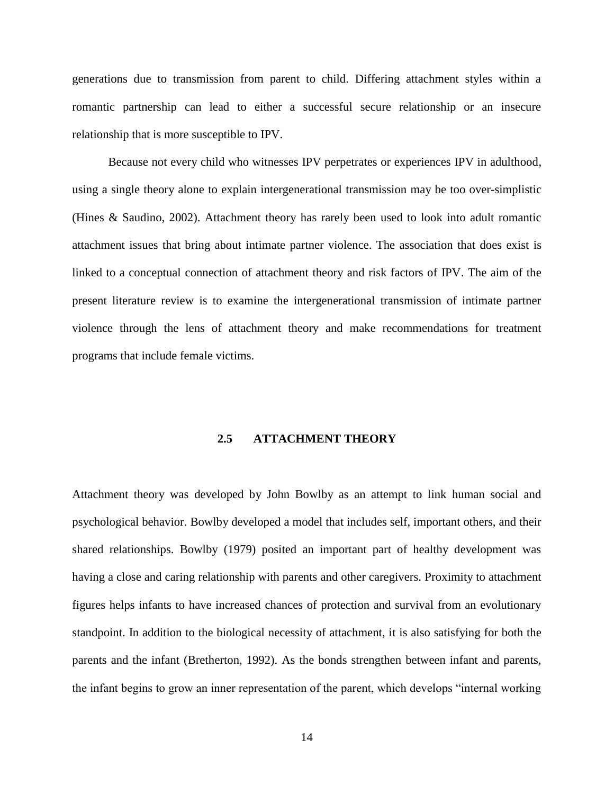<span id="page-22-0"></span>generations due to transmission from parent to child. Differing attachment styles within a romantic partnership can lead to either a successful secure relationship or an insecure relationship that is more susceptible to IPV.

Because not every child who witnesses IPV perpetrates or experiences IPV in adulthood, using a single theory alone to explain intergenerational transmission may be too over-simplistic (Hines & Saudino, 2002). Attachment theory has rarely been used to look into adult romantic attachment issues that bring about intimate partner violence. The association that does exist is linked to a conceptual connection of attachment theory and risk factors of IPV. The aim of the present literature review is to examine the intergenerational transmission of intimate partner violence through the lens of attachment theory and make recommendations for treatment programs that include female victims.

#### **2.5 ATTACHMENT THEORY**

Attachment theory was developed by John Bowlby as an attempt to link human social and psychological behavior. Bowlby developed a model that includes self, important others, and their shared relationships. Bowlby (1979) posited an important part of healthy development was having a close and caring relationship with parents and other caregivers. Proximity to attachment figures helps infants to have increased chances of protection and survival from an evolutionary standpoint. In addition to the biological necessity of attachment, it is also satisfying for both the parents and the infant (Bretherton, 1992). As the bonds strengthen between infant and parents, the infant begins to grow an inner representation of the parent, which develops "internal working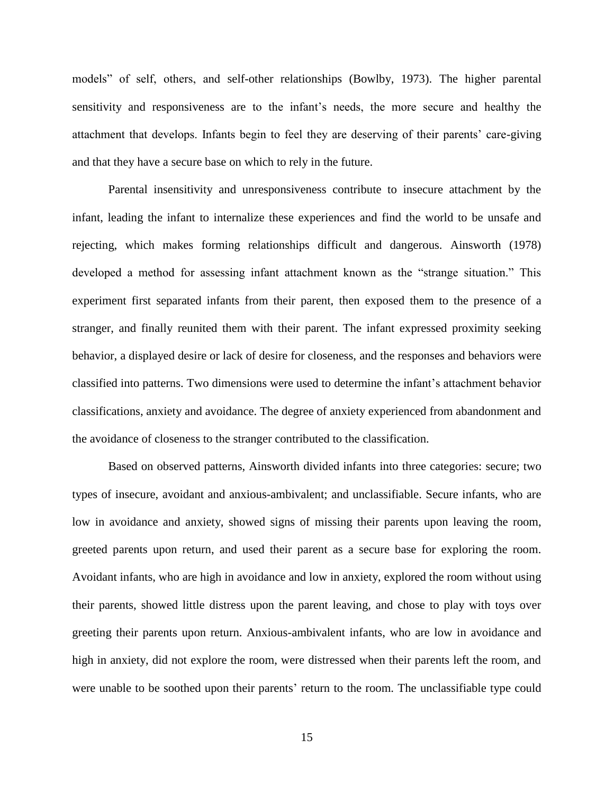models" of self, others, and self-other relationships (Bowlby, 1973). The higher parental sensitivity and responsiveness are to the infant's needs, the more secure and healthy the attachment that develops. Infants begin to feel they are deserving of their parents' care-giving and that they have a secure base on which to rely in the future.

Parental insensitivity and unresponsiveness contribute to insecure attachment by the infant, leading the infant to internalize these experiences and find the world to be unsafe and rejecting, which makes forming relationships difficult and dangerous. Ainsworth (1978) developed a method for assessing infant attachment known as the "strange situation." This experiment first separated infants from their parent, then exposed them to the presence of a stranger, and finally reunited them with their parent. The infant expressed proximity seeking behavior, a displayed desire or lack of desire for closeness, and the responses and behaviors were classified into patterns. Two dimensions were used to determine the infant's attachment behavior classifications, anxiety and avoidance. The degree of anxiety experienced from abandonment and the avoidance of closeness to the stranger contributed to the classification.

Based on observed patterns, Ainsworth divided infants into three categories: secure; two types of insecure, avoidant and anxious-ambivalent; and unclassifiable. Secure infants, who are low in avoidance and anxiety, showed signs of missing their parents upon leaving the room, greeted parents upon return, and used their parent as a secure base for exploring the room. Avoidant infants, who are high in avoidance and low in anxiety, explored the room without using their parents, showed little distress upon the parent leaving, and chose to play with toys over greeting their parents upon return. Anxious-ambivalent infants, who are low in avoidance and high in anxiety, did not explore the room, were distressed when their parents left the room, and were unable to be soothed upon their parents' return to the room. The unclassifiable type could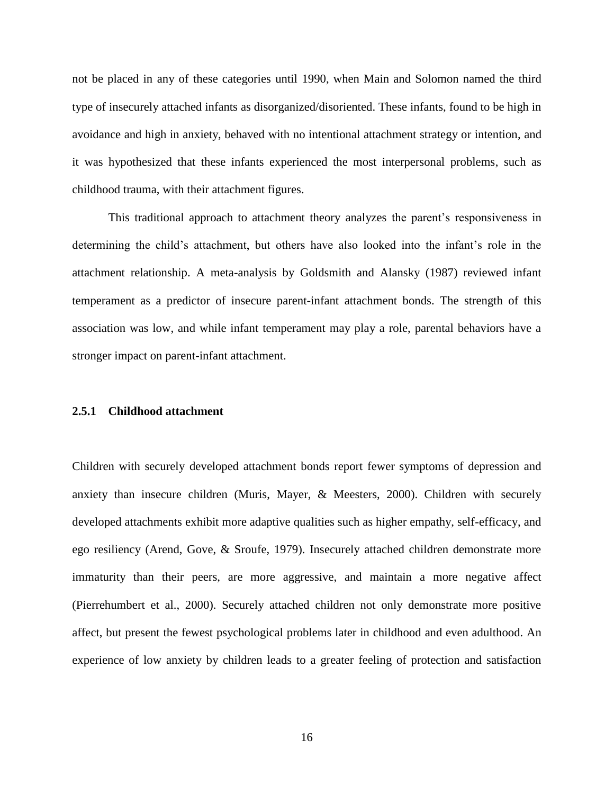<span id="page-24-0"></span>not be placed in any of these categories until 1990, when Main and Solomon named the third type of insecurely attached infants as disorganized/disoriented. These infants, found to be high in avoidance and high in anxiety, behaved with no intentional attachment strategy or intention, and it was hypothesized that these infants experienced the most interpersonal problems, such as childhood trauma, with their attachment figures.

This traditional approach to attachment theory analyzes the parent's responsiveness in determining the child's attachment, but others have also looked into the infant's role in the attachment relationship. A meta-analysis by Goldsmith and Alansky (1987) reviewed infant temperament as a predictor of insecure parent-infant attachment bonds. The strength of this association was low, and while infant temperament may play a role, parental behaviors have a stronger impact on parent-infant attachment.

#### **2.5.1 Childhood attachment**

Children with securely developed attachment bonds report fewer symptoms of depression and anxiety than insecure children (Muris, Mayer, & Meesters, 2000). Children with securely developed attachments exhibit more adaptive qualities such as higher empathy, self-efficacy, and ego resiliency (Arend, Gove, & Sroufe, 1979). Insecurely attached children demonstrate more immaturity than their peers, are more aggressive, and maintain a more negative affect (Pierrehumbert et al., 2000). Securely attached children not only demonstrate more positive affect, but present the fewest psychological problems later in childhood and even adulthood. An experience of low anxiety by children leads to a greater feeling of protection and satisfaction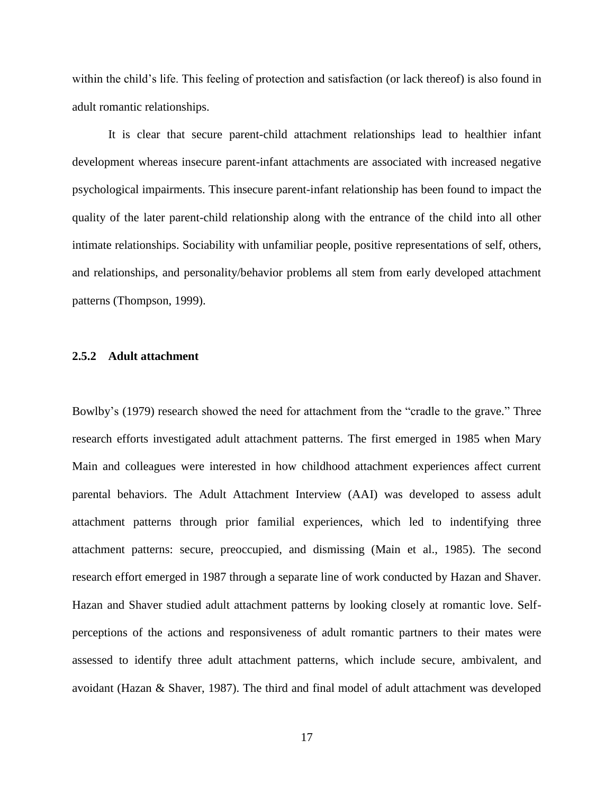<span id="page-25-0"></span>within the child's life. This feeling of protection and satisfaction (or lack thereof) is also found in adult romantic relationships.

It is clear that secure parent-child attachment relationships lead to healthier infant development whereas insecure parent-infant attachments are associated with increased negative psychological impairments. This insecure parent-infant relationship has been found to impact the quality of the later parent-child relationship along with the entrance of the child into all other intimate relationships. Sociability with unfamiliar people, positive representations of self, others, and relationships, and personality/behavior problems all stem from early developed attachment patterns (Thompson, 1999).

## **2.5.2 Adult attachment**

Bowlby's (1979) research showed the need for attachment from the "cradle to the grave." Three research efforts investigated adult attachment patterns. The first emerged in 1985 when Mary Main and colleagues were interested in how childhood attachment experiences affect current parental behaviors. The Adult Attachment Interview (AAI) was developed to assess adult attachment patterns through prior familial experiences, which led to indentifying three attachment patterns: secure, preoccupied, and dismissing (Main et al., 1985). The second research effort emerged in 1987 through a separate line of work conducted by Hazan and Shaver. Hazan and Shaver studied adult attachment patterns by looking closely at romantic love. Selfperceptions of the actions and responsiveness of adult romantic partners to their mates were assessed to identify three adult attachment patterns, which include secure, ambivalent, and avoidant (Hazan & Shaver, 1987). The third and final model of adult attachment was developed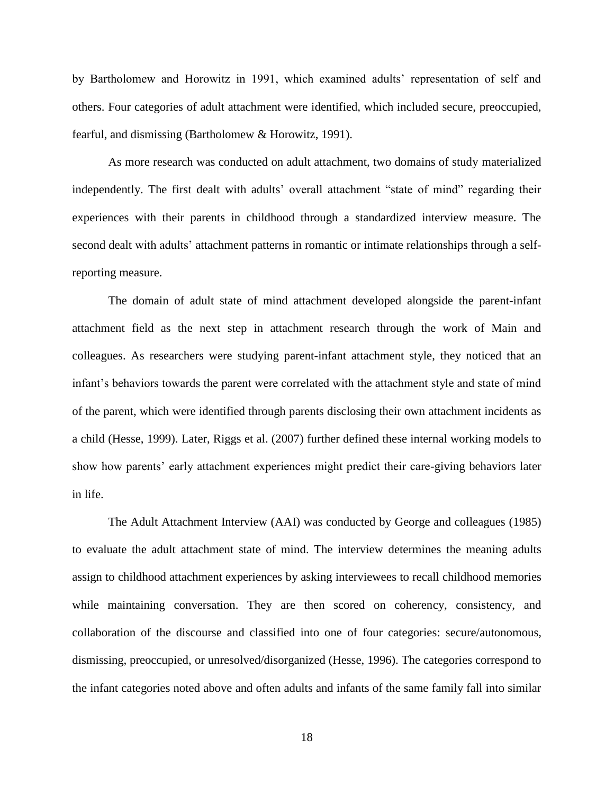by Bartholomew and Horowitz in 1991, which examined adults' representation of self and others. Four categories of adult attachment were identified, which included secure, preoccupied, fearful, and dismissing (Bartholomew & Horowitz, 1991).

As more research was conducted on adult attachment, two domains of study materialized independently. The first dealt with adults' overall attachment "state of mind" regarding their experiences with their parents in childhood through a standardized interview measure. The second dealt with adults' attachment patterns in romantic or intimate relationships through a selfreporting measure.

The domain of adult state of mind attachment developed alongside the parent-infant attachment field as the next step in attachment research through the work of Main and colleagues. As researchers were studying parent-infant attachment style, they noticed that an infant's behaviors towards the parent were correlated with the attachment style and state of mind of the parent, which were identified through parents disclosing their own attachment incidents as a child (Hesse, 1999). Later, Riggs et al. (2007) further defined these internal working models to show how parents' early attachment experiences might predict their care-giving behaviors later in life.

The Adult Attachment Interview (AAI) was conducted by George and colleagues (1985) to evaluate the adult attachment state of mind. The interview determines the meaning adults assign to childhood attachment experiences by asking interviewees to recall childhood memories while maintaining conversation. They are then scored on coherency, consistency, and collaboration of the discourse and classified into one of four categories: secure/autonomous, dismissing, preoccupied, or unresolved/disorganized (Hesse, 1996). The categories correspond to the infant categories noted above and often adults and infants of the same family fall into similar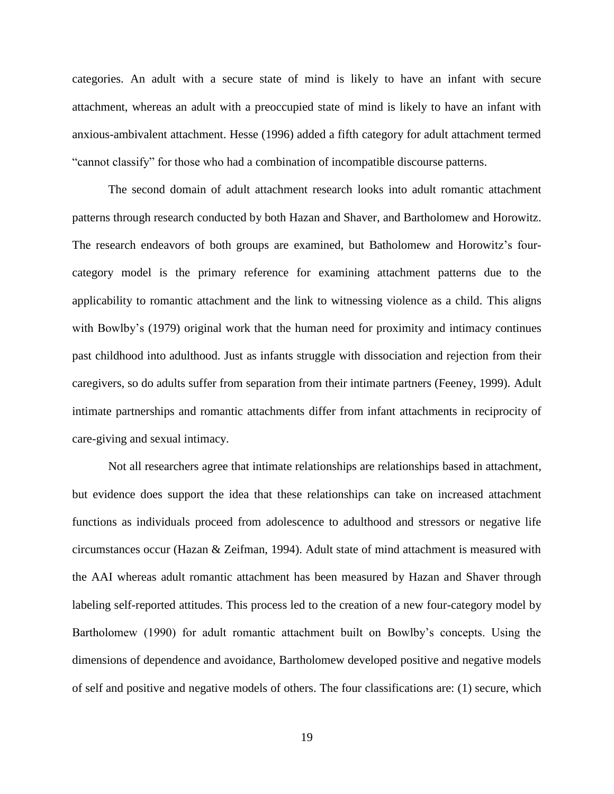categories. An adult with a secure state of mind is likely to have an infant with secure attachment, whereas an adult with a preoccupied state of mind is likely to have an infant with anxious-ambivalent attachment. Hesse (1996) added a fifth category for adult attachment termed "cannot classify" for those who had a combination of incompatible discourse patterns.

The second domain of adult attachment research looks into adult romantic attachment patterns through research conducted by both Hazan and Shaver, and Bartholomew and Horowitz. The research endeavors of both groups are examined, but Batholomew and Horowitz's fourcategory model is the primary reference for examining attachment patterns due to the applicability to romantic attachment and the link to witnessing violence as a child. This aligns with Bowlby's (1979) original work that the human need for proximity and intimacy continues past childhood into adulthood. Just as infants struggle with dissociation and rejection from their caregivers, so do adults suffer from separation from their intimate partners (Feeney, 1999). Adult intimate partnerships and romantic attachments differ from infant attachments in reciprocity of care-giving and sexual intimacy.

Not all researchers agree that intimate relationships are relationships based in attachment, but evidence does support the idea that these relationships can take on increased attachment functions as individuals proceed from adolescence to adulthood and stressors or negative life circumstances occur (Hazan & Zeifman, 1994). Adult state of mind attachment is measured with the AAI whereas adult romantic attachment has been measured by Hazan and Shaver through labeling self-reported attitudes. This process led to the creation of a new four-category model by Bartholomew (1990) for adult romantic attachment built on Bowlby's concepts. Using the dimensions of dependence and avoidance, Bartholomew developed positive and negative models of self and positive and negative models of others. The four classifications are: (1) secure, which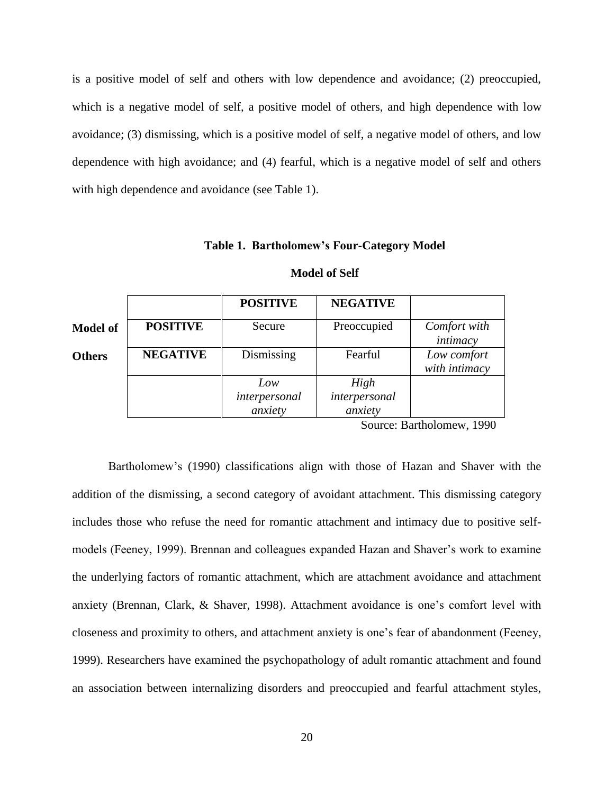<span id="page-28-0"></span>is a positive model of self and others with low dependence and avoidance; (2) preoccupied, which is a negative model of self, a positive model of others, and high dependence with low avoidance; (3) dismissing, which is a positive model of self, a negative model of others, and low dependence with high avoidance; and (4) fearful, which is a negative model of self and others with high dependence and avoidance (see Table 1).

**Table 1. Bartholomew's Four-Category Model**

|                 |                 | <b>POSITIVE</b>                 | <b>NEGATIVE</b>                  |                              |
|-----------------|-----------------|---------------------------------|----------------------------------|------------------------------|
| <b>Model of</b> | <b>POSITIVE</b> | Secure                          | Preoccupied                      | Comfort with<br>intimacy     |
| <b>Others</b>   | <b>NEGATIVE</b> | Dismissing                      | Fearful                          | Low comfort<br>with intimacy |
|                 |                 | Low<br>interpersonal<br>anxiety | High<br>interpersonal<br>anxiety |                              |

#### **Model of Self**

Source: Bartholomew, 1990

Bartholomew's (1990) classifications align with those of Hazan and Shaver with the addition of the dismissing, a second category of avoidant attachment. This dismissing category includes those who refuse the need for romantic attachment and intimacy due to positive selfmodels (Feeney, 1999). Brennan and colleagues expanded Hazan and Shaver's work to examine the underlying factors of romantic attachment, which are attachment avoidance and attachment anxiety (Brennan, Clark, & Shaver, 1998). Attachment avoidance is one's comfort level with closeness and proximity to others, and attachment anxiety is one's fear of abandonment (Feeney, 1999). Researchers have examined the psychopathology of adult romantic attachment and found an association between internalizing disorders and preoccupied and fearful attachment styles,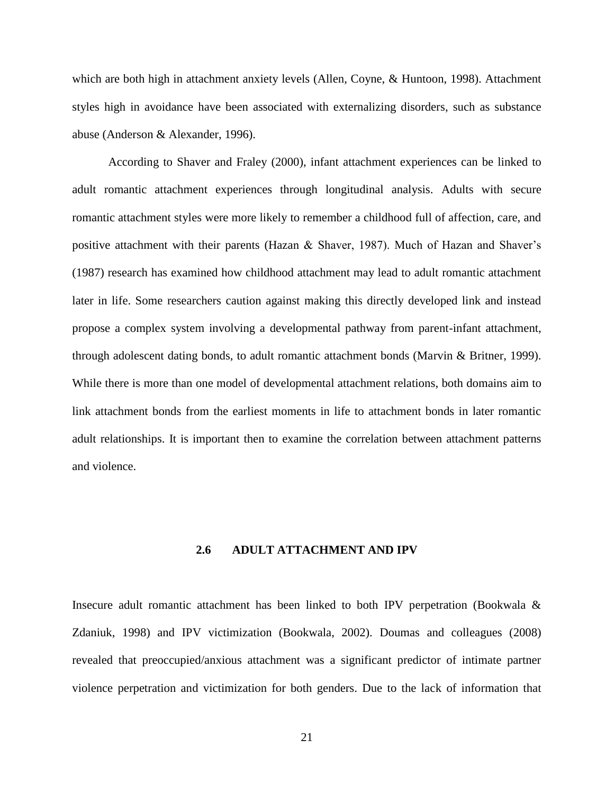<span id="page-29-0"></span>which are both high in attachment anxiety levels (Allen, Coyne, & Huntoon, 1998). Attachment styles high in avoidance have been associated with externalizing disorders, such as substance abuse (Anderson & Alexander, 1996).

According to Shaver and Fraley (2000), infant attachment experiences can be linked to adult romantic attachment experiences through longitudinal analysis. Adults with secure romantic attachment styles were more likely to remember a childhood full of affection, care, and positive attachment with their parents (Hazan & Shaver, 1987). Much of Hazan and Shaver's (1987) research has examined how childhood attachment may lead to adult romantic attachment later in life. Some researchers caution against making this directly developed link and instead propose a complex system involving a developmental pathway from parent-infant attachment, through adolescent dating bonds, to adult romantic attachment bonds (Marvin & Britner, 1999). While there is more than one model of developmental attachment relations, both domains aim to link attachment bonds from the earliest moments in life to attachment bonds in later romantic adult relationships. It is important then to examine the correlation between attachment patterns and violence.

#### **2.6 ADULT ATTACHMENT AND IPV**

Insecure adult romantic attachment has been linked to both IPV perpetration (Bookwala & Zdaniuk, 1998) and IPV victimization (Bookwala, 2002). Doumas and colleagues (2008) revealed that preoccupied/anxious attachment was a significant predictor of intimate partner violence perpetration and victimization for both genders. Due to the lack of information that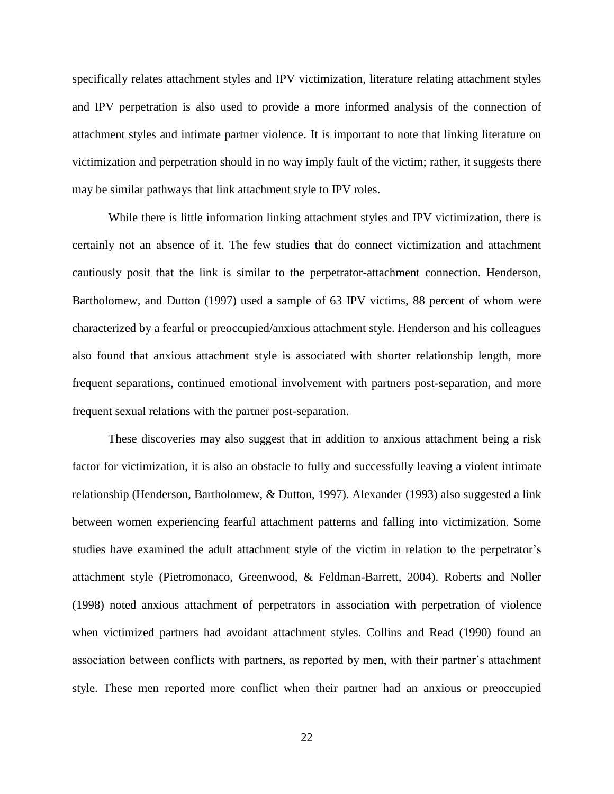specifically relates attachment styles and IPV victimization, literature relating attachment styles and IPV perpetration is also used to provide a more informed analysis of the connection of attachment styles and intimate partner violence. It is important to note that linking literature on victimization and perpetration should in no way imply fault of the victim; rather, it suggests there may be similar pathways that link attachment style to IPV roles.

While there is little information linking attachment styles and IPV victimization, there is certainly not an absence of it. The few studies that do connect victimization and attachment cautiously posit that the link is similar to the perpetrator-attachment connection. Henderson, Bartholomew, and Dutton (1997) used a sample of 63 IPV victims, 88 percent of whom were characterized by a fearful or preoccupied/anxious attachment style. Henderson and his colleagues also found that anxious attachment style is associated with shorter relationship length, more frequent separations, continued emotional involvement with partners post-separation, and more frequent sexual relations with the partner post-separation.

These discoveries may also suggest that in addition to anxious attachment being a risk factor for victimization, it is also an obstacle to fully and successfully leaving a violent intimate relationship (Henderson, Bartholomew, & Dutton, 1997). Alexander (1993) also suggested a link between women experiencing fearful attachment patterns and falling into victimization. Some studies have examined the adult attachment style of the victim in relation to the perpetrator's attachment style (Pietromonaco, Greenwood, & Feldman-Barrett, 2004). Roberts and Noller (1998) noted anxious attachment of perpetrators in association with perpetration of violence when victimized partners had avoidant attachment styles. Collins and Read (1990) found an association between conflicts with partners, as reported by men, with their partner's attachment style. These men reported more conflict when their partner had an anxious or preoccupied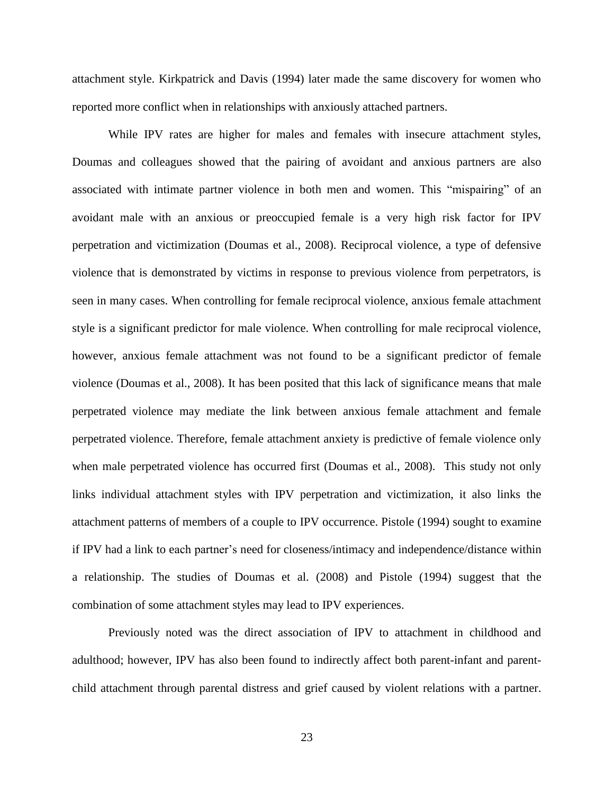attachment style. Kirkpatrick and Davis (1994) later made the same discovery for women who reported more conflict when in relationships with anxiously attached partners.

While IPV rates are higher for males and females with insecure attachment styles, Doumas and colleagues showed that the pairing of avoidant and anxious partners are also associated with intimate partner violence in both men and women. This "mispairing" of an avoidant male with an anxious or preoccupied female is a very high risk factor for IPV perpetration and victimization (Doumas et al., 2008). Reciprocal violence, a type of defensive violence that is demonstrated by victims in response to previous violence from perpetrators, is seen in many cases. When controlling for female reciprocal violence, anxious female attachment style is a significant predictor for male violence. When controlling for male reciprocal violence, however, anxious female attachment was not found to be a significant predictor of female violence (Doumas et al., 2008). It has been posited that this lack of significance means that male perpetrated violence may mediate the link between anxious female attachment and female perpetrated violence. Therefore, female attachment anxiety is predictive of female violence only when male perpetrated violence has occurred first (Doumas et al., 2008). This study not only links individual attachment styles with IPV perpetration and victimization, it also links the attachment patterns of members of a couple to IPV occurrence. Pistole (1994) sought to examine if IPV had a link to each partner's need for closeness/intimacy and independence/distance within a relationship. The studies of Doumas et al. (2008) and Pistole (1994) suggest that the combination of some attachment styles may lead to IPV experiences.

Previously noted was the direct association of IPV to attachment in childhood and adulthood; however, IPV has also been found to indirectly affect both parent-infant and parentchild attachment through parental distress and grief caused by violent relations with a partner.

23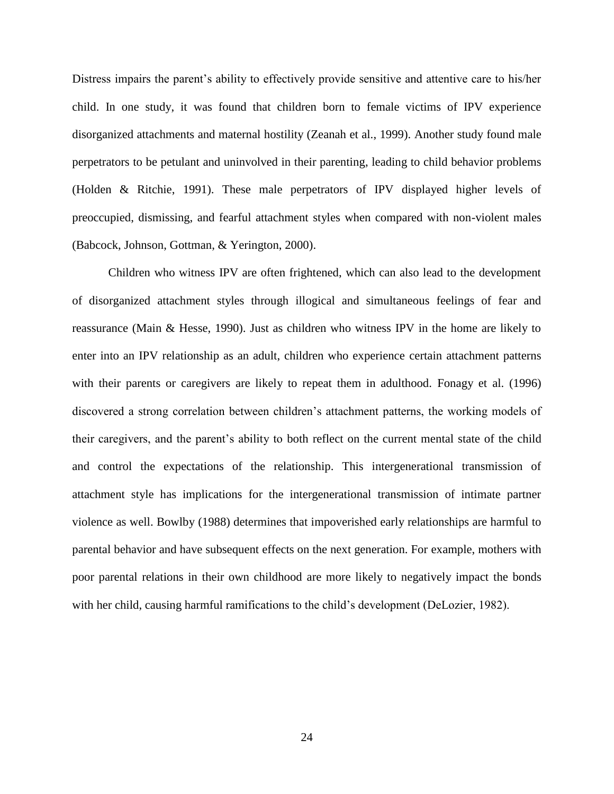Distress impairs the parent's ability to effectively provide sensitive and attentive care to his/her child. In one study, it was found that children born to female victims of IPV experience disorganized attachments and maternal hostility (Zeanah et al., 1999). Another study found male perpetrators to be petulant and uninvolved in their parenting, leading to child behavior problems (Holden & Ritchie, 1991). These male perpetrators of IPV displayed higher levels of preoccupied, dismissing, and fearful attachment styles when compared with non-violent males (Babcock, Johnson, Gottman, & Yerington, 2000).

Children who witness IPV are often frightened, which can also lead to the development of disorganized attachment styles through illogical and simultaneous feelings of fear and reassurance (Main & Hesse, 1990). Just as children who witness IPV in the home are likely to enter into an IPV relationship as an adult, children who experience certain attachment patterns with their parents or caregivers are likely to repeat them in adulthood. Fonagy et al. (1996) discovered a strong correlation between children's attachment patterns, the working models of their caregivers, and the parent's ability to both reflect on the current mental state of the child and control the expectations of the relationship. This intergenerational transmission of attachment style has implications for the intergenerational transmission of intimate partner violence as well. Bowlby (1988) determines that impoverished early relationships are harmful to parental behavior and have subsequent effects on the next generation. For example, mothers with poor parental relations in their own childhood are more likely to negatively impact the bonds with her child, causing harmful ramifications to the child's development (DeLozier, 1982).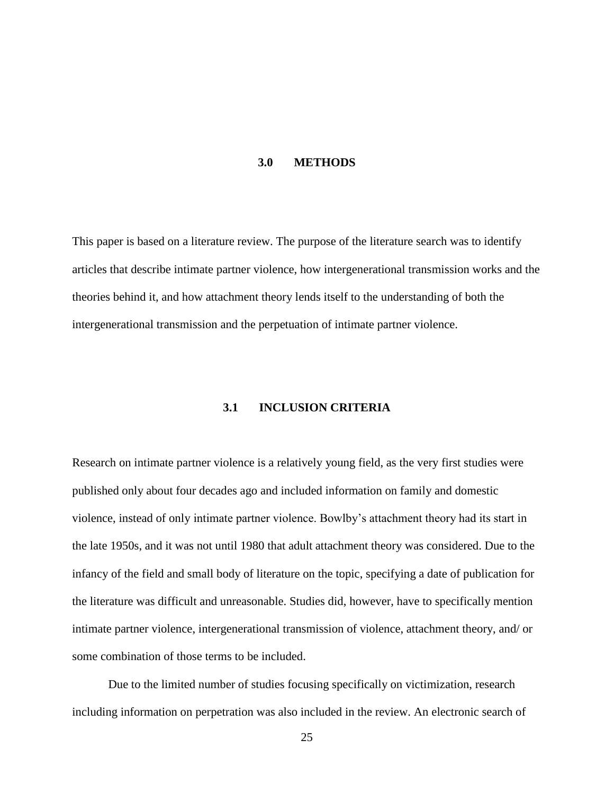#### **3.0 METHODS**

<span id="page-33-0"></span>This paper is based on a literature review. The purpose of the literature search was to identify articles that describe intimate partner violence, how intergenerational transmission works and the theories behind it, and how attachment theory lends itself to the understanding of both the intergenerational transmission and the perpetuation of intimate partner violence.

# **3.1 INCLUSION CRITERIA**

Research on intimate partner violence is a relatively young field, as the very first studies were published only about four decades ago and included information on family and domestic violence, instead of only intimate partner violence. Bowlby's attachment theory had its start in the late 1950s, and it was not until 1980 that adult attachment theory was considered. Due to the infancy of the field and small body of literature on the topic, specifying a date of publication for the literature was difficult and unreasonable. Studies did, however, have to specifically mention intimate partner violence, intergenerational transmission of violence, attachment theory, and/ or some combination of those terms to be included.

Due to the limited number of studies focusing specifically on victimization, research including information on perpetration was also included in the review. An electronic search of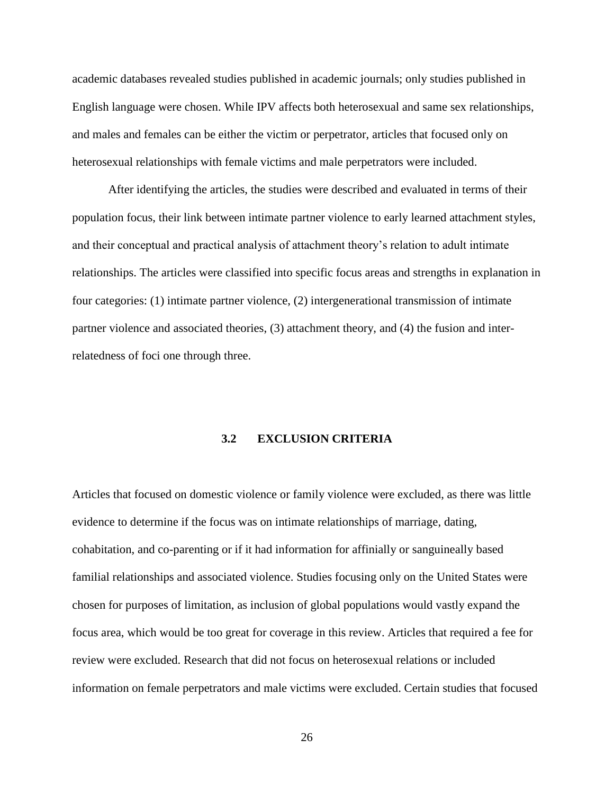<span id="page-34-0"></span>academic databases revealed studies published in academic journals; only studies published in English language were chosen. While IPV affects both heterosexual and same sex relationships, and males and females can be either the victim or perpetrator, articles that focused only on heterosexual relationships with female victims and male perpetrators were included.

After identifying the articles, the studies were described and evaluated in terms of their population focus, their link between intimate partner violence to early learned attachment styles, and their conceptual and practical analysis of attachment theory's relation to adult intimate relationships. The articles were classified into specific focus areas and strengths in explanation in four categories: (1) intimate partner violence, (2) intergenerational transmission of intimate partner violence and associated theories, (3) attachment theory, and (4) the fusion and interrelatedness of foci one through three.

#### **3.2 EXCLUSION CRITERIA**

Articles that focused on domestic violence or family violence were excluded, as there was little evidence to determine if the focus was on intimate relationships of marriage, dating, cohabitation, and co-parenting or if it had information for affinially or sanguineally based familial relationships and associated violence. Studies focusing only on the United States were chosen for purposes of limitation, as inclusion of global populations would vastly expand the focus area, which would be too great for coverage in this review. Articles that required a fee for review were excluded. Research that did not focus on heterosexual relations or included information on female perpetrators and male victims were excluded. Certain studies that focused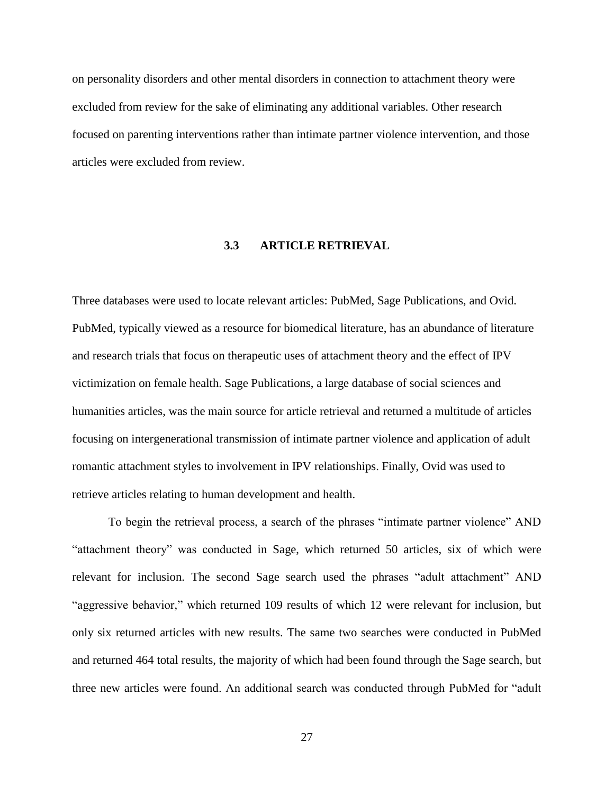<span id="page-35-0"></span>on personality disorders and other mental disorders in connection to attachment theory were excluded from review for the sake of eliminating any additional variables. Other research focused on parenting interventions rather than intimate partner violence intervention, and those articles were excluded from review.

#### **3.3 ARTICLE RETRIEVAL**

Three databases were used to locate relevant articles: PubMed, Sage Publications, and Ovid. PubMed, typically viewed as a resource for biomedical literature, has an abundance of literature and research trials that focus on therapeutic uses of attachment theory and the effect of IPV victimization on female health. Sage Publications, a large database of social sciences and humanities articles, was the main source for article retrieval and returned a multitude of articles focusing on intergenerational transmission of intimate partner violence and application of adult romantic attachment styles to involvement in IPV relationships. Finally, Ovid was used to retrieve articles relating to human development and health.

To begin the retrieval process, a search of the phrases "intimate partner violence" AND "attachment theory" was conducted in Sage, which returned 50 articles, six of which were relevant for inclusion. The second Sage search used the phrases "adult attachment" AND "aggressive behavior," which returned 109 results of which 12 were relevant for inclusion, but only six returned articles with new results. The same two searches were conducted in PubMed and returned 464 total results, the majority of which had been found through the Sage search, but three new articles were found. An additional search was conducted through PubMed for "adult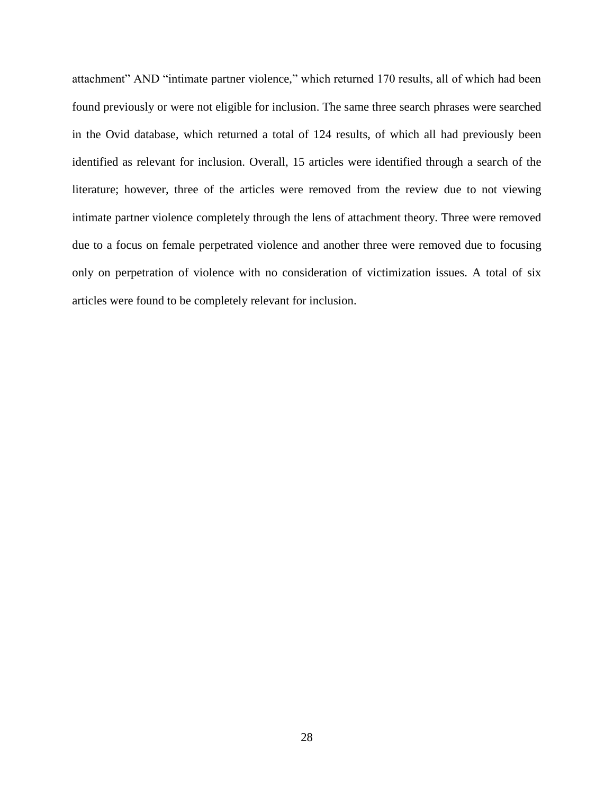attachment" AND "intimate partner violence," which returned 170 results, all of which had been found previously or were not eligible for inclusion. The same three search phrases were searched in the Ovid database, which returned a total of 124 results, of which all had previously been identified as relevant for inclusion. Overall, 15 articles were identified through a search of the literature; however, three of the articles were removed from the review due to not viewing intimate partner violence completely through the lens of attachment theory. Three were removed due to a focus on female perpetrated violence and another three were removed due to focusing only on perpetration of violence with no consideration of victimization issues. A total of six articles were found to be completely relevant for inclusion.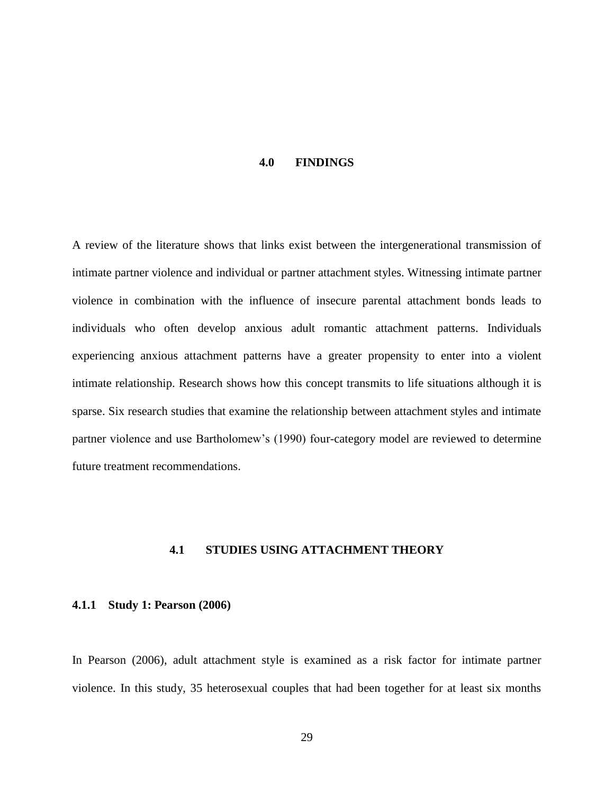# **4.0 FINDINGS**

A review of the literature shows that links exist between the intergenerational transmission of intimate partner violence and individual or partner attachment styles. Witnessing intimate partner violence in combination with the influence of insecure parental attachment bonds leads to individuals who often develop anxious adult romantic attachment patterns. Individuals experiencing anxious attachment patterns have a greater propensity to enter into a violent intimate relationship. Research shows how this concept transmits to life situations although it is sparse. Six research studies that examine the relationship between attachment styles and intimate partner violence and use Bartholomew's (1990) four-category model are reviewed to determine future treatment recommendations.

## **4.1 STUDIES USING ATTACHMENT THEORY**

## **4.1.1 Study 1: Pearson (2006)**

In Pearson (2006), adult attachment style is examined as a risk factor for intimate partner violence. In this study, 35 heterosexual couples that had been together for at least six months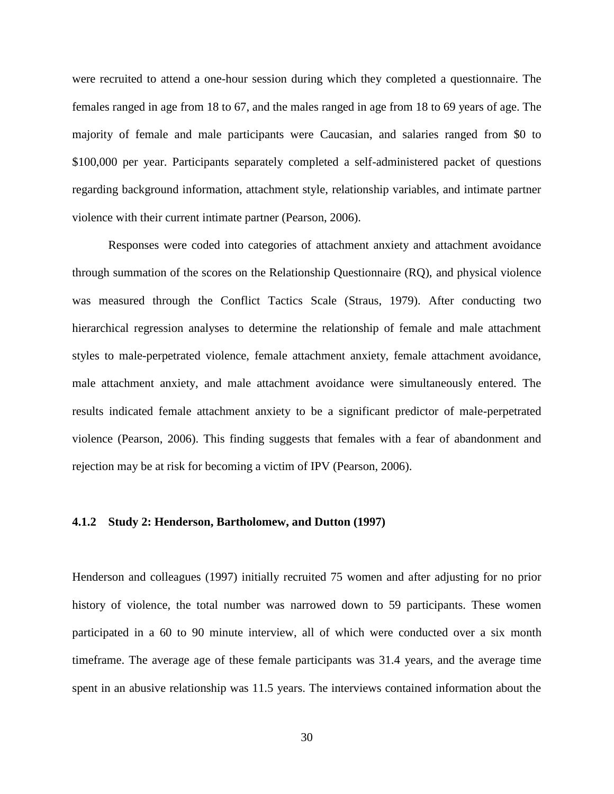were recruited to attend a one-hour session during which they completed a questionnaire. The females ranged in age from 18 to 67, and the males ranged in age from 18 to 69 years of age. The majority of female and male participants were Caucasian, and salaries ranged from \$0 to \$100,000 per year. Participants separately completed a self-administered packet of questions regarding background information, attachment style, relationship variables, and intimate partner violence with their current intimate partner (Pearson, 2006).

Responses were coded into categories of attachment anxiety and attachment avoidance through summation of the scores on the Relationship Questionnaire (RQ), and physical violence was measured through the Conflict Tactics Scale (Straus, 1979). After conducting two hierarchical regression analyses to determine the relationship of female and male attachment styles to male-perpetrated violence, female attachment anxiety, female attachment avoidance, male attachment anxiety, and male attachment avoidance were simultaneously entered. The results indicated female attachment anxiety to be a significant predictor of male-perpetrated violence (Pearson, 2006). This finding suggests that females with a fear of abandonment and rejection may be at risk for becoming a victim of IPV (Pearson, 2006).

### **4.1.2 Study 2: Henderson, Bartholomew, and Dutton (1997)**

Henderson and colleagues (1997) initially recruited 75 women and after adjusting for no prior history of violence, the total number was narrowed down to 59 participants. These women participated in a 60 to 90 minute interview, all of which were conducted over a six month timeframe. The average age of these female participants was 31.4 years, and the average time spent in an abusive relationship was 11.5 years. The interviews contained information about the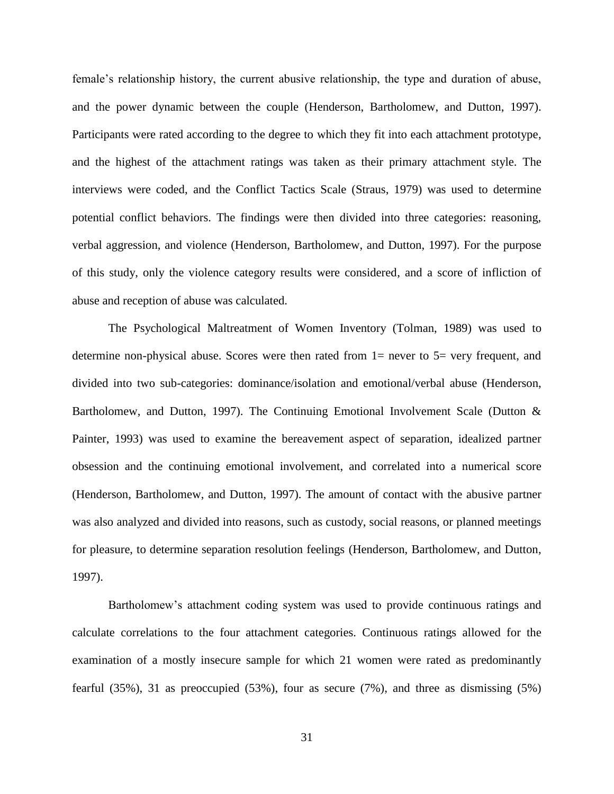female's relationship history, the current abusive relationship, the type and duration of abuse, and the power dynamic between the couple (Henderson, Bartholomew, and Dutton, 1997). Participants were rated according to the degree to which they fit into each attachment prototype, and the highest of the attachment ratings was taken as their primary attachment style. The interviews were coded, and the Conflict Tactics Scale (Straus, 1979) was used to determine potential conflict behaviors. The findings were then divided into three categories: reasoning, verbal aggression, and violence (Henderson, Bartholomew, and Dutton, 1997). For the purpose of this study, only the violence category results were considered, and a score of infliction of abuse and reception of abuse was calculated.

The Psychological Maltreatment of Women Inventory (Tolman, 1989) was used to determine non-physical abuse. Scores were then rated from 1= never to 5= very frequent, and divided into two sub-categories: dominance/isolation and emotional/verbal abuse (Henderson, Bartholomew, and Dutton, 1997). The Continuing Emotional Involvement Scale (Dutton & Painter, 1993) was used to examine the bereavement aspect of separation, idealized partner obsession and the continuing emotional involvement, and correlated into a numerical score (Henderson, Bartholomew, and Dutton, 1997). The amount of contact with the abusive partner was also analyzed and divided into reasons, such as custody, social reasons, or planned meetings for pleasure, to determine separation resolution feelings (Henderson, Bartholomew, and Dutton, 1997).

Bartholomew's attachment coding system was used to provide continuous ratings and calculate correlations to the four attachment categories. Continuous ratings allowed for the examination of a mostly insecure sample for which 21 women were rated as predominantly fearful (35%), 31 as preoccupied (53%), four as secure (7%), and three as dismissing (5%)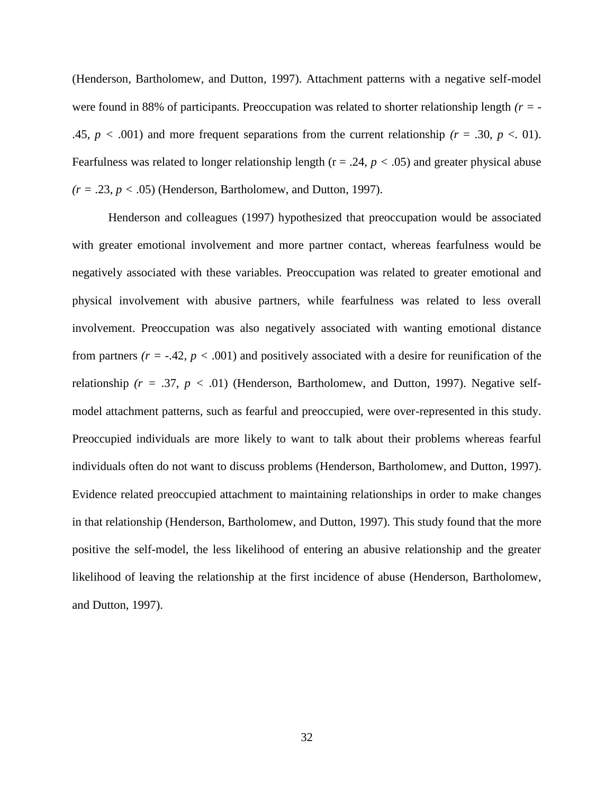(Henderson, Bartholomew, and Dutton, 1997). Attachment patterns with a negative self-model were found in 88% of participants. Preoccupation was related to shorter relationship length *(r =* - .45,  $p < .001$ ) and more frequent separations from the current relationship  $(r = .30, p < .01)$ . Fearfulness was related to longer relationship length ( $r = .24$ ,  $p < .05$ ) and greater physical abuse  $(r = .23, p < .05)$  (Henderson, Bartholomew, and Dutton, 1997).

Henderson and colleagues (1997) hypothesized that preoccupation would be associated with greater emotional involvement and more partner contact, whereas fearfulness would be negatively associated with these variables. Preoccupation was related to greater emotional and physical involvement with abusive partners, while fearfulness was related to less overall involvement. Preoccupation was also negatively associated with wanting emotional distance from partners  $(r = -.42, p < .001)$  and positively associated with a desire for reunification of the relationship  $(r = .37, p < .01)$  (Henderson, Bartholomew, and Dutton, 1997). Negative selfmodel attachment patterns, such as fearful and preoccupied, were over-represented in this study. Preoccupied individuals are more likely to want to talk about their problems whereas fearful individuals often do not want to discuss problems (Henderson, Bartholomew, and Dutton, 1997). Evidence related preoccupied attachment to maintaining relationships in order to make changes in that relationship (Henderson, Bartholomew, and Dutton, 1997). This study found that the more positive the self-model, the less likelihood of entering an abusive relationship and the greater likelihood of leaving the relationship at the first incidence of abuse (Henderson, Bartholomew, and Dutton, 1997).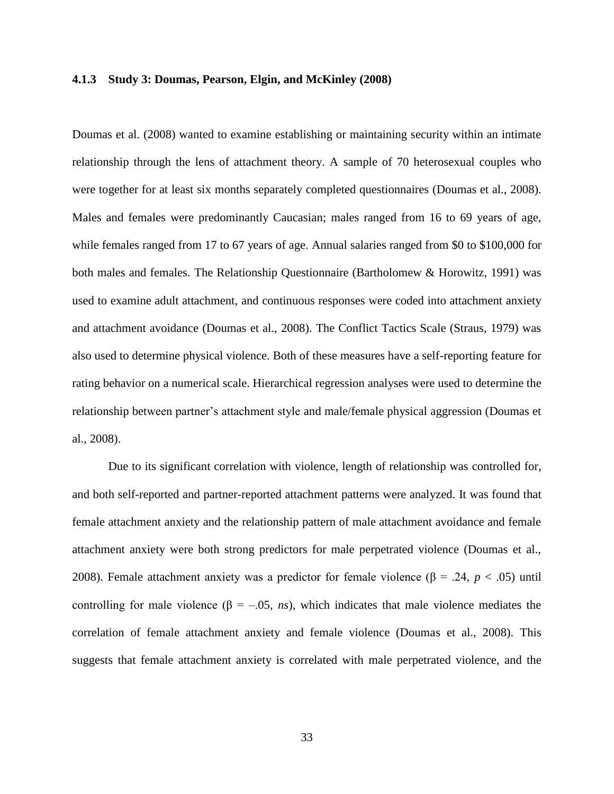### **4.1.3 Study 3: Doumas, Pearson, Elgin, and McKinley (2008)**

Doumas et al. (2008) wanted to examine establishing or maintaining security within an intimate relationship through the lens of attachment theory. A sample of 70 heterosexual couples who were together for at least six months separately completed questionnaires (Doumas et al., 2008). Males and females were predominantly Caucasian; males ranged from 16 to 69 years of age, while females ranged from 17 to 67 years of age. Annual salaries ranged from \$0 to \$100,000 for both males and females. The Relationship Questionnaire (Bartholomew & Horowitz, 1991) was used to examine adult attachment, and continuous responses were coded into attachment anxiety and attachment avoidance (Doumas et al., 2008). The Conflict Tactics Scale (Straus, 1979) was also used to determine physical violence. Both of these measures have a self-reporting feature for rating behavior on a numerical scale. Hierarchical regression analyses were used to determine the relationship between partner's attachment style and male/female physical aggression (Doumas et al., 2008).

Due to its significant correlation with violence, length of relationship was controlled for, and both self-reported and partner-reported attachment patterns were analyzed. It was found that female attachment anxiety and the relationship pattern of male attachment avoidance and female attachment anxiety were both strong predictors for male perpetrated violence (Doumas et al., 2008). Female attachment anxiety was a predictor for female violence (β = .24, *p* < .05) until controlling for male violence ( $\beta = -0.05$ , *ns*), which indicates that male violence mediates the correlation of female attachment anxiety and female violence (Doumas et al., 2008). This suggests that female attachment anxiety is correlated with male perpetrated violence, and the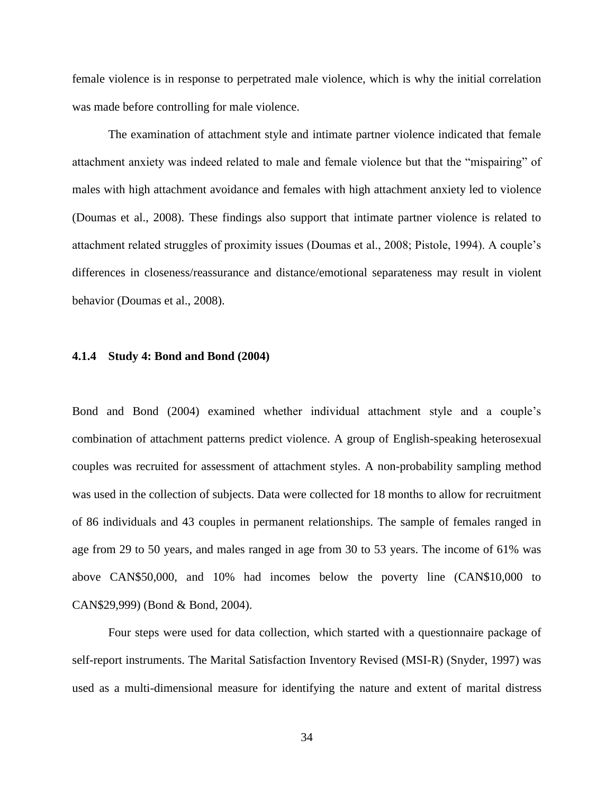female violence is in response to perpetrated male violence, which is why the initial correlation was made before controlling for male violence.

The examination of attachment style and intimate partner violence indicated that female attachment anxiety was indeed related to male and female violence but that the "mispairing" of males with high attachment avoidance and females with high attachment anxiety led to violence (Doumas et al., 2008). These findings also support that intimate partner violence is related to attachment related struggles of proximity issues (Doumas et al., 2008; Pistole, 1994). A couple's differences in closeness/reassurance and distance/emotional separateness may result in violent behavior (Doumas et al., 2008).

### **4.1.4 Study 4: Bond and Bond (2004)**

Bond and Bond (2004) examined whether individual attachment style and a couple's combination of attachment patterns predict violence. A group of English-speaking heterosexual couples was recruited for assessment of attachment styles. A non-probability sampling method was used in the collection of subjects. Data were collected for 18 months to allow for recruitment of 86 individuals and 43 couples in permanent relationships. The sample of females ranged in age from 29 to 50 years, and males ranged in age from 30 to 53 years. The income of 61% was above CAN\$50,000, and 10% had incomes below the poverty line (CAN\$10,000 to CAN\$29,999) (Bond & Bond, 2004).

Four steps were used for data collection, which started with a questionnaire package of self-report instruments. The Marital Satisfaction Inventory Revised (MSI-R) (Snyder, 1997) was used as a multi-dimensional measure for identifying the nature and extent of marital distress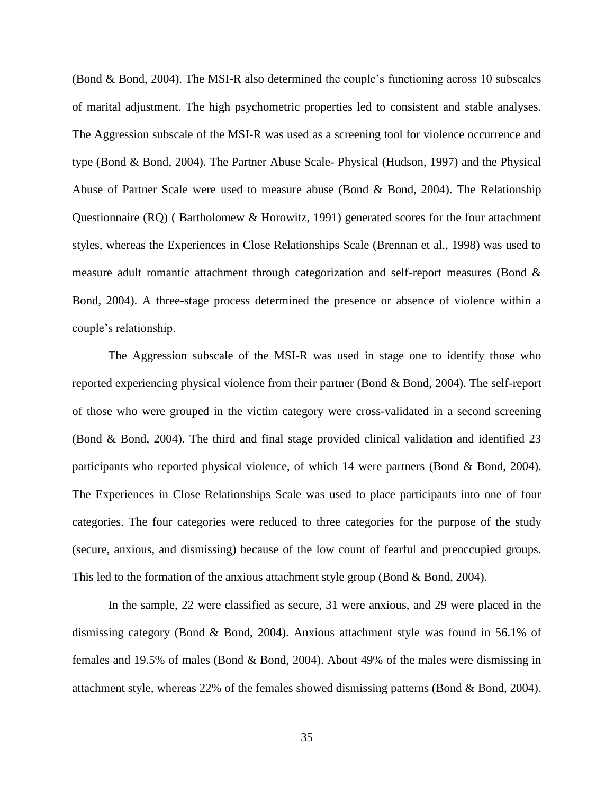(Bond & Bond, 2004). The MSI-R also determined the couple's functioning across 10 subscales of marital adjustment. The high psychometric properties led to consistent and stable analyses. The Aggression subscale of the MSI-R was used as a screening tool for violence occurrence and type (Bond & Bond, 2004). The Partner Abuse Scale- Physical (Hudson, 1997) and the Physical Abuse of Partner Scale were used to measure abuse (Bond & Bond, 2004). The Relationship Questionnaire (RQ) ( Bartholomew & Horowitz, 1991) generated scores for the four attachment styles, whereas the Experiences in Close Relationships Scale (Brennan et al., 1998) was used to measure adult romantic attachment through categorization and self-report measures (Bond & Bond, 2004). A three-stage process determined the presence or absence of violence within a couple's relationship.

The Aggression subscale of the MSI-R was used in stage one to identify those who reported experiencing physical violence from their partner (Bond & Bond, 2004). The self-report of those who were grouped in the victim category were cross-validated in a second screening (Bond & Bond, 2004). The third and final stage provided clinical validation and identified 23 participants who reported physical violence, of which 14 were partners (Bond & Bond, 2004). The Experiences in Close Relationships Scale was used to place participants into one of four categories. The four categories were reduced to three categories for the purpose of the study (secure, anxious, and dismissing) because of the low count of fearful and preoccupied groups. This led to the formation of the anxious attachment style group (Bond & Bond, 2004).

In the sample, 22 were classified as secure, 31 were anxious, and 29 were placed in the dismissing category (Bond & Bond, 2004). Anxious attachment style was found in 56.1% of females and 19.5% of males (Bond & Bond, 2004). About 49% of the males were dismissing in attachment style, whereas 22% of the females showed dismissing patterns (Bond & Bond, 2004).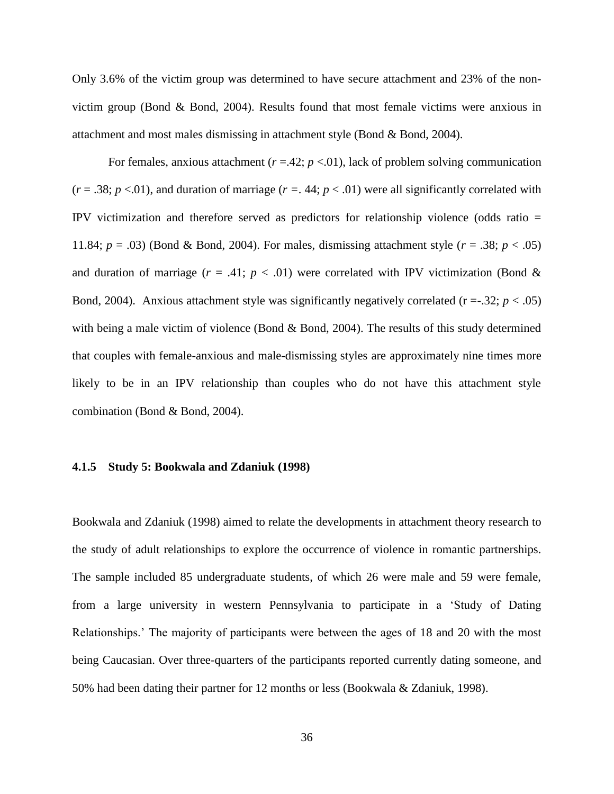Only 3.6% of the victim group was determined to have secure attachment and 23% of the nonvictim group (Bond & Bond, 2004). Results found that most female victims were anxious in attachment and most males dismissing in attachment style (Bond & Bond, 2004).

For females, anxious attachment  $(r = .42; p < .01)$ , lack of problem solving communication  $(r = .38; p < .01)$ , and duration of marriage  $(r = .44; p < .01)$  were all significantly correlated with IPV victimization and therefore served as predictors for relationship violence (odds ratio = 11.84;  $p = .03$ ) (Bond & Bond, 2004). For males, dismissing attachment style ( $r = .38$ ;  $p < .05$ ) and duration of marriage ( $r = .41$ ;  $p < .01$ ) were correlated with IPV victimization (Bond & Bond, 2004). Anxious attachment style was significantly negatively correlated  $(r = .32; p < .05)$ with being a male victim of violence (Bond  $\&$  Bond, 2004). The results of this study determined that couples with female-anxious and male-dismissing styles are approximately nine times more likely to be in an IPV relationship than couples who do not have this attachment style combination (Bond & Bond, 2004).

### **4.1.5 Study 5: Bookwala and Zdaniuk (1998)**

Bookwala and Zdaniuk (1998) aimed to relate the developments in attachment theory research to the study of adult relationships to explore the occurrence of violence in romantic partnerships. The sample included 85 undergraduate students, of which 26 were male and 59 were female, from a large university in western Pennsylvania to participate in a 'Study of Dating Relationships.' The majority of participants were between the ages of 18 and 20 with the most being Caucasian. Over three-quarters of the participants reported currently dating someone, and 50% had been dating their partner for 12 months or less (Bookwala & Zdaniuk, 1998).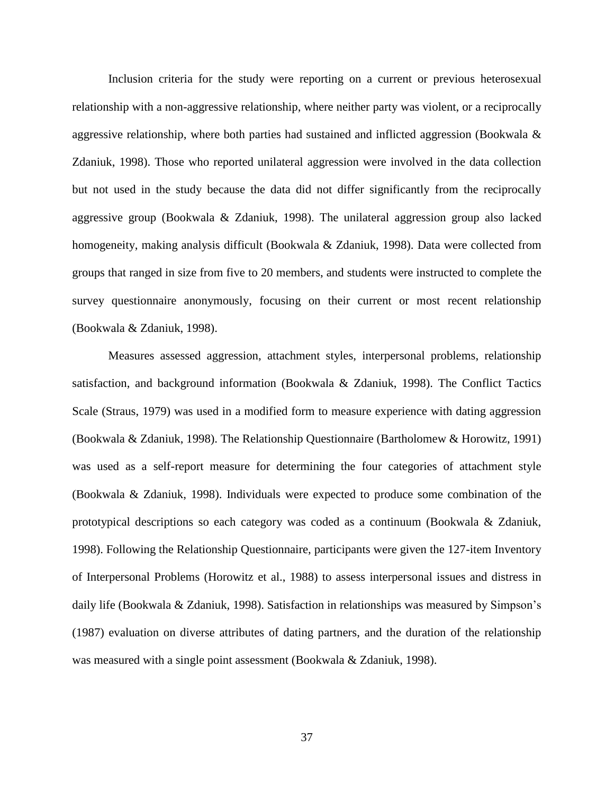Inclusion criteria for the study were reporting on a current or previous heterosexual relationship with a non-aggressive relationship, where neither party was violent, or a reciprocally aggressive relationship, where both parties had sustained and inflicted aggression (Bookwala & Zdaniuk, 1998). Those who reported unilateral aggression were involved in the data collection but not used in the study because the data did not differ significantly from the reciprocally aggressive group (Bookwala & Zdaniuk, 1998). The unilateral aggression group also lacked homogeneity, making analysis difficult (Bookwala & Zdaniuk, 1998). Data were collected from groups that ranged in size from five to 20 members, and students were instructed to complete the survey questionnaire anonymously, focusing on their current or most recent relationship (Bookwala & Zdaniuk, 1998).

Measures assessed aggression, attachment styles, interpersonal problems, relationship satisfaction, and background information (Bookwala & Zdaniuk, 1998). The Conflict Tactics Scale (Straus, 1979) was used in a modified form to measure experience with dating aggression (Bookwala & Zdaniuk, 1998). The Relationship Questionnaire (Bartholomew & Horowitz, 1991) was used as a self-report measure for determining the four categories of attachment style (Bookwala & Zdaniuk, 1998). Individuals were expected to produce some combination of the prototypical descriptions so each category was coded as a continuum (Bookwala & Zdaniuk, 1998). Following the Relationship Questionnaire, participants were given the 127-item Inventory of Interpersonal Problems (Horowitz et al., 1988) to assess interpersonal issues and distress in daily life (Bookwala & Zdaniuk, 1998). Satisfaction in relationships was measured by Simpson's (1987) evaluation on diverse attributes of dating partners, and the duration of the relationship was measured with a single point assessment (Bookwala & Zdaniuk, 1998).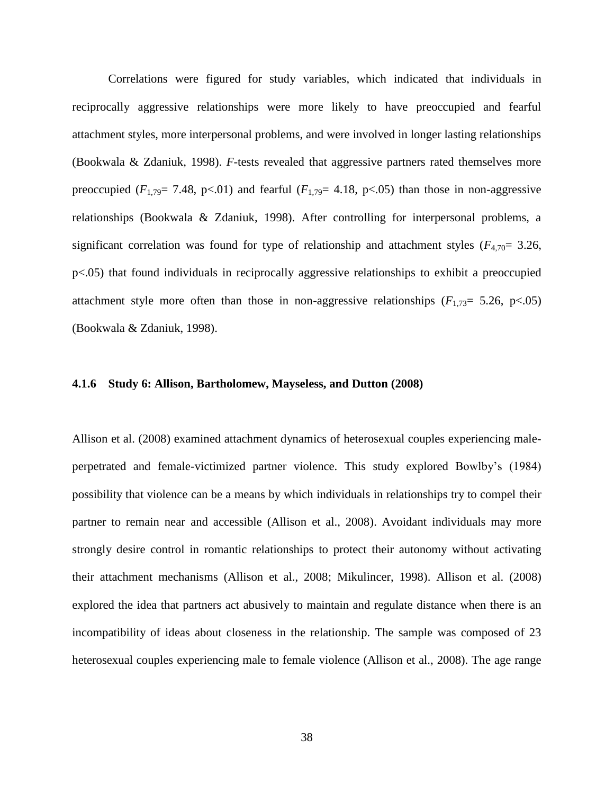Correlations were figured for study variables, which indicated that individuals in reciprocally aggressive relationships were more likely to have preoccupied and fearful attachment styles, more interpersonal problems, and were involved in longer lasting relationships (Bookwala & Zdaniuk, 1998). *F*-tests revealed that aggressive partners rated themselves more preoccupied ( $F_{1,79}$ = 7.48, p<.01) and fearful ( $F_{1,79}$ = 4.18, p<.05) than those in non-aggressive relationships (Bookwala & Zdaniuk, 1998). After controlling for interpersonal problems, a significant correlation was found for type of relationship and attachment styles  $(F_{4,70} = 3.26,$ p<.05) that found individuals in reciprocally aggressive relationships to exhibit a preoccupied attachment style more often than those in non-aggressive relationships  $(F_{1,73}= 5.26, p<.05)$ (Bookwala & Zdaniuk, 1998).

#### **4.1.6 Study 6: Allison, Bartholomew, Mayseless, and Dutton (2008)**

Allison et al. (2008) examined attachment dynamics of heterosexual couples experiencing maleperpetrated and female-victimized partner violence. This study explored Bowlby's (1984) possibility that violence can be a means by which individuals in relationships try to compel their partner to remain near and accessible (Allison et al., 2008). Avoidant individuals may more strongly desire control in romantic relationships to protect their autonomy without activating their attachment mechanisms (Allison et al., 2008; Mikulincer, 1998). Allison et al. (2008) explored the idea that partners act abusively to maintain and regulate distance when there is an incompatibility of ideas about closeness in the relationship. The sample was composed of 23 heterosexual couples experiencing male to female violence (Allison et al., 2008). The age range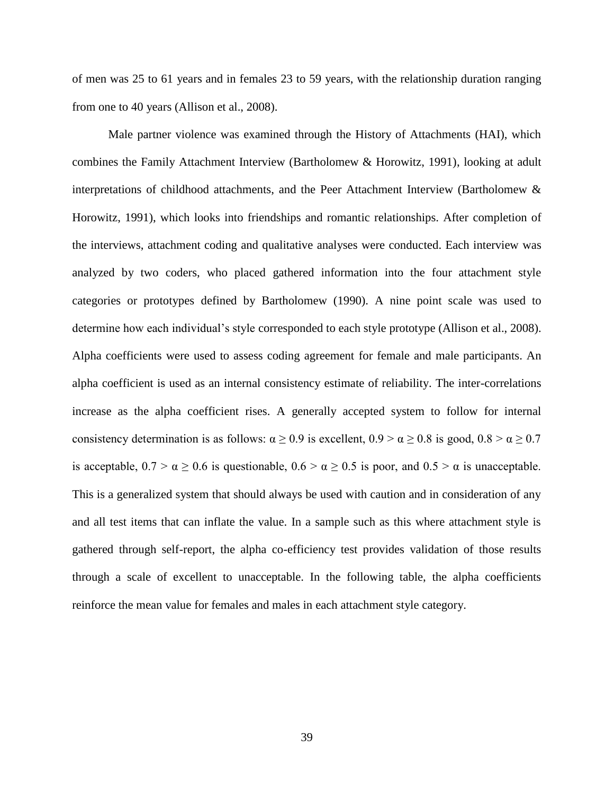of men was 25 to 61 years and in females 23 to 59 years, with the relationship duration ranging from one to 40 years (Allison et al., 2008).

Male partner violence was examined through the History of Attachments (HAI), which combines the Family Attachment Interview (Bartholomew & Horowitz, 1991), looking at adult interpretations of childhood attachments, and the Peer Attachment Interview (Bartholomew & Horowitz, 1991), which looks into friendships and romantic relationships. After completion of the interviews, attachment coding and qualitative analyses were conducted. Each interview was analyzed by two coders, who placed gathered information into the four attachment style categories or prototypes defined by Bartholomew (1990). A nine point scale was used to determine how each individual's style corresponded to each style prototype (Allison et al., 2008). Alpha coefficients were used to assess coding agreement for female and male participants. An alpha coefficient is used as an internal consistency estimate of reliability. The inter-correlations increase as the alpha coefficient rises. A generally accepted system to follow for internal consistency determination is as follows:  $\alpha \ge 0.9$  is excellent,  $0.9 > \alpha \ge 0.8$  is good,  $0.8 > \alpha \ge 0.7$ is acceptable,  $0.7 > \alpha \ge 0.6$  is questionable,  $0.6 > \alpha \ge 0.5$  is poor, and  $0.5 > \alpha$  is unacceptable. This is a generalized system that should always be used with caution and in consideration of any and all test items that can inflate the value. In a sample such as this where attachment style is gathered through self-report, the alpha co-efficiency test provides validation of those results through a scale of excellent to unacceptable. In the following table, the alpha coefficients reinforce the mean value for females and males in each attachment style category.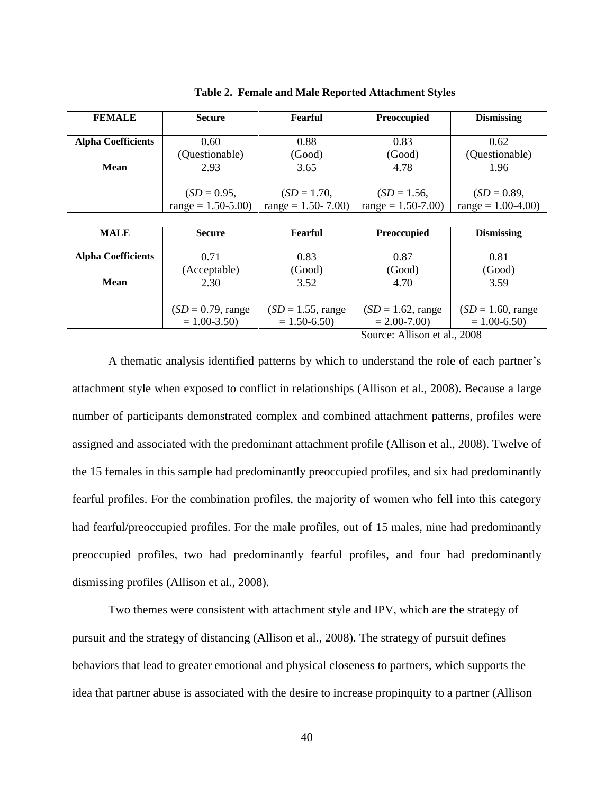| <b>FEMALE</b>             | <b>Secure</b>         | Fearful               | <b>Preoccupied</b>    | <b>Dismissing</b>   |
|---------------------------|-----------------------|-----------------------|-----------------------|---------------------|
| <b>Alpha Coefficients</b> | 0.60                  | 0.88                  | 0.83                  | 0.62                |
|                           | (Questionable)        | (Good)                | (Good)                | (Questionable)      |
| Mean                      | 2.93                  | 3.65                  | 4.78                  | 1.96                |
|                           |                       |                       |                       |                     |
|                           | $(SD = 0.95,$         | $(SD = 1.70,$         | $(SD = 1.56,$         | $(SD = 0.89,$       |
|                           | $range = 1.50 - 5.00$ | $range = 1.50 - 7.00$ | $range = 1.50 - 7.00$ | $range = 1.00-4.00$ |

**Table 2. Female and Male Reported Attachment Styles**

| <b>MALE</b>                   | <b>Secure</b>               | Fearful             | <b>Preoccupied</b>  | <b>Dismissing</b>           |  |
|-------------------------------|-----------------------------|---------------------|---------------------|-----------------------------|--|
|                               |                             |                     |                     |                             |  |
|                               |                             |                     |                     |                             |  |
| <b>Alpha Coefficients</b>     | 0.71                        | 0.83                | 0.87                | 0.81                        |  |
|                               | (Acceptable)                | (Good)              | (Good)              | (Good)                      |  |
| <b>Mean</b>                   | 2.30                        | 3.52                | 4.70                | 3.59                        |  |
|                               |                             |                     |                     |                             |  |
|                               | $(SD = 0.79, \text{range})$ | $SD = 1.55$ , range | $SD = 1.62$ , range | $(SD = 1.60, \text{range})$ |  |
|                               | $= 1.00 - 3.50$             | $= 1.50 - 6.50$     | $= 2.00 - 7.00$     | $= 1.00 - 6.50$             |  |
| Source: Allison et al. $2008$ |                             |                     |                     |                             |  |

Source: Allison et al., 2008

A thematic analysis identified patterns by which to understand the role of each partner's attachment style when exposed to conflict in relationships (Allison et al., 2008). Because a large number of participants demonstrated complex and combined attachment patterns, profiles were assigned and associated with the predominant attachment profile (Allison et al., 2008). Twelve of the 15 females in this sample had predominantly preoccupied profiles, and six had predominantly fearful profiles. For the combination profiles, the majority of women who fell into this category had fearful/preoccupied profiles. For the male profiles, out of 15 males, nine had predominantly preoccupied profiles, two had predominantly fearful profiles, and four had predominantly dismissing profiles (Allison et al., 2008).

Two themes were consistent with attachment style and IPV, which are the strategy of pursuit and the strategy of distancing (Allison et al., 2008). The strategy of pursuit defines behaviors that lead to greater emotional and physical closeness to partners, which supports the idea that partner abuse is associated with the desire to increase propinquity to a partner (Allison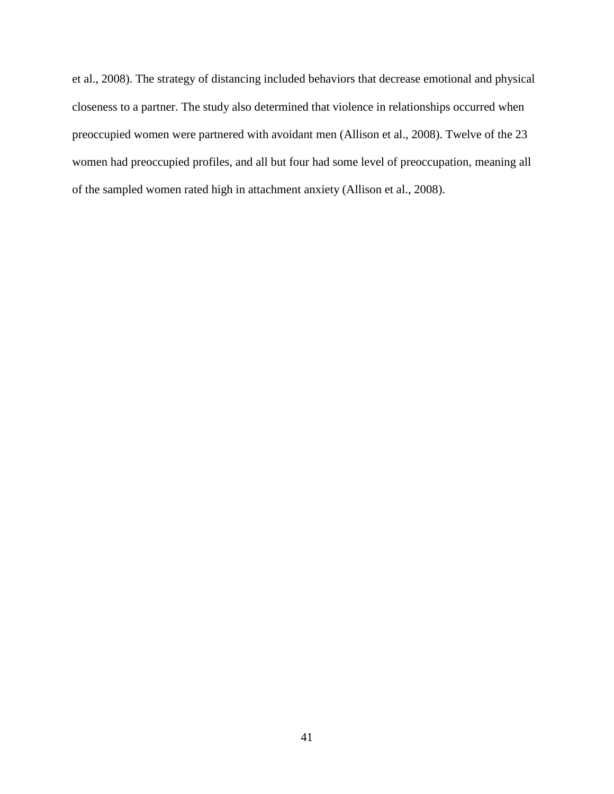et al., 2008). The strategy of distancing included behaviors that decrease emotional and physical closeness to a partner. The study also determined that violence in relationships occurred when preoccupied women were partnered with avoidant men (Allison et al., 2008). Twelve of the 23 women had preoccupied profiles, and all but four had some level of preoccupation, meaning all of the sampled women rated high in attachment anxiety (Allison et al., 2008).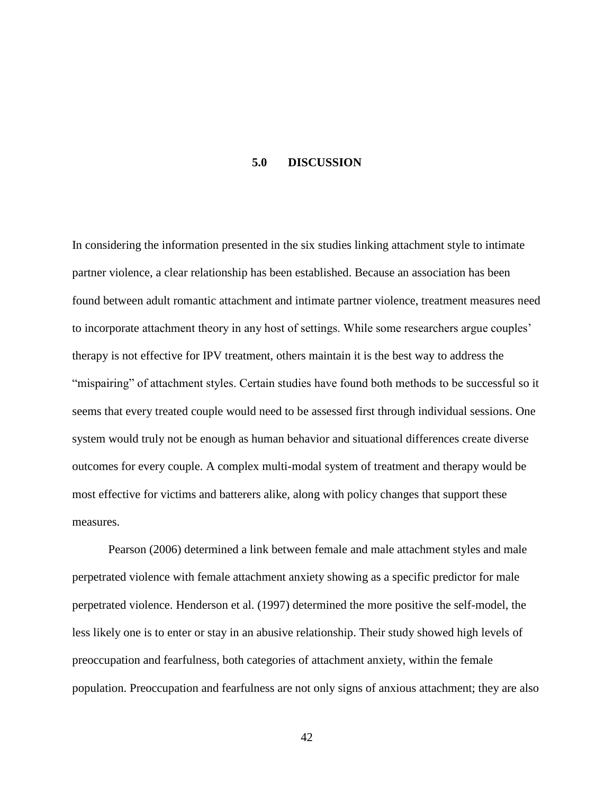## **5.0 DISCUSSION**

In considering the information presented in the six studies linking attachment style to intimate partner violence, a clear relationship has been established. Because an association has been found between adult romantic attachment and intimate partner violence, treatment measures need to incorporate attachment theory in any host of settings. While some researchers argue couples' therapy is not effective for IPV treatment, others maintain it is the best way to address the "mispairing" of attachment styles. Certain studies have found both methods to be successful so it seems that every treated couple would need to be assessed first through individual sessions. One system would truly not be enough as human behavior and situational differences create diverse outcomes for every couple. A complex multi-modal system of treatment and therapy would be most effective for victims and batterers alike, along with policy changes that support these measures.

Pearson (2006) determined a link between female and male attachment styles and male perpetrated violence with female attachment anxiety showing as a specific predictor for male perpetrated violence. Henderson et al. (1997) determined the more positive the self-model, the less likely one is to enter or stay in an abusive relationship. Their study showed high levels of preoccupation and fearfulness, both categories of attachment anxiety, within the female population. Preoccupation and fearfulness are not only signs of anxious attachment; they are also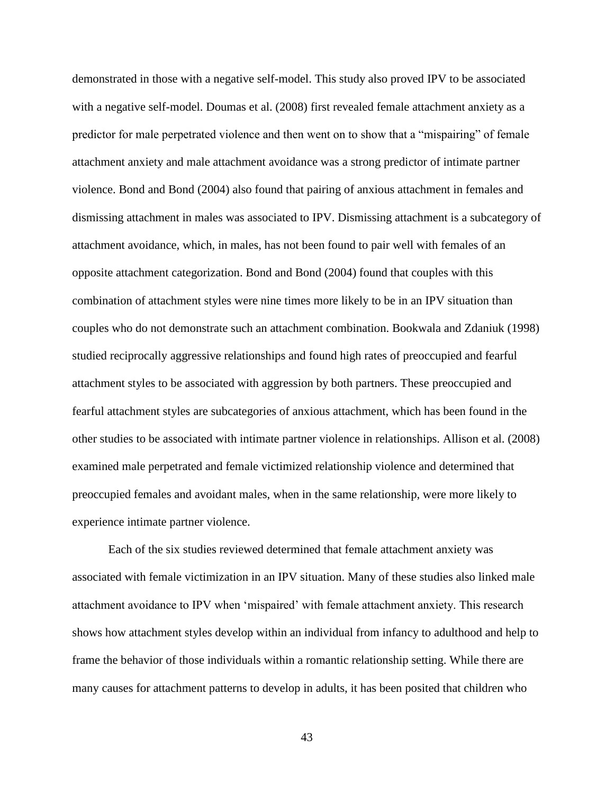demonstrated in those with a negative self-model. This study also proved IPV to be associated with a negative self-model. Doumas et al. (2008) first revealed female attachment anxiety as a predictor for male perpetrated violence and then went on to show that a "mispairing" of female attachment anxiety and male attachment avoidance was a strong predictor of intimate partner violence. Bond and Bond (2004) also found that pairing of anxious attachment in females and dismissing attachment in males was associated to IPV. Dismissing attachment is a subcategory of attachment avoidance, which, in males, has not been found to pair well with females of an opposite attachment categorization. Bond and Bond (2004) found that couples with this combination of attachment styles were nine times more likely to be in an IPV situation than couples who do not demonstrate such an attachment combination. Bookwala and Zdaniuk (1998) studied reciprocally aggressive relationships and found high rates of preoccupied and fearful attachment styles to be associated with aggression by both partners. These preoccupied and fearful attachment styles are subcategories of anxious attachment, which has been found in the other studies to be associated with intimate partner violence in relationships. Allison et al. (2008) examined male perpetrated and female victimized relationship violence and determined that preoccupied females and avoidant males, when in the same relationship, were more likely to experience intimate partner violence.

Each of the six studies reviewed determined that female attachment anxiety was associated with female victimization in an IPV situation. Many of these studies also linked male attachment avoidance to IPV when 'mispaired' with female attachment anxiety. This research shows how attachment styles develop within an individual from infancy to adulthood and help to frame the behavior of those individuals within a romantic relationship setting. While there are many causes for attachment patterns to develop in adults, it has been posited that children who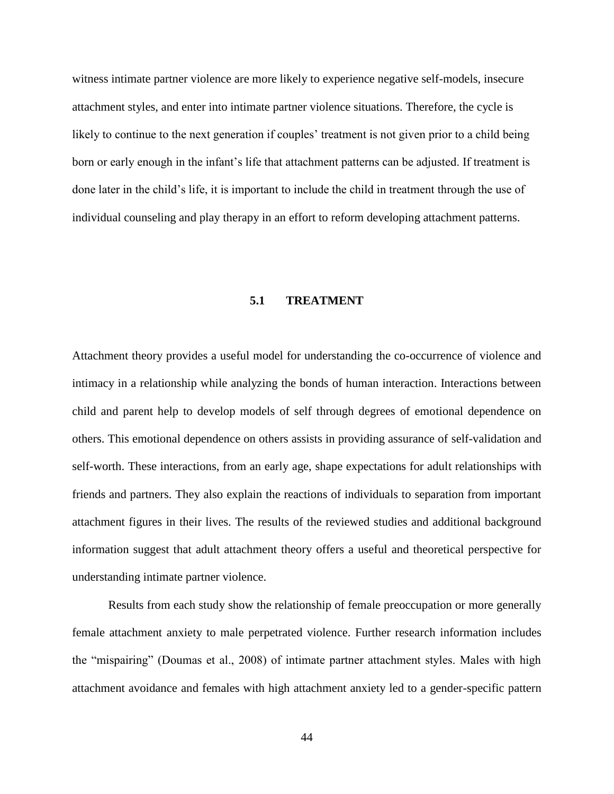witness intimate partner violence are more likely to experience negative self-models, insecure attachment styles, and enter into intimate partner violence situations. Therefore, the cycle is likely to continue to the next generation if couples' treatment is not given prior to a child being born or early enough in the infant's life that attachment patterns can be adjusted. If treatment is done later in the child's life, it is important to include the child in treatment through the use of individual counseling and play therapy in an effort to reform developing attachment patterns.

## **5.1 TREATMENT**

Attachment theory provides a useful model for understanding the co-occurrence of violence and intimacy in a relationship while analyzing the bonds of human interaction. Interactions between child and parent help to develop models of self through degrees of emotional dependence on others. This emotional dependence on others assists in providing assurance of self-validation and self-worth. These interactions, from an early age, shape expectations for adult relationships with friends and partners. They also explain the reactions of individuals to separation from important attachment figures in their lives. The results of the reviewed studies and additional background information suggest that adult attachment theory offers a useful and theoretical perspective for understanding intimate partner violence.

Results from each study show the relationship of female preoccupation or more generally female attachment anxiety to male perpetrated violence. Further research information includes the "mispairing" (Doumas et al., 2008) of intimate partner attachment styles. Males with high attachment avoidance and females with high attachment anxiety led to a gender-specific pattern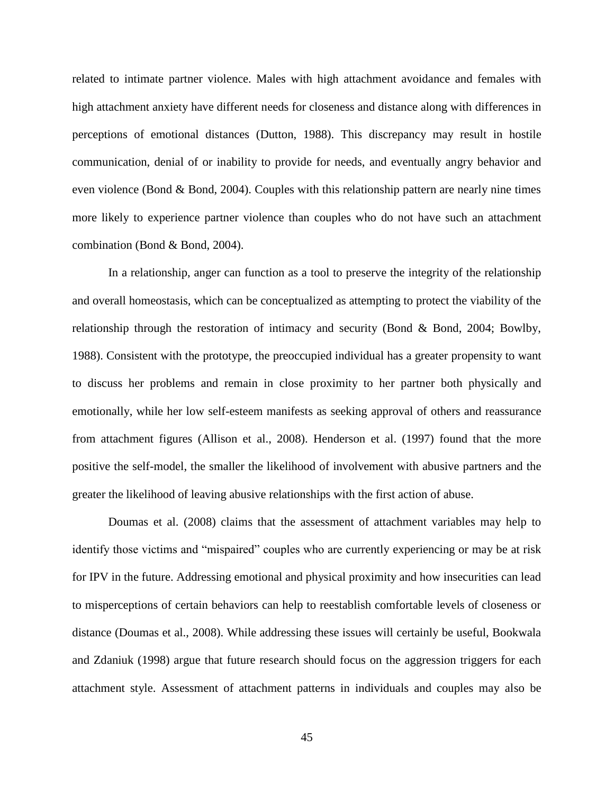related to intimate partner violence. Males with high attachment avoidance and females with high attachment anxiety have different needs for closeness and distance along with differences in perceptions of emotional distances (Dutton, 1988). This discrepancy may result in hostile communication, denial of or inability to provide for needs, and eventually angry behavior and even violence (Bond & Bond, 2004). Couples with this relationship pattern are nearly nine times more likely to experience partner violence than couples who do not have such an attachment combination (Bond & Bond, 2004).

In a relationship, anger can function as a tool to preserve the integrity of the relationship and overall homeostasis, which can be conceptualized as attempting to protect the viability of the relationship through the restoration of intimacy and security (Bond & Bond, 2004; Bowlby, 1988). Consistent with the prototype, the preoccupied individual has a greater propensity to want to discuss her problems and remain in close proximity to her partner both physically and emotionally, while her low self-esteem manifests as seeking approval of others and reassurance from attachment figures (Allison et al., 2008). Henderson et al. (1997) found that the more positive the self-model, the smaller the likelihood of involvement with abusive partners and the greater the likelihood of leaving abusive relationships with the first action of abuse.

Doumas et al. (2008) claims that the assessment of attachment variables may help to identify those victims and "mispaired" couples who are currently experiencing or may be at risk for IPV in the future. Addressing emotional and physical proximity and how insecurities can lead to misperceptions of certain behaviors can help to reestablish comfortable levels of closeness or distance (Doumas et al., 2008). While addressing these issues will certainly be useful, Bookwala and Zdaniuk (1998) argue that future research should focus on the aggression triggers for each attachment style. Assessment of attachment patterns in individuals and couples may also be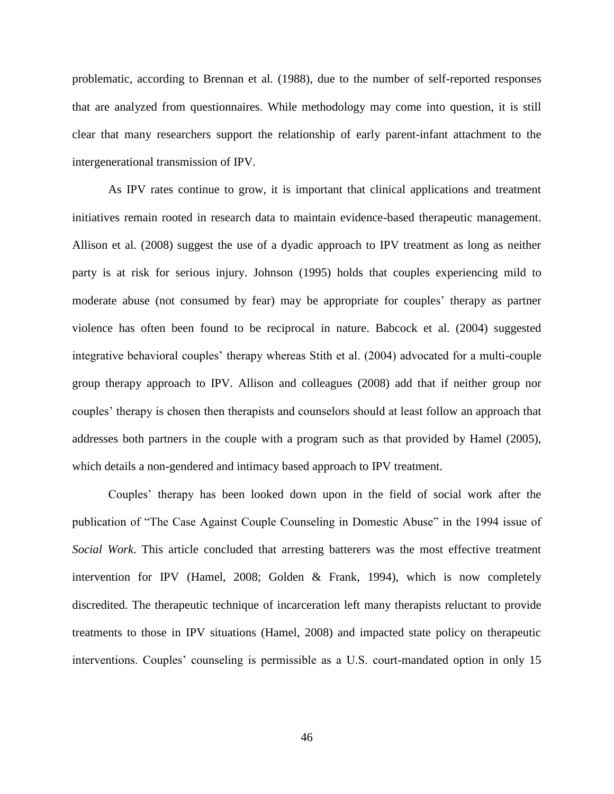problematic, according to Brennan et al. (1988), due to the number of self-reported responses that are analyzed from questionnaires. While methodology may come into question, it is still clear that many researchers support the relationship of early parent-infant attachment to the intergenerational transmission of IPV.

As IPV rates continue to grow, it is important that clinical applications and treatment initiatives remain rooted in research data to maintain evidence-based therapeutic management. Allison et al. (2008) suggest the use of a dyadic approach to IPV treatment as long as neither party is at risk for serious injury. Johnson (1995) holds that couples experiencing mild to moderate abuse (not consumed by fear) may be appropriate for couples' therapy as partner violence has often been found to be reciprocal in nature. Babcock et al. (2004) suggested integrative behavioral couples' therapy whereas Stith et al. (2004) advocated for a multi-couple group therapy approach to IPV. Allison and colleagues (2008) add that if neither group nor couples' therapy is chosen then therapists and counselors should at least follow an approach that addresses both partners in the couple with a program such as that provided by Hamel (2005), which details a non-gendered and intimacy based approach to IPV treatment.

Couples' therapy has been looked down upon in the field of social work after the publication of "The Case Against Couple Counseling in Domestic Abuse" in the 1994 issue of *Social Work*. This article concluded that arresting batterers was the most effective treatment intervention for IPV (Hamel, 2008; Golden & Frank, 1994), which is now completely discredited. The therapeutic technique of incarceration left many therapists reluctant to provide treatments to those in IPV situations (Hamel, 2008) and impacted state policy on therapeutic interventions. Couples' counseling is permissible as a U.S. court-mandated option in only 15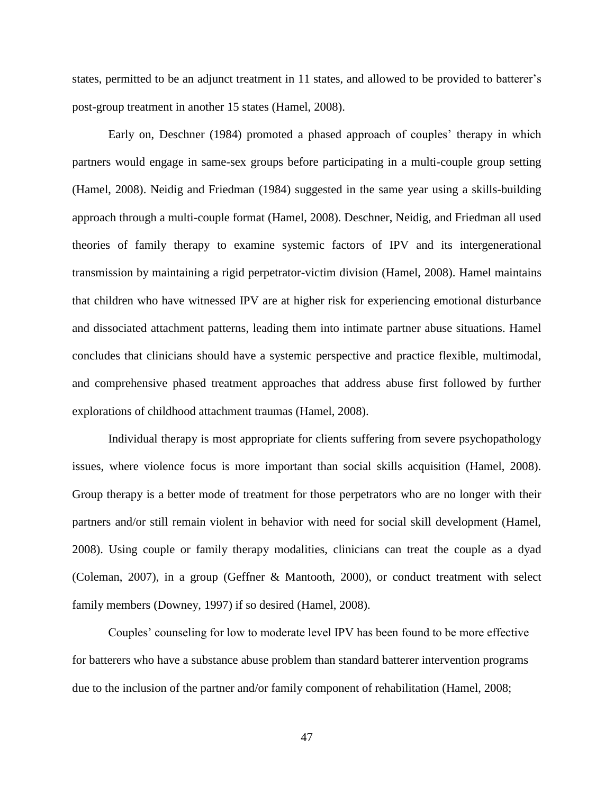states, permitted to be an adjunct treatment in 11 states, and allowed to be provided to batterer's post-group treatment in another 15 states (Hamel, 2008).

Early on, Deschner (1984) promoted a phased approach of couples' therapy in which partners would engage in same-sex groups before participating in a multi-couple group setting (Hamel, 2008). Neidig and Friedman (1984) suggested in the same year using a skills-building approach through a multi-couple format (Hamel, 2008). Deschner, Neidig, and Friedman all used theories of family therapy to examine systemic factors of IPV and its intergenerational transmission by maintaining a rigid perpetrator-victim division (Hamel, 2008). Hamel maintains that children who have witnessed IPV are at higher risk for experiencing emotional disturbance and dissociated attachment patterns, leading them into intimate partner abuse situations. Hamel concludes that clinicians should have a systemic perspective and practice flexible, multimodal, and comprehensive phased treatment approaches that address abuse first followed by further explorations of childhood attachment traumas (Hamel, 2008).

Individual therapy is most appropriate for clients suffering from severe psychopathology issues, where violence focus is more important than social skills acquisition (Hamel, 2008). Group therapy is a better mode of treatment for those perpetrators who are no longer with their partners and/or still remain violent in behavior with need for social skill development (Hamel, 2008). Using couple or family therapy modalities, clinicians can treat the couple as a dyad (Coleman, 2007), in a group (Geffner & Mantooth, 2000), or conduct treatment with select family members (Downey, 1997) if so desired (Hamel, 2008).

Couples' counseling for low to moderate level IPV has been found to be more effective for batterers who have a substance abuse problem than standard batterer intervention programs due to the inclusion of the partner and/or family component of rehabilitation (Hamel, 2008;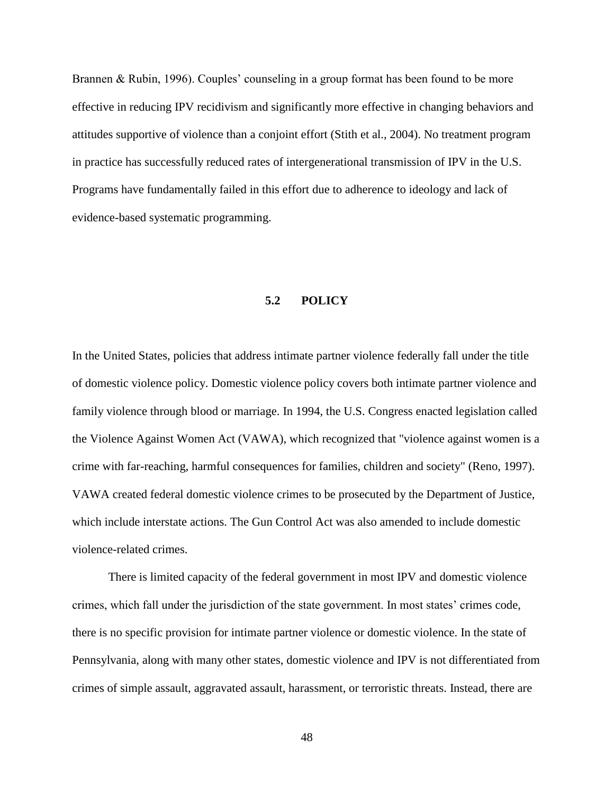Brannen & Rubin, 1996). Couples' counseling in a group format has been found to be more effective in reducing IPV recidivism and significantly more effective in changing behaviors and attitudes supportive of violence than a conjoint effort (Stith et al., 2004). No treatment program in practice has successfully reduced rates of intergenerational transmission of IPV in the U.S. Programs have fundamentally failed in this effort due to adherence to ideology and lack of evidence-based systematic programming.

## **5.2 POLICY**

In the United States, policies that address intimate partner violence federally fall under the title of domestic violence policy. Domestic violence policy covers both intimate partner violence and family violence through blood or marriage. In 1994, the U.S. Congress enacted legislation called the Violence Against Women Act (VAWA), which recognized that "violence against women is a crime with far-reaching, harmful consequences for families, children and society" (Reno, 1997). VAWA created federal domestic violence crimes to be prosecuted by the Department of Justice, which include interstate actions. The Gun Control Act was also amended to include domestic violence-related crimes.

There is limited capacity of the federal government in most IPV and domestic violence crimes, which fall under the jurisdiction of the state government. In most states' crimes code, there is no specific provision for intimate partner violence or domestic violence. In the state of Pennsylvania, along with many other states, domestic violence and IPV is not differentiated from crimes of simple assault, aggravated assault, harassment, or terroristic threats. Instead, there are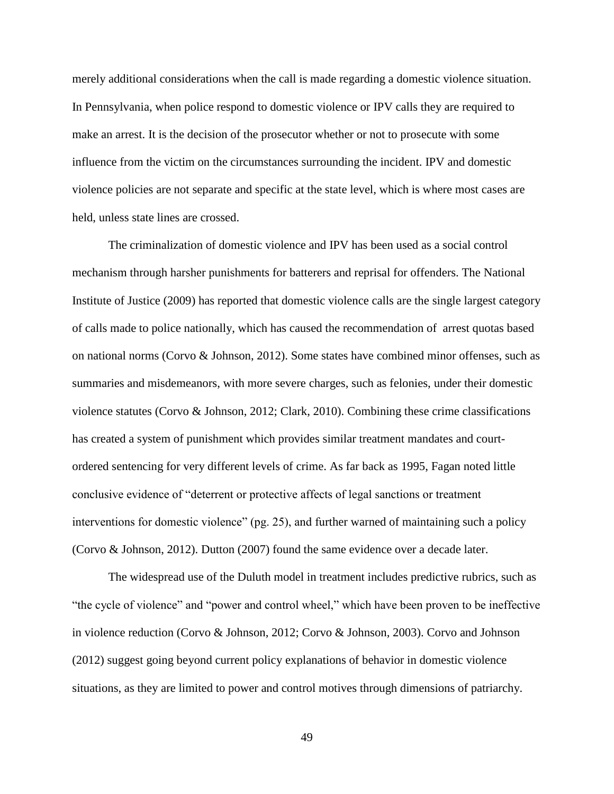merely additional considerations when the call is made regarding a domestic violence situation. In Pennsylvania, when police respond to domestic violence or IPV calls they are required to make an arrest. It is the decision of the prosecutor whether or not to prosecute with some influence from the victim on the circumstances surrounding the incident. IPV and domestic violence policies are not separate and specific at the state level, which is where most cases are held, unless state lines are crossed.

The criminalization of domestic violence and IPV has been used as a social control mechanism through harsher punishments for batterers and reprisal for offenders. The National Institute of Justice (2009) has reported that domestic violence calls are the single largest category of calls made to police nationally, which has caused the recommendation of arrest quotas based on national norms (Corvo & Johnson, 2012). Some states have combined minor offenses, such as summaries and misdemeanors, with more severe charges, such as felonies, under their domestic violence statutes (Corvo & Johnson, 2012; Clark, 2010). Combining these crime classifications has created a system of punishment which provides similar treatment mandates and courtordered sentencing for very different levels of crime. As far back as 1995, Fagan noted little conclusive evidence of "deterrent or protective affects of legal sanctions or treatment interventions for domestic violence" (pg. 25), and further warned of maintaining such a policy (Corvo & Johnson, 2012). Dutton (2007) found the same evidence over a decade later.

The widespread use of the Duluth model in treatment includes predictive rubrics, such as "the cycle of violence" and "power and control wheel," which have been proven to be ineffective in violence reduction (Corvo & Johnson, 2012; Corvo & Johnson, 2003). Corvo and Johnson (2012) suggest going beyond current policy explanations of behavior in domestic violence situations, as they are limited to power and control motives through dimensions of patriarchy.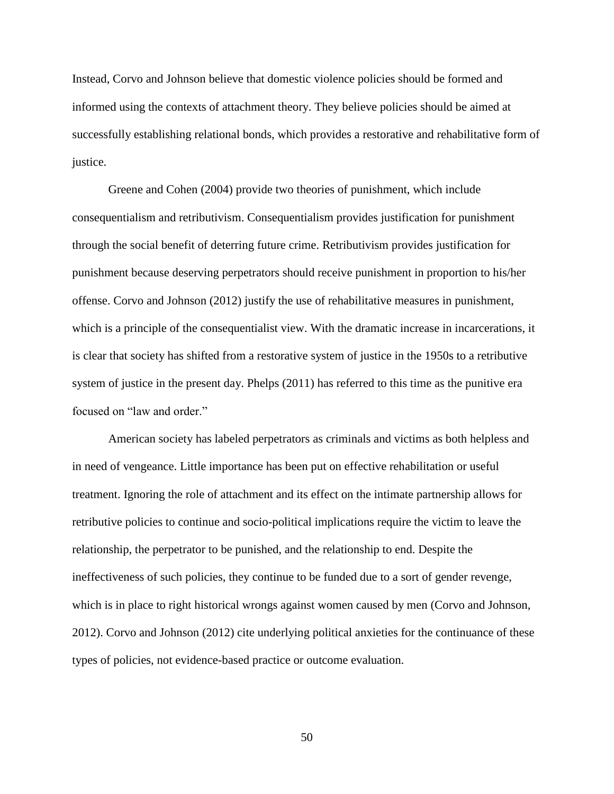Instead, Corvo and Johnson believe that domestic violence policies should be formed and informed using the contexts of attachment theory. They believe policies should be aimed at successfully establishing relational bonds, which provides a restorative and rehabilitative form of justice.

Greene and Cohen (2004) provide two theories of punishment, which include consequentialism and retributivism. Consequentialism provides justification for punishment through the social benefit of deterring future crime. Retributivism provides justification for punishment because deserving perpetrators should receive punishment in proportion to his/her offense. Corvo and Johnson (2012) justify the use of rehabilitative measures in punishment, which is a principle of the consequentialist view. With the dramatic increase in incarcerations, it is clear that society has shifted from a restorative system of justice in the 1950s to a retributive system of justice in the present day. Phelps (2011) has referred to this time as the punitive era focused on "law and order."

American society has labeled perpetrators as criminals and victims as both helpless and in need of vengeance. Little importance has been put on effective rehabilitation or useful treatment. Ignoring the role of attachment and its effect on the intimate partnership allows for retributive policies to continue and socio-political implications require the victim to leave the relationship, the perpetrator to be punished, and the relationship to end. Despite the ineffectiveness of such policies, they continue to be funded due to a sort of gender revenge, which is in place to right historical wrongs against women caused by men (Corvo and Johnson, 2012). Corvo and Johnson (2012) cite underlying political anxieties for the continuance of these types of policies, not evidence-based practice or outcome evaluation.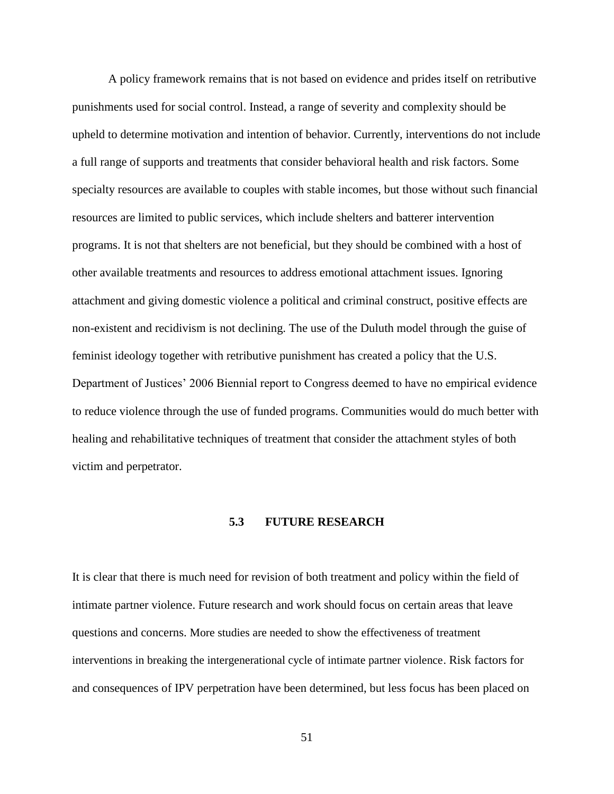A policy framework remains that is not based on evidence and prides itself on retributive punishments used for social control. Instead, a range of severity and complexity should be upheld to determine motivation and intention of behavior. Currently, interventions do not include a full range of supports and treatments that consider behavioral health and risk factors. Some specialty resources are available to couples with stable incomes, but those without such financial resources are limited to public services, which include shelters and batterer intervention programs. It is not that shelters are not beneficial, but they should be combined with a host of other available treatments and resources to address emotional attachment issues. Ignoring attachment and giving domestic violence a political and criminal construct, positive effects are non-existent and recidivism is not declining. The use of the Duluth model through the guise of feminist ideology together with retributive punishment has created a policy that the U.S. Department of Justices' 2006 Biennial report to Congress deemed to have no empirical evidence to reduce violence through the use of funded programs. Communities would do much better with healing and rehabilitative techniques of treatment that consider the attachment styles of both victim and perpetrator.

## **5.3 FUTURE RESEARCH**

It is clear that there is much need for revision of both treatment and policy within the field of intimate partner violence. Future research and work should focus on certain areas that leave questions and concerns. More studies are needed to show the effectiveness of treatment interventions in breaking the intergenerational cycle of intimate partner violence. Risk factors for and consequences of IPV perpetration have been determined, but less focus has been placed on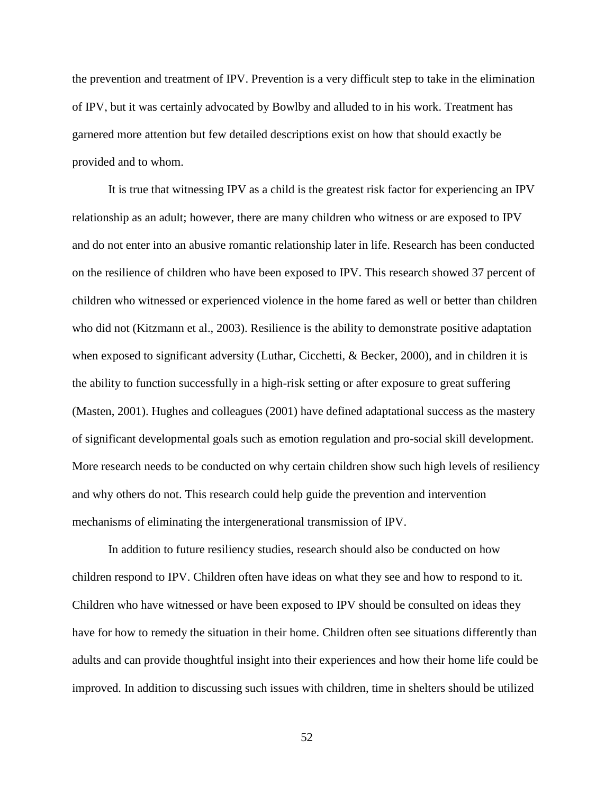the prevention and treatment of IPV. Prevention is a very difficult step to take in the elimination of IPV, but it was certainly advocated by Bowlby and alluded to in his work. Treatment has garnered more attention but few detailed descriptions exist on how that should exactly be provided and to whom.

It is true that witnessing IPV as a child is the greatest risk factor for experiencing an IPV relationship as an adult; however, there are many children who witness or are exposed to IPV and do not enter into an abusive romantic relationship later in life. Research has been conducted on the resilience of children who have been exposed to IPV. This research showed 37 percent of children who witnessed or experienced violence in the home fared as well or better than children who did not (Kitzmann et al., 2003). Resilience is the ability to demonstrate positive adaptation when exposed to significant adversity (Luthar, Cicchetti, & Becker, 2000), and in children it is the ability to function successfully in a high-risk setting or after exposure to great suffering (Masten, 2001). Hughes and colleagues (2001) have defined adaptational success as the mastery of significant developmental goals such as emotion regulation and pro-social skill development. More research needs to be conducted on why certain children show such high levels of resiliency and why others do not. This research could help guide the prevention and intervention mechanisms of eliminating the intergenerational transmission of IPV.

In addition to future resiliency studies, research should also be conducted on how children respond to IPV. Children often have ideas on what they see and how to respond to it. Children who have witnessed or have been exposed to IPV should be consulted on ideas they have for how to remedy the situation in their home. Children often see situations differently than adults and can provide thoughtful insight into their experiences and how their home life could be improved. In addition to discussing such issues with children, time in shelters should be utilized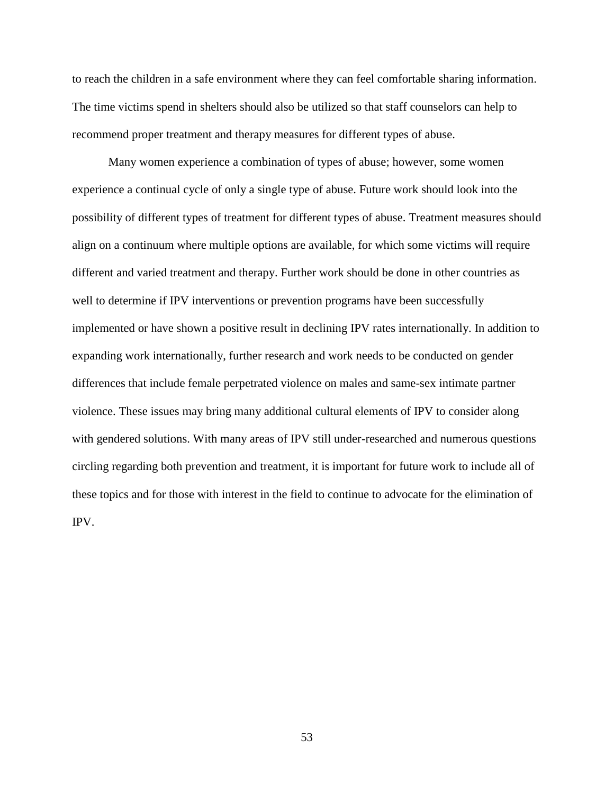to reach the children in a safe environment where they can feel comfortable sharing information. The time victims spend in shelters should also be utilized so that staff counselors can help to recommend proper treatment and therapy measures for different types of abuse.

Many women experience a combination of types of abuse; however, some women experience a continual cycle of only a single type of abuse. Future work should look into the possibility of different types of treatment for different types of abuse. Treatment measures should align on a continuum where multiple options are available, for which some victims will require different and varied treatment and therapy. Further work should be done in other countries as well to determine if IPV interventions or prevention programs have been successfully implemented or have shown a positive result in declining IPV rates internationally. In addition to expanding work internationally, further research and work needs to be conducted on gender differences that include female perpetrated violence on males and same-sex intimate partner violence. These issues may bring many additional cultural elements of IPV to consider along with gendered solutions. With many areas of IPV still under-researched and numerous questions circling regarding both prevention and treatment, it is important for future work to include all of these topics and for those with interest in the field to continue to advocate for the elimination of IPV.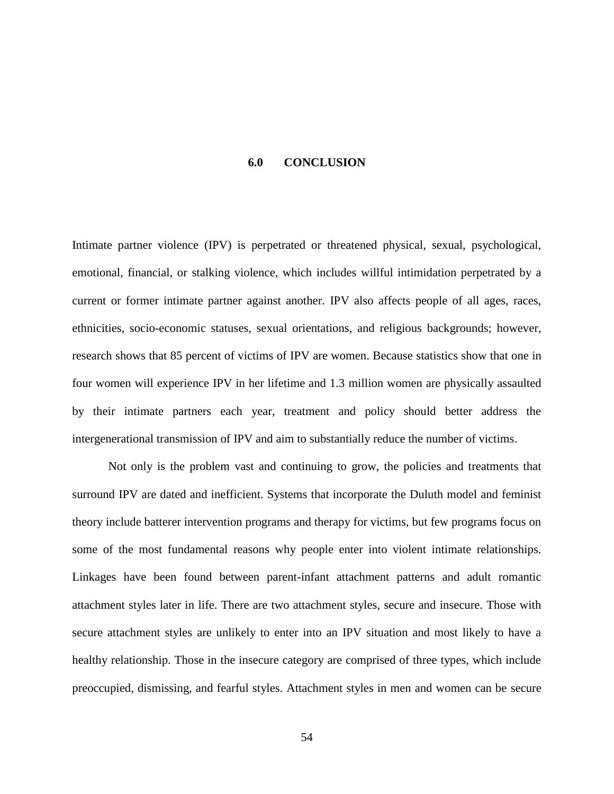### **6.0 CONCLUSION**

Intimate partner violence (IPV) is perpetrated or threatened physical, sexual, psychological, emotional, financial, or stalking violence, which includes willful intimidation perpetrated by a current or former intimate partner against another. IPV also affects people of all ages, races, ethnicities, socio-economic statuses, sexual orientations, and religious backgrounds; however, research shows that 85 percent of victims of IPV are women. Because statistics show that one in four women will experience IPV in her lifetime and 1.3 million women are physically assaulted by their intimate partners each year, treatment and policy should better address the intergenerational transmission of IPV and aim to substantially reduce the number of victims.

Not only is the problem vast and continuing to grow, the policies and treatments that surround IPV are dated and inefficient. Systems that incorporate the Duluth model and feminist theory include batterer intervention programs and therapy for victims, but few programs focus on some of the most fundamental reasons why people enter into violent intimate relationships. Linkages have been found between parent-infant attachment patterns and adult romantic attachment styles later in life. There are two attachment styles, secure and insecure. Those with secure attachment styles are unlikely to enter into an IPV situation and most likely to have a healthy relationship. Those in the insecure category are comprised of three types, which include preoccupied, dismissing, and fearful styles. Attachment styles in men and women can be secure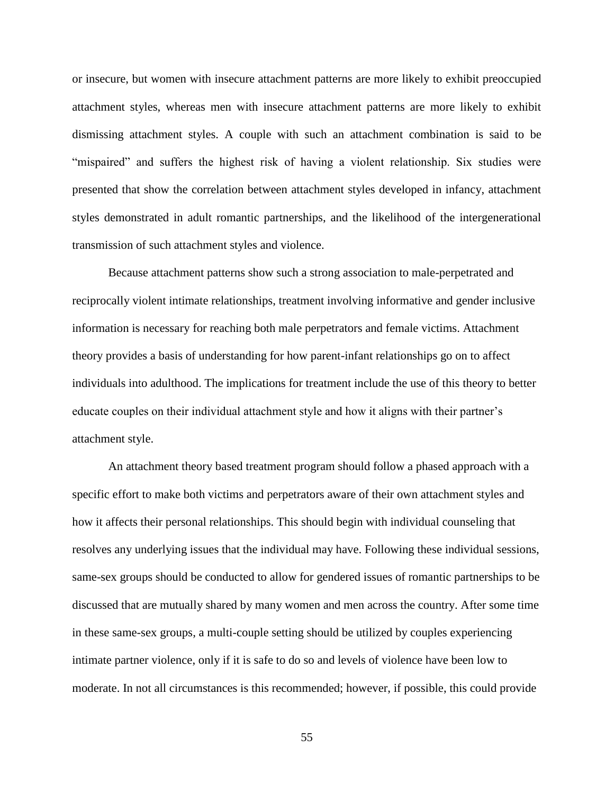or insecure, but women with insecure attachment patterns are more likely to exhibit preoccupied attachment styles, whereas men with insecure attachment patterns are more likely to exhibit dismissing attachment styles. A couple with such an attachment combination is said to be "mispaired" and suffers the highest risk of having a violent relationship. Six studies were presented that show the correlation between attachment styles developed in infancy, attachment styles demonstrated in adult romantic partnerships, and the likelihood of the intergenerational transmission of such attachment styles and violence.

Because attachment patterns show such a strong association to male-perpetrated and reciprocally violent intimate relationships, treatment involving informative and gender inclusive information is necessary for reaching both male perpetrators and female victims. Attachment theory provides a basis of understanding for how parent-infant relationships go on to affect individuals into adulthood. The implications for treatment include the use of this theory to better educate couples on their individual attachment style and how it aligns with their partner's attachment style.

An attachment theory based treatment program should follow a phased approach with a specific effort to make both victims and perpetrators aware of their own attachment styles and how it affects their personal relationships. This should begin with individual counseling that resolves any underlying issues that the individual may have. Following these individual sessions, same-sex groups should be conducted to allow for gendered issues of romantic partnerships to be discussed that are mutually shared by many women and men across the country. After some time in these same-sex groups, a multi-couple setting should be utilized by couples experiencing intimate partner violence, only if it is safe to do so and levels of violence have been low to moderate. In not all circumstances is this recommended; however, if possible, this could provide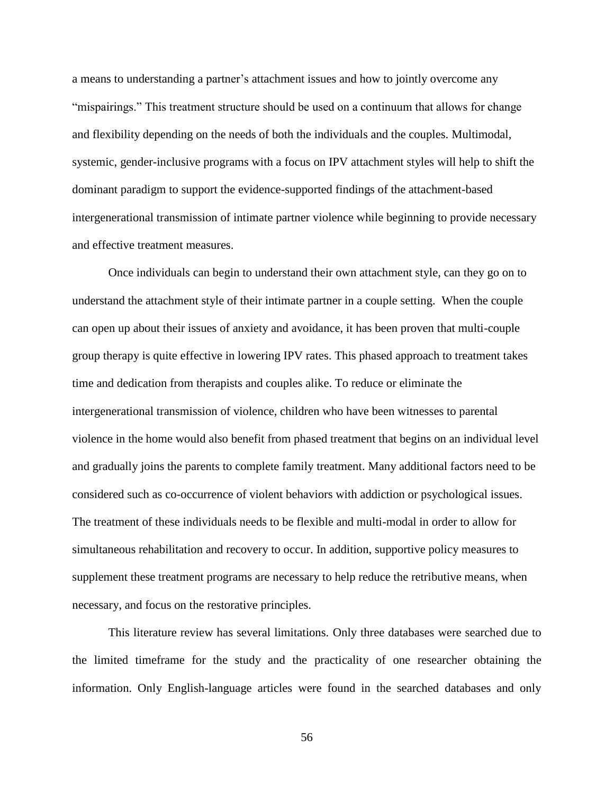a means to understanding a partner's attachment issues and how to jointly overcome any "mispairings." This treatment structure should be used on a continuum that allows for change and flexibility depending on the needs of both the individuals and the couples. Multimodal, systemic, gender-inclusive programs with a focus on IPV attachment styles will help to shift the dominant paradigm to support the evidence-supported findings of the attachment-based intergenerational transmission of intimate partner violence while beginning to provide necessary and effective treatment measures.

Once individuals can begin to understand their own attachment style, can they go on to understand the attachment style of their intimate partner in a couple setting. When the couple can open up about their issues of anxiety and avoidance, it has been proven that multi-couple group therapy is quite effective in lowering IPV rates. This phased approach to treatment takes time and dedication from therapists and couples alike. To reduce or eliminate the intergenerational transmission of violence, children who have been witnesses to parental violence in the home would also benefit from phased treatment that begins on an individual level and gradually joins the parents to complete family treatment. Many additional factors need to be considered such as co-occurrence of violent behaviors with addiction or psychological issues. The treatment of these individuals needs to be flexible and multi-modal in order to allow for simultaneous rehabilitation and recovery to occur. In addition, supportive policy measures to supplement these treatment programs are necessary to help reduce the retributive means, when necessary, and focus on the restorative principles.

This literature review has several limitations. Only three databases were searched due to the limited timeframe for the study and the practicality of one researcher obtaining the information. Only English-language articles were found in the searched databases and only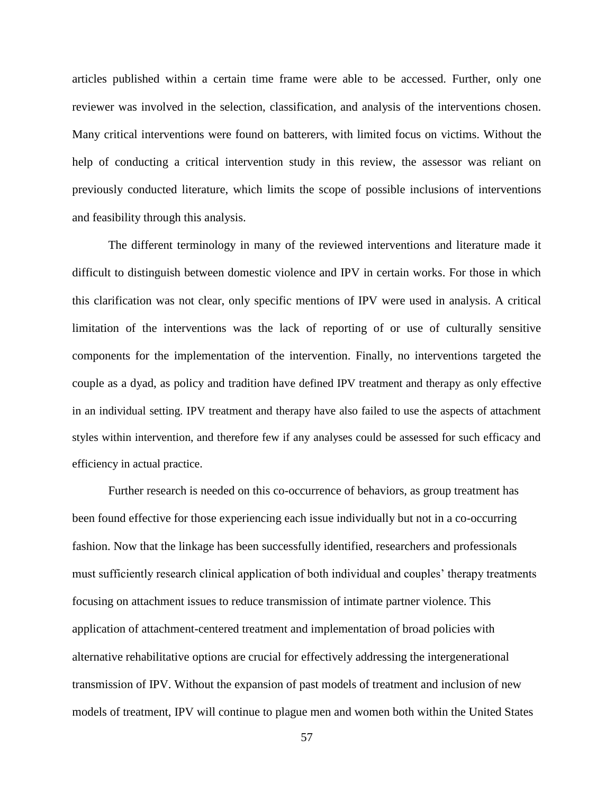articles published within a certain time frame were able to be accessed. Further, only one reviewer was involved in the selection, classification, and analysis of the interventions chosen. Many critical interventions were found on batterers, with limited focus on victims. Without the help of conducting a critical intervention study in this review, the assessor was reliant on previously conducted literature, which limits the scope of possible inclusions of interventions and feasibility through this analysis.

The different terminology in many of the reviewed interventions and literature made it difficult to distinguish between domestic violence and IPV in certain works. For those in which this clarification was not clear, only specific mentions of IPV were used in analysis. A critical limitation of the interventions was the lack of reporting of or use of culturally sensitive components for the implementation of the intervention. Finally, no interventions targeted the couple as a dyad, as policy and tradition have defined IPV treatment and therapy as only effective in an individual setting. IPV treatment and therapy have also failed to use the aspects of attachment styles within intervention, and therefore few if any analyses could be assessed for such efficacy and efficiency in actual practice.

Further research is needed on this co-occurrence of behaviors, as group treatment has been found effective for those experiencing each issue individually but not in a co-occurring fashion. Now that the linkage has been successfully identified, researchers and professionals must sufficiently research clinical application of both individual and couples' therapy treatments focusing on attachment issues to reduce transmission of intimate partner violence. This application of attachment-centered treatment and implementation of broad policies with alternative rehabilitative options are crucial for effectively addressing the intergenerational transmission of IPV. Without the expansion of past models of treatment and inclusion of new models of treatment, IPV will continue to plague men and women both within the United States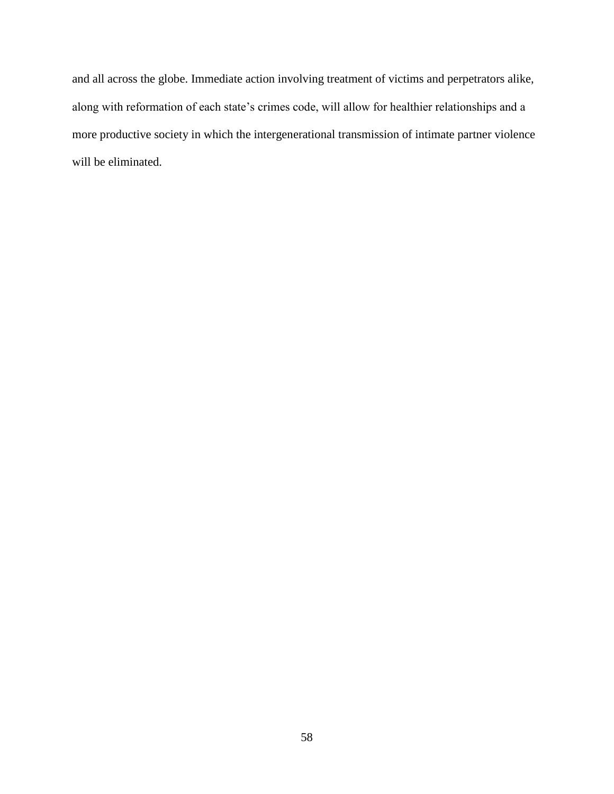and all across the globe. Immediate action involving treatment of victims and perpetrators alike, along with reformation of each state's crimes code, will allow for healthier relationships and a more productive society in which the intergenerational transmission of intimate partner violence will be eliminated.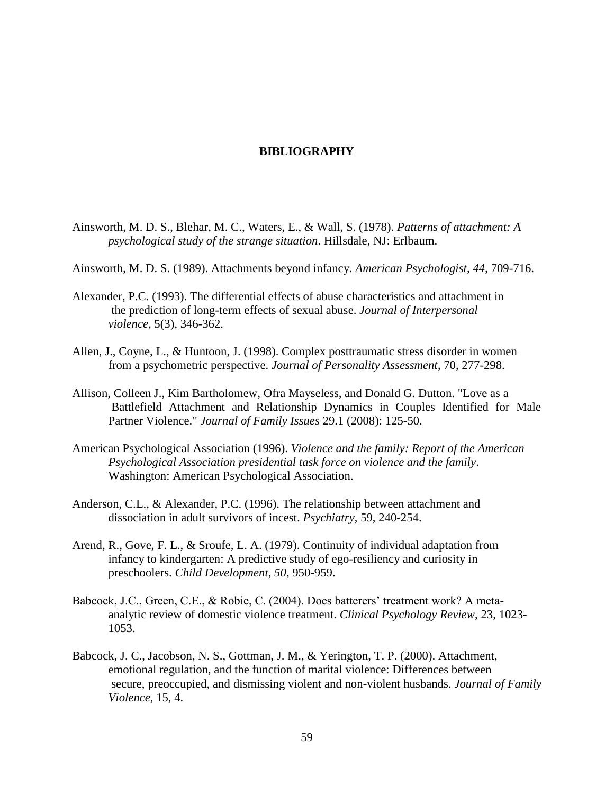## **BIBLIOGRAPHY**

- Ainsworth, M. D. S., Blehar, M. C., Waters, E., & Wall, S. (1978). *Patterns of attachment: A psychological study of the strange situation*. Hillsdale, NJ: Erlbaum.
- Ainsworth, M. D. S. (1989). Attachments beyond infancy. *American Psychologist, 44*, 709-716.
- Alexander, P.C. (1993). The differential effects of abuse characteristics and attachment in the prediction of long-term effects of sexual abuse. *Journal of Interpersonal violence*, 5(3), 346-362.
- Allen, J., Coyne, L., & Huntoon, J. (1998). Complex posttraumatic stress disorder in women from a psychometric perspective. *Journal of Personality Assessment*, 70, 277-298.
- Allison, Colleen J., Kim Bartholomew, Ofra Mayseless, and Donald G. Dutton. "Love as a Battlefield Attachment and Relationship Dynamics in Couples Identified for Male Partner Violence." *Journal of Family Issues* 29.1 (2008): 125-50.
- American Psychological Association (1996). *Violence and the family: Report of the American Psychological Association presidential task force on violence and the family*. Washington: American Psychological Association.
- Anderson, C.L., & Alexander, P.C. (1996). The relationship between attachment and dissociation in adult survivors of incest. *Psychiatry*, 59, 240-254.
- Arend, R., Gove, F. L., & Sroufe, L. A. (1979). Continuity of individual adaptation from infancy to kindergarten: A predictive study of ego-resiliency and curiosity in preschoolers. *Child Development, 50*, 950-959.
- Babcock, J.C., Green, C.E., & Robie, C. (2004). Does batterers' treatment work? A metaanalytic review of domestic violence treatment. *Clinical Psychology Review*, 23, 1023- 1053.
- Babcock, J. C., Jacobson, N. S., Gottman, J. M., & Yerington, T. P. (2000). Attachment, emotional regulation, and the function of marital violence: Differences between secure, preoccupied, and dismissing violent and non-violent husbands. *Journal of Family Violence*, 15, 4.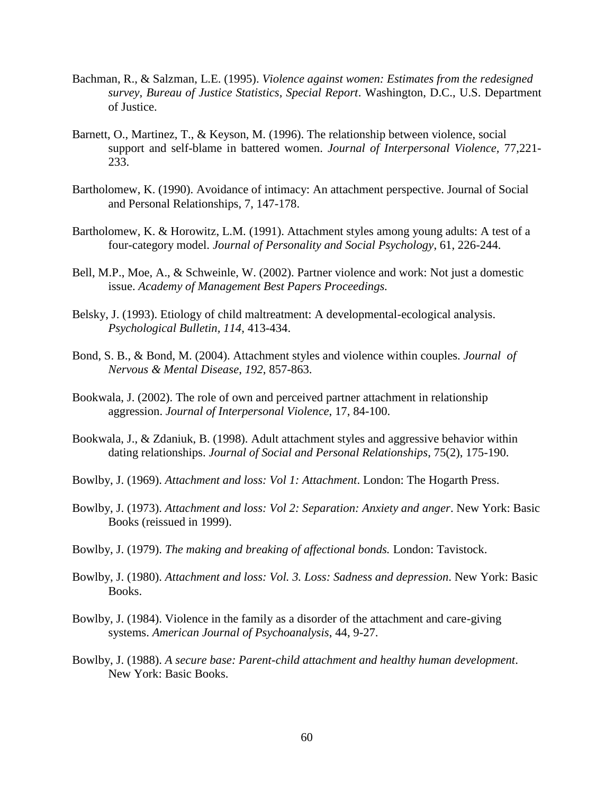- Bachman, R., & Salzman, L.E. (1995). *Violence against women: Estimates from the redesigned survey, Bureau of Justice Statistics, Special Report*. Washington, D.C., U.S. Department of Justice.
- Barnett, O., Martinez, T., & Keyson, M. (1996). The relationship between violence, social support and self-blame in battered women. *Journal of Interpersonal Violence,* 77,221- 233.
- Bartholomew, K. (1990). Avoidance of intimacy: An attachment perspective. Journal of Social and Personal Relationships, 7, 147-178.
- Bartholomew, K. & Horowitz, L.M. (1991). Attachment styles among young adults: A test of a four-category model. *Journal of Personality and Social Psychology*, 61, 226-244.
- Bell, M.P., Moe, A., & Schweinle, W. (2002). Partner violence and work: Not just a domestic issue. *Academy of Management Best Papers Proceedings.*
- Belsky, J. (1993). Etiology of child maltreatment: A developmental-ecological analysis. *Psychological Bulletin, 114*, 413-434.
- Bond, S. B., & Bond, M. (2004). Attachment styles and violence within couples. *Journal of Nervous & Mental Disease*, *192*, 857-863.
- Bookwala, J. (2002). The role of own and perceived partner attachment in relationship aggression. *Journal of Interpersonal Violence*, 17, 84-100.
- Bookwala, J., & Zdaniuk, B. (1998). Adult attachment styles and aggressive behavior within dating relationships. *Journal of Social and Personal Relationships*, 75(2), 175-190.
- Bowlby, J. (1969). *Attachment and loss: Vol 1: Attachment*. London: The Hogarth Press.
- Bowlby, J. (1973). *Attachment and loss: Vol 2: Separation: Anxiety and anger*. New York: Basic Books (reissued in 1999).
- Bowlby, J. (1979). *The making and breaking of affectional bonds.* London: Tavistock.
- Bowlby, J. (1980). *Attachment and loss: Vol. 3. Loss: Sadness and depression*. New York: Basic Books.
- Bowlby, J. (1984). Violence in the family as a disorder of the attachment and care-giving systems. *American Journal of Psychoanalysis*, 44, 9-27.
- Bowlby, J. (1988). *A secure base: Parent-child attachment and healthy human development*. New York: Basic Books.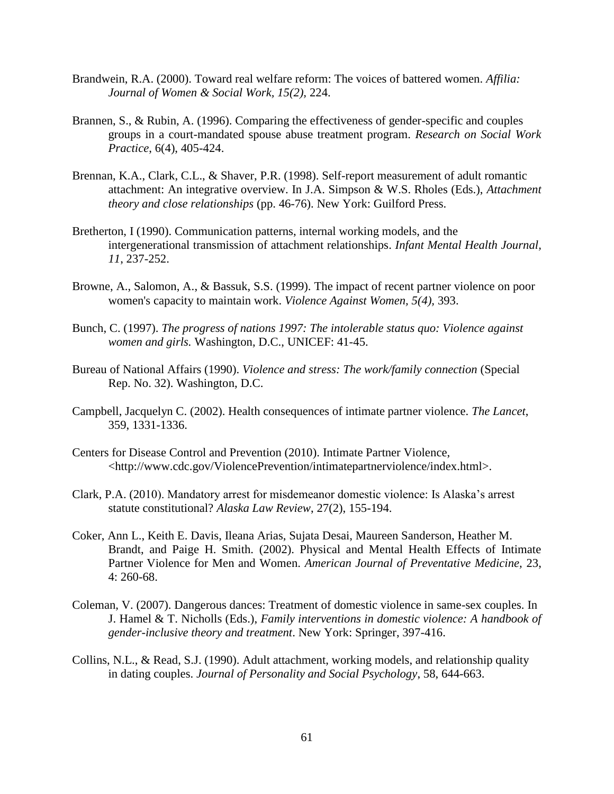- Brandwein, R.A. (2000). Toward real welfare reform: The voices of battered women. *Affilia: Journal of Women & Social Work, 15(2),* 224.
- Brannen, S., & Rubin, A. (1996). Comparing the effectiveness of gender-specific and couples groups in a court-mandated spouse abuse treatment program. *Research on Social Work Practice*, 6(4), 405-424.
- Brennan, K.A., Clark, C.L., & Shaver, P.R. (1998). Self-report measurement of adult romantic attachment: An integrative overview. In J.A. Simpson & W.S. Rholes (Eds.), *Attachment theory and close relationships* (pp. 46-76). New York: Guilford Press.
- Bretherton, I (1990). Communication patterns, internal working models, and the intergenerational transmission of attachment relationships. *Infant Mental Health Journal, 11*, 237-252.
- Browne, A., Salomon, A., & Bassuk, S.S. (1999). The impact of recent partner violence on poor women's capacity to maintain work. *Violence Against Women, 5(4),* 393.
- Bunch, C. (1997). *The progress of nations 1997: The intolerable status quo: Violence against women and girls.* Washington, D.C., UNICEF: 41-45.
- Bureau of National Affairs (1990). *Violence and stress: The work/family connection* (Special Rep. No. 32). Washington, D.C.
- Campbell, Jacquelyn C. (2002). Health consequences of intimate partner violence. *The Lancet*, 359, 1331-1336.
- Centers for Disease Control and Prevention (2010). Intimate Partner Violence, <http://www.cdc.gov/ViolencePrevention/intimatepartnerviolence/index.html>.
- Clark, P.A. (2010). Mandatory arrest for misdemeanor domestic violence: Is Alaska's arrest statute constitutional? *Alaska Law Review*, 27(2), 155-194.
- Coker, Ann L., Keith E. Davis, Ileana Arias, Sujata Desai, Maureen Sanderson, Heather M. Brandt, and Paige H. Smith. (2002). Physical and Mental Health Effects of Intimate Partner Violence for Men and Women. *American Journal of Preventative Medicine,* 23, 4: 260-68.
- Coleman, V. (2007). Dangerous dances: Treatment of domestic violence in same-sex couples. In J. Hamel & T. Nicholls (Eds.), *Family interventions in domestic violence: A handbook of gender-inclusive theory and treatment*. New York: Springer, 397-416.
- Collins, N.L., & Read, S.J. (1990). Adult attachment, working models, and relationship quality in dating couples. *Journal of Personality and Social Psychology*, 58, 644-663.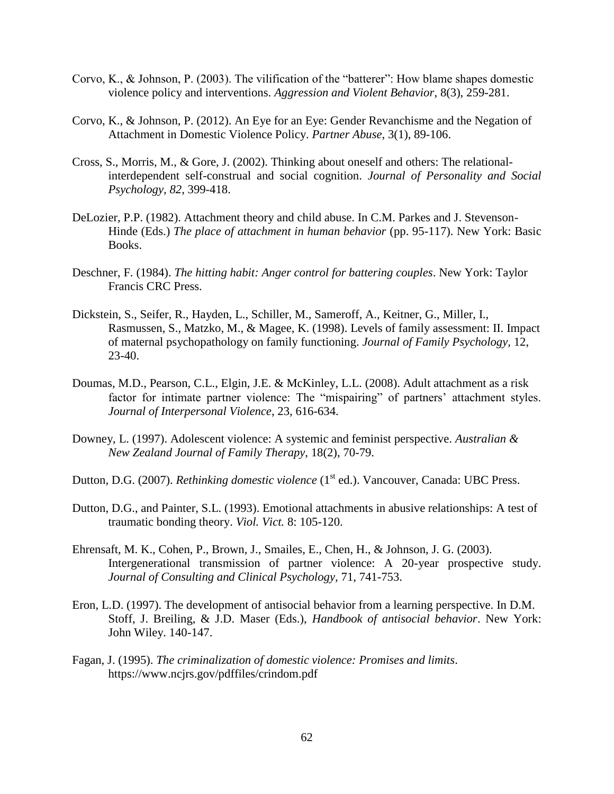- Corvo, K., & Johnson, P. (2003). The vilification of the "batterer": How blame shapes domestic violence policy and interventions. *Aggression and Violent Behavior*, 8(3), 259-281.
- Corvo, K., & Johnson, P. (2012). An Eye for an Eye: Gender Revanchisme and the Negation of Attachment in Domestic Violence Policy. *Partner Abuse*, 3(1), 89-106.
- Cross, S., Morris, M., & Gore, J. (2002). Thinking about oneself and others: The relationalinterdependent self-construal and social cognition. *Journal of Personality and Social Psychology, 82*, 399-418.
- DeLozier, P.P. (1982). Attachment theory and child abuse. In C.M. Parkes and J. Stevenson-Hinde (Eds.) *The place of attachment in human behavior* (pp. 95-117). New York: Basic Books.
- Deschner, F. (1984). *The hitting habit: Anger control for battering couples*. New York: Taylor Francis CRC Press.
- Dickstein, S., Seifer, R., Hayden, L., Schiller, M., Sameroff, A., Keitner, G., Miller, I., Rasmussen, S., Matzko, M., & Magee, K. (1998). Levels of family assessment: II. Impact of maternal psychopathology on family functioning. *Journal of Family Psychology,* 12, 23-40.
- Doumas, M.D., Pearson, C.L., Elgin, J.E. & McKinley, L.L. (2008). Adult attachment as a risk factor for intimate partner violence: The "mispairing" of partners' attachment styles. *Journal of Interpersonal Violence*, 23, 616-634.
- Downey, L. (1997). Adolescent violence: A systemic and feminist perspective. *Australian & New Zealand Journal of Family Therapy*, 18(2), 70-79.
- Dutton, D.G. (2007). *Rethinking domestic violence* (1<sup>st</sup> ed.). Vancouver, Canada: UBC Press.
- Dutton, D.G., and Painter, S.L. (1993). Emotional attachments in abusive relationships: A test of traumatic bonding theory. *Viol. Vict.* 8: 105-120.
- Ehrensaft, M. K., Cohen, P., Brown, J., Smailes, E., Chen, H., & Johnson, J. G. (2003). Intergenerational transmission of partner violence: A 20-year prospective study. *Journal of Consulting and Clinical Psychology,* 71, 741-753.
- Eron, L.D. (1997). The development of antisocial behavior from a learning perspective. In D.M. Stoff, J. Breiling, & J.D. Maser (Eds.), *Handbook of antisocial behavior*. New York: John Wiley. 140-147.
- Fagan, J. (1995). *The criminalization of domestic violence: Promises and limits*. https://www.ncjrs.gov/pdffiles/crindom.pdf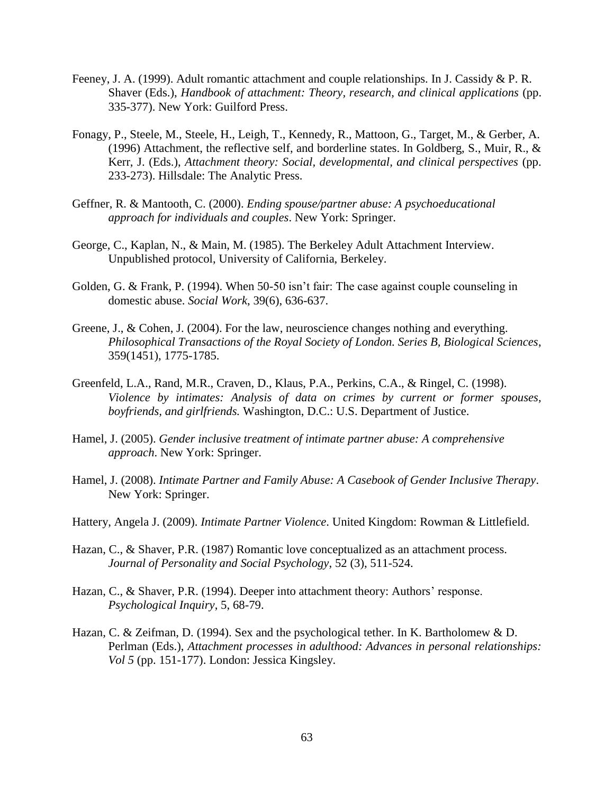- Feeney, J. A. (1999). Adult romantic attachment and couple relationships. In J. Cassidy & P. R. Shaver (Eds.), *Handbook of attachment: Theory, research, and clinical applications* (pp. 335-377). New York: Guilford Press.
- Fonagy, P., Steele, M., Steele, H., Leigh, T., Kennedy, R., Mattoon, G., Target, M., & Gerber, A. (1996) Attachment, the reflective self, and borderline states. In Goldberg, S., Muir, R., & Kerr, J. (Eds.), *Attachment theory: Social, developmental, and clinical perspectives* (pp. 233-273). Hillsdale: The Analytic Press.
- Geffner, R. & Mantooth, C. (2000). *Ending spouse/partner abuse: A psychoeducational approach for individuals and couples*. New York: Springer.
- George, C., Kaplan, N., & Main, M. (1985). The Berkeley Adult Attachment Interview. Unpublished protocol, University of California, Berkeley.
- Golden, G. & Frank, P. (1994). When 50-50 isn't fair: The case against couple counseling in domestic abuse. *Social Work*, 39(6), 636-637.
- Greene, J., & Cohen, J. (2004). For the law, neuroscience changes nothing and everything. *Philosophical Transactions of the Royal Society of London. Series B, Biological Sciences*, 359(1451), 1775-1785.
- Greenfeld, L.A., Rand, M.R., Craven, D., Klaus, P.A., Perkins, C.A., & Ringel, C. (1998). *Violence by intimates: Analysis of data on crimes by current or former spouses, boyfriends, and girlfriends.* Washington, D.C.: U.S. Department of Justice.
- Hamel, J. (2005). *Gender inclusive treatment of intimate partner abuse: A comprehensive approach*. New York: Springer.
- Hamel, J. (2008). *Intimate Partner and Family Abuse: A Casebook of Gender Inclusive Therapy*. New York: Springer.
- Hattery, Angela J. (2009). *Intimate Partner Violence*. United Kingdom: Rowman & Littlefield.
- Hazan, C., & Shaver, P.R. (1987) Romantic love conceptualized as an attachment process. *Journal of Personality and Social Psychology*, 52 (3), 511-524.
- Hazan, C., & Shaver, P.R. (1994). Deeper into attachment theory: Authors' response. *Psychological Inquiry*, 5, 68-79.
- Hazan, C. & Zeifman, D. (1994). Sex and the psychological tether. In K. Bartholomew & D. Perlman (Eds.), *Attachment processes in adulthood: Advances in personal relationships: Vol 5* (pp. 151-177). London: Jessica Kingsley.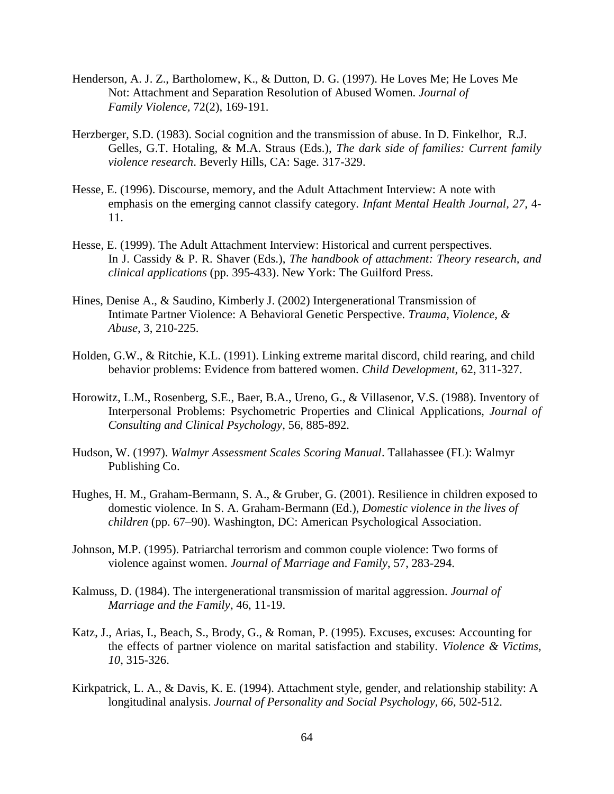- Henderson, A. J. Z., Bartholomew, K., & Dutton, D. G. (1997). He Loves Me; He Loves Me Not: Attachment and Separation Resolution of Abused Women. *Journal of Family Violence,* 72(2), 169-191.
- Herzberger, S.D. (1983). Social cognition and the transmission of abuse. In D. Finkelhor, R.J. Gelles, G.T. Hotaling, & M.A. Straus (Eds.), *The dark side of families: Current family violence research*. Beverly Hills, CA: Sage. 317-329.
- Hesse, E. (1996). Discourse, memory, and the Adult Attachment Interview: A note with emphasis on the emerging cannot classify category. *Infant Mental Health Journal, 27,* 4- 11.
- Hesse, E. (1999). The Adult Attachment Interview: Historical and current perspectives. In J. Cassidy & P. R. Shaver (Eds.), *The handbook of attachment: Theory research, and clinical applications* (pp. 395-433). New York: The Guilford Press.
- Hines, Denise A., & Saudino, Kimberly J. (2002) Intergenerational Transmission of Intimate Partner Violence: A Behavioral Genetic Perspective. *Trauma, Violence, & Abuse*, 3, 210-225.
- Holden, G.W., & Ritchie, K.L. (1991). Linking extreme marital discord, child rearing, and child behavior problems: Evidence from battered women. *Child Development*, 62, 311-327.
- Horowitz, L.M., Rosenberg, S.E., Baer, B.A., Ureno, G., & Villasenor, V.S. (1988). Inventory of Interpersonal Problems: Psychometric Properties and Clinical Applications, *Journal of Consulting and Clinical Psychology*, 56, 885-892.
- Hudson, W. (1997). *Walmyr Assessment Scales Scoring Manual*. Tallahassee (FL): Walmyr Publishing Co.
- Hughes, H. M., Graham-Bermann, S. A., & Gruber, G. (2001). Resilience in children exposed to domestic violence. In S. A. Graham-Bermann (Ed.), *Domestic violence in the lives of children* (pp. 67–90). Washington, DC: American Psychological Association.
- Johnson, M.P. (1995). Patriarchal terrorism and common couple violence: Two forms of violence against women. *Journal of Marriage and Family*, 57, 283-294.
- Kalmuss, D. (1984). The intergenerational transmission of marital aggression. *Journal of Marriage and the Family*, 46, 11-19.
- Katz, J., Arias, I., Beach, S., Brody, G., & Roman, P. (1995). Excuses, excuses: Accounting for the effects of partner violence on marital satisfaction and stability. *Violence & Victims, 10*, 315-326.
- Kirkpatrick, L. A., & Davis, K. E. (1994). Attachment style, gender, and relationship stability: A longitudinal analysis. *Journal of Personality and Social Psychology, 66*, 502-512.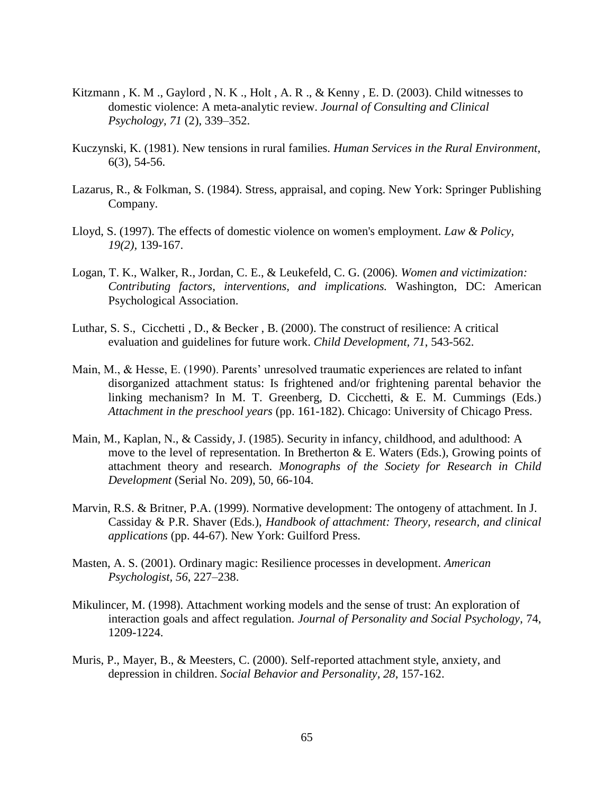- Kitzmann , K. M ., Gaylord , N. K ., Holt , A. R ., & Kenny , E. D. (2003). Child witnesses to domestic violence: A meta-analytic review. *Journal of Consulting and Clinical Psychology, 71* (2), 339–352.
- Kuczynski, K. (1981). New tensions in rural families. *Human Services in the Rural Environment*, 6(3), 54-56.
- Lazarus, R., & Folkman, S. (1984). Stress, appraisal, and coping. New York: Springer Publishing Company.
- Lloyd, S. (1997). The effects of domestic violence on women's employment. *Law & Policy, 19(2),* 139-167.
- Logan, T. K., Walker, R., Jordan, C. E., & Leukefeld, C. G. (2006). *Women and victimization: Contributing factors, interventions, and implications.* Washington, DC: American Psychological Association.
- Luthar, S. S., Cicchetti , D., & Becker , B. (2000). The construct of resilience: A critical evaluation and guidelines for future work. *Child Development, 71*, 543-562.
- Main, M., & Hesse, E. (1990). Parents' unresolved traumatic experiences are related to infant disorganized attachment status: Is frightened and/or frightening parental behavior the linking mechanism? In M. T. Greenberg, D. Cicchetti, & E. M. Cummings (Eds.) *Attachment in the preschool years* (pp. 161-182). Chicago: University of Chicago Press.
- Main, M., Kaplan, N., & Cassidy, J. (1985). Security in infancy, childhood, and adulthood: A move to the level of representation. In Bretherton  $\&$  E. Waters (Eds.), Growing points of attachment theory and research. *Monographs of the Society for Research in Child Development* (Serial No. 209), 50, 66-104.
- Marvin, R.S. & Britner, P.A. (1999). Normative development: The ontogeny of attachment. In J. Cassiday & P.R. Shaver (Eds.), *Handbook of attachment: Theory, research, and clinical applications* (pp. 44-67). New York: Guilford Press.
- Masten, A. S. (2001). Ordinary magic: Resilience processes in development. *American Psychologist, 56*, 227–238.
- Mikulincer, M. (1998). Attachment working models and the sense of trust: An exploration of interaction goals and affect regulation. *Journal of Personality and Social Psychology*, 74, 1209-1224.
- Muris, P., Mayer, B., & Meesters, C. (2000). Self-reported attachment style, anxiety, and depression in children. *Social Behavior and Personality, 28*, 157-162.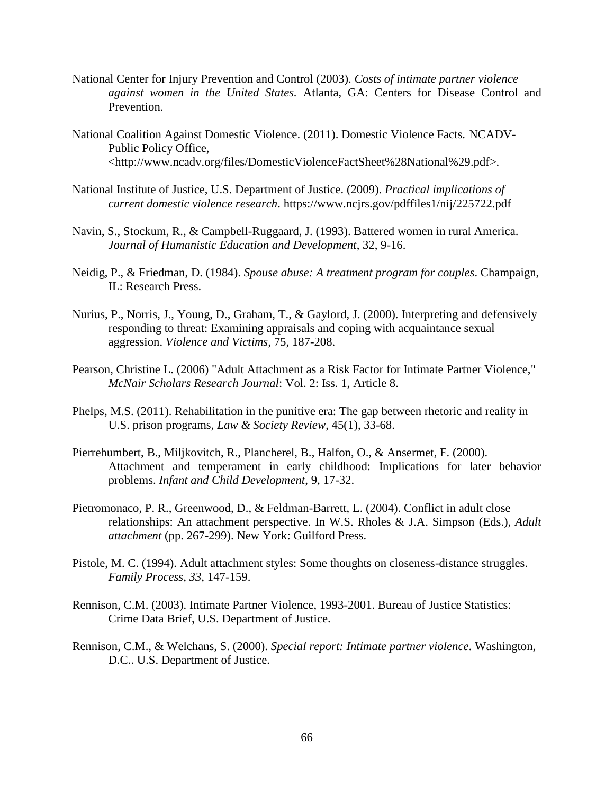- National Center for Injury Prevention and Control (2003). *Costs of intimate partner violence against women in the United States.* Atlanta, GA: Centers for Disease Control and Prevention.
- National Coalition Against Domestic Violence. (2011). Domestic Violence Facts. NCADV-Public Policy Office, <http://www.ncadv.org/files/DomesticViolenceFactSheet%28National%29.pdf>.
- National Institute of Justice, U.S. Department of Justice. (2009). *Practical implications of current domestic violence research*. https://www.ncjrs.gov/pdffiles1/nij/225722.pdf
- Navin, S., Stockum, R., & Campbell-Ruggaard, J. (1993). Battered women in rural America. *Journal of Humanistic Education and Development*, 32, 9-16.
- Neidig, P., & Friedman, D. (1984). *Spouse abuse: A treatment program for couples*. Champaign, IL: Research Press.
- Nurius, P., Norris, J., Young, D., Graham, T., & Gaylord, J. (2000). Interpreting and defensively responding to threat: Examining appraisals and coping with acquaintance sexual aggression. *Violence and Victims,* 75, 187-208.
- Pearson, Christine L. (2006) "Adult Attachment as a Risk Factor for Intimate Partner Violence," *McNair Scholars Research Journal*: Vol. 2: Iss. 1, Article 8.
- Phelps, M.S. (2011). Rehabilitation in the punitive era: The gap between rhetoric and reality in U.S. prison programs, *Law & Society Review*, 45(1), 33-68.
- Pierrehumbert, B., Miljkovitch, R., Plancherel, B., Halfon, O., & Ansermet, F. (2000). Attachment and temperament in early childhood: Implications for later behavior problems. *Infant and Child Development*, 9, 17-32.
- Pietromonaco, P. R., Greenwood, D., & Feldman-Barrett, L. (2004). Conflict in adult close relationships: An attachment perspective. In W.S. Rholes & J.A. Simpson (Eds.), *Adult attachment* (pp. 267-299). New York: Guilford Press.
- Pistole, M. C. (1994). Adult attachment styles: Some thoughts on closeness-distance struggles. *Family Process, 33,* 147-159.
- Rennison, C.M. (2003). Intimate Partner Violence, 1993-2001. Bureau of Justice Statistics: Crime Data Brief, U.S. Department of Justice.
- Rennison, C.M., & Welchans, S. (2000). *Special report: Intimate partner violence*. Washington, D.C.. U.S. Department of Justice.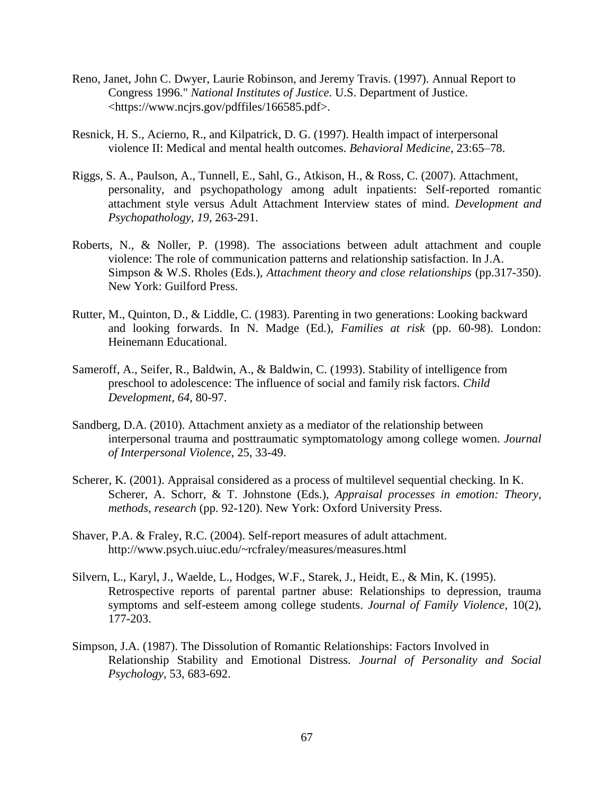- Reno, Janet, John C. Dwyer, Laurie Robinson, and Jeremy Travis. (1997). Annual Report to Congress 1996." *National Institutes of Justice*. U.S. Department of Justice. <https://www.ncjrs.gov/pdffiles/166585.pdf>.
- Resnick, H. S., Acierno, R., and Kilpatrick, D. G. (1997). Health impact of interpersonal violence II: Medical and mental health outcomes. *Behavioral Medicine*, 23:65–78.
- Riggs, S. A., Paulson, A., Tunnell, E., Sahl, G., Atkison, H., & Ross, C. (2007). Attachment, personality, and psychopathology among adult inpatients: Self-reported romantic attachment style versus Adult Attachment Interview states of mind. *Development and Psychopathology, 19,* 263-291.
- Roberts, N., & Noller, P. (1998). The associations between adult attachment and couple violence: The role of communication patterns and relationship satisfaction. In J.A. Simpson & W.S. Rholes (Eds.), *Attachment theory and close relationships* (pp.317-350). New York: Guilford Press.
- Rutter, M., Quinton, D., & Liddle, C. (1983). Parenting in two generations: Looking backward and looking forwards. In N. Madge (Ed.), *Families at risk* (pp. 60-98). London: Heinemann Educational.
- Sameroff, A., Seifer, R., Baldwin, A., & Baldwin, C. (1993). Stability of intelligence from preschool to adolescence: The influence of social and family risk factors. *Child Development, 64,* 80-97.
- Sandberg, D.A. (2010). Attachment anxiety as a mediator of the relationship between interpersonal trauma and posttraumatic symptomatology among college women. *Journal of Interpersonal Violence*, 25, 33-49.
- Scherer, K. (2001). Appraisal considered as a process of multilevel sequential checking. In K. Scherer, A. Schorr, & T. Johnstone (Eds.), *Appraisal processes in emotion: Theory, methods, research* (pp. 92-120). New York: Oxford University Press.
- Shaver, P.A. & Fraley, R.C. (2004). Self-report measures of adult attachment. http://www.psych.uiuc.edu/~rcfraley/measures/measures.html
- Silvern, L., Karyl, J., Waelde, L., Hodges, W.F., Starek, J., Heidt, E., & Min, K. (1995). Retrospective reports of parental partner abuse: Relationships to depression, trauma symptoms and self-esteem among college students. *Journal of Family Violence*, 10(2), 177-203.
- Simpson, J.A. (1987). The Dissolution of Romantic Relationships: Factors Involved in Relationship Stability and Emotional Distress. *Journal of Personality and Social Psychology*, 53, 683-692.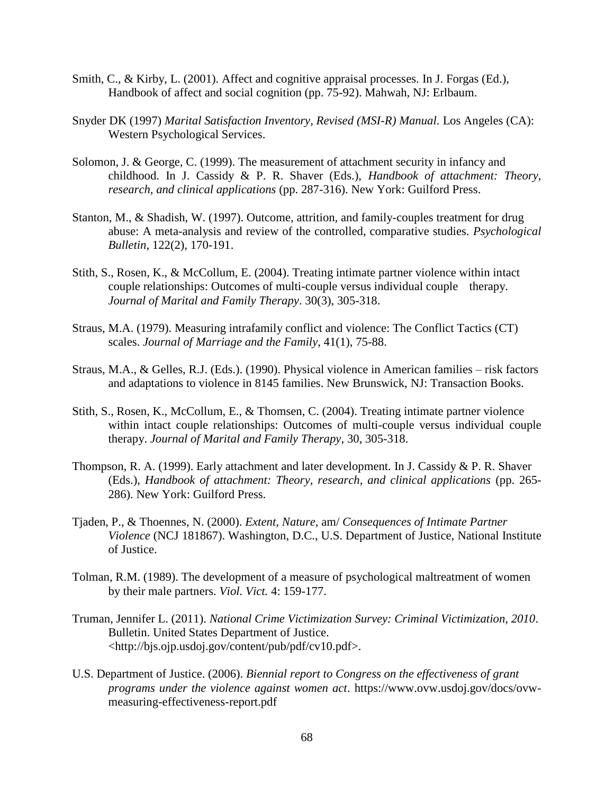- Smith, C., & Kirby, L. (2001). Affect and cognitive appraisal processes. In J. Forgas (Ed.), Handbook of affect and social cognition (pp. 75-92). Mahwah, NJ: Erlbaum.
- Snyder DK (1997) *Marital Satisfaction Inventory, Revised (MSI-R) Manual.* Los Angeles (CA): Western Psychological Services.
- Solomon, J. & George, C. (1999). The measurement of attachment security in infancy and childhood. In J. Cassidy & P. R. Shaver (Eds.), *Handbook of attachment: Theory, research, and clinical applications* (pp. 287-316). New York: Guilford Press.
- Stanton, M., & Shadish, W. (1997). Outcome, attrition, and family-couples treatment for drug abuse: A meta-analysis and review of the controlled, comparative studies. *Psychological Bulletin*, 122(2), 170-191.
- Stith, S., Rosen, K., & McCollum, E. (2004). Treating intimate partner violence within intact couple relationships: Outcomes of multi-couple versus individual couple therapy. *Journal of Marital and Family Therapy*. 30(3), 305-318.
- Straus, M.A. (1979). Measuring intrafamily conflict and violence: The Conflict Tactics (CT) scales. *Journal of Marriage and the Family*, 41(1), 75-88.
- Straus, M.A., & Gelles, R.J. (Eds.). (1990). Physical violence in American families risk factors and adaptations to violence in 8145 families. New Brunswick, NJ: Transaction Books.
- Stith, S., Rosen, K., McCollum, E., & Thomsen, C. (2004). Treating intimate partner violence within intact couple relationships: Outcomes of multi-couple versus individual couple therapy. *Journal of Marital and Family Therapy*, 30, 305-318.
- Thompson, R. A. (1999). Early attachment and later development. In J. Cassidy & P. R. Shaver (Eds.), *Handbook of attachment: Theory, research, and clinical applications* (pp. 265- 286). New York: Guilford Press.
- Tjaden, P., & Thoennes, N. (2000). *Extent, Nature,* am/ *Consequences of Intimate Partner Violence* (NCJ 181867). Washington, D.C., U.S. Department of Justice, National Institute of Justice.
- Tolman, R.M. (1989). The development of a measure of psychological maltreatment of women by their male partners. *Viol. Vict.* 4: 159-177.
- Truman, Jennifer L. (2011). *National Crime Victimization Survey: Criminal Victimization, 2010*. Bulletin. United States Department of Justice. <http://bjs.ojp.usdoj.gov/content/pub/pdf/cv10.pdf>.
- U.S. Department of Justice. (2006). *Biennial report to Congress on the effectiveness of grant programs under the violence against women act*. https://www.ovw.usdoj.gov/docs/ovwmeasuring-effectiveness-report.pdf